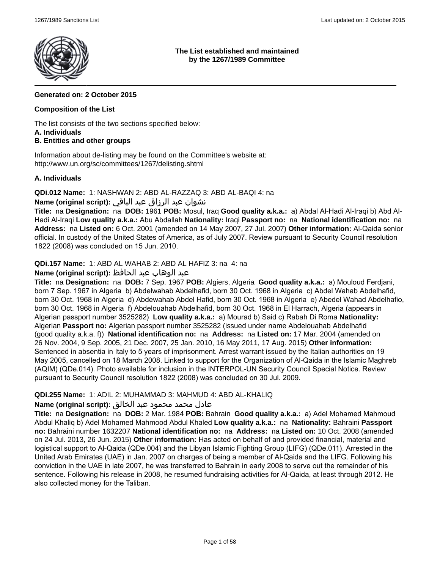

## **The List established and maintained by the 1267/1989 Committee**

# **Generated on: 2 October 2015**

# **Composition of the List**

The list consists of the two sections specified below: **A. Individuals**

# **B. Entities and other groups**

Information about de-listing may be found on the Committee's website at: http://www.un.org/sc/committees/1267/delisting.shtml

# **A. Individuals**

**QDi.012 Name:** 1: NASHWAN 2: ABD AL-RAZZAQ 3: ABD AL-BAQI 4: na

# نشوان عبد الرزاق عبد الباقي **:(script original (Name**

**Title:** na **Designation:** na **DOB:** 1961 **POB:** Mosul, Iraq **Good quality a.k.a.:** a) Abdal Al-Hadi Al-Iraqi b) Abd Al-Hadi Al-Iraqi **Low quality a.k.a.:** Abu Abdallah **Nationality:** Iraqi **Passport no:** na **National identification no:** na **Address:** na **Listed on:** 6 Oct. 2001 (amended on 14 May 2007, 27 Jul. 2007) **Other information:** Al-Qaida senior official. In custody of the United States of America, as of July 2007. Review pursuant to Security Council resolution 1822 (2008) was concluded on 15 Jun. 2010.

**QDi.157 Name:** 1: ABD AL WAHAB 2: ABD AL HAFIZ 3: na 4: na

# عبد الوهاب عبد الحافظ **:(script original (Name**

**Title:** na **Designation:** na **DOB:** 7 Sep. 1967 **POB:** Algiers, Algeria **Good quality a.k.a.:** a) Mouloud Ferdjani, born 7 Sep. 1967 in Algeria b) Abdelwahab Abdelhafid, born 30 Oct. 1968 in Algeria c) Abdel Wahab Abdelhafid, born 30 Oct. 1968 in Algeria d) Abdewahab Abdel Hafid, born 30 Oct. 1968 in Algeria e) Abedel Wahad Abdelhafio, born 30 Oct. 1968 in Algeria f) Abdelouahab Abdelhafid, born 30 Oct. 1968 in El Harrach, Algeria (appears in Algerian passport number 3525282) **Low quality a.k.a.:** a) Mourad b) Said c) Rabah Di Roma **Nationality:** Algerian **Passport no:** Algerian passport number 3525282 (issued under name Abdelouahab Abdelhafid (good quality a.k.a. f)) **National identification no:** na **Address:** na **Listed on:** 17 Mar. 2004 (amended on 26 Nov. 2004, 9 Sep. 2005, 21 Dec. 2007, 25 Jan. 2010, 16 May 2011, 17 Aug. 2015) **Other information:** Sentenced in absentia in Italy to 5 years of imprisonment. Arrest warrant issued by the Italian authorities on 19 May 2005, cancelled on 18 March 2008. Linked to support for the Organization of Al-Qaida in the Islamic Maghreb (AQIM) (QDe.014). Photo available for inclusion in the INTERPOL-UN Security Council Special Notice. Review pursuant to Security Council resolution 1822 (2008) was concluded on 30 Jul. 2009.

# **QDi.255 Name:** 1: ADIL 2: MUHAMMAD 3: MAHMUD 4: ABD AL-KHALIQ

# عادل محمد محمود عبد الخالق **:(script original (Name**

**Title:** na **Designation:** na **DOB:** 2 Mar. 1984 **POB:** Bahrain **Good quality a.k.a.:** a) Adel Mohamed Mahmoud Abdul Khaliq b) Adel Mohamed Mahmood Abdul Khaled **Low quality a.k.a.:** na **Nationality:** Bahraini **Passport no:** Bahraini number 1632207 **National identification no:** na **Address:** na **Listed on:** 10 Oct. 2008 (amended on 24 Jul. 2013, 26 Jun. 2015) **Other information:** Has acted on behalf of and provided financial, material and logistical support to Al-Qaida (QDe.004) and the Libyan Islamic Fighting Group (LIFG) (QDe.011). Arrested in the United Arab Emirates (UAE) in Jan. 2007 on charges of being a member of Al-Qaida and the LIFG. Following his conviction in the UAE in late 2007, he was transferred to Bahrain in early 2008 to serve out the remainder of his sentence. Following his release in 2008, he resumed fundraising activities for Al-Qaida, at least through 2012. He also collected money for the Taliban.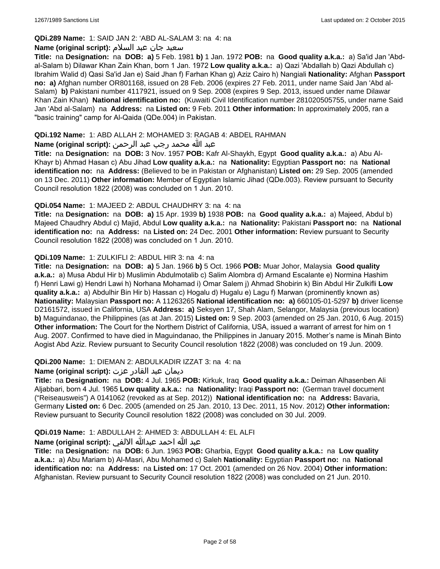# **QDi.289 Name:** 1: SAID JAN 2: 'ABD AL-SALAM 3: na 4: na

### سعید جان عبد السلام **:(script original (Name**

**Title:** na **Designation:** na **DOB: a)** 5 Feb. 1981 **b)** 1 Jan. 1972 **POB:** na **Good quality a.k.a.:** a) Sa'id Jan 'Abdal-Salam b) Dilawar Khan Zain Khan, born 1 Jan. 1972 **Low quality a.k.a.:** a) Qazi 'Abdallah b) Qazi Abdullah c) Ibrahim Walid d) Qasi Sa'id Jan e) Said Jhan f) Farhan Khan g) Aziz Cairo h) Nangiali **Nationality:** Afghan **Passport no: a)** Afghan number OR801168, issued on 28 Feb. 2006 (expires 27 Feb. 2011, under name Said Jan 'Abd al-Salam) **b)** Pakistani number 4117921, issued on 9 Sep. 2008 (expires 9 Sep. 2013, issued under name Dilawar Khan Zain Khan) **National identification no:** (Kuwaiti Civil Identification number 281020505755, under name Said Jan 'Abd al-Salam) na **Address:** na **Listed on:** 9 Feb. 2011 **Other information:** In approximately 2005, ran a "basic training" camp for Al-Qaida (QDe.004) in Pakistan.

## **QDi.192 Name:** 1: ABD ALLAH 2: MOHAMED 3: RAGAB 4: ABDEL RAHMAN

# عبد الله محمد رجب عبد الرحمن **:(script original (Name**

**Title:** na **Designation:** na **DOB:** 3 Nov. 1957 **POB:** Kafr Al-Shaykh, Egypt **Good quality a.k.a.:** a) Abu Al-Khayr b) Ahmad Hasan c) Abu Jihad **Low quality a.k.a.:** na **Nationality:** Egyptian **Passport no:** na **National identification no:** na **Address:** (Believed to be in Pakistan or Afghanistan) **Listed on:** 29 Sep. 2005 (amended on 13 Dec. 2011) **Other information:** Member of Egyptian Islamic Jihad (QDe.003). Review pursuant to Security Council resolution 1822 (2008) was concluded on 1 Jun. 2010.

### **QDi.054 Name:** 1: MAJEED 2: ABDUL CHAUDHRY 3: na 4: na

**Title:** na **Designation:** na **DOB: a)** 15 Apr. 1939 **b)** 1938 **POB:** na **Good quality a.k.a.:** a) Majeed, Abdul b) Majeed Chaudhry Abdul c) Majid, Abdul **Low quality a.k.a.:** na **Nationality:** Pakistani **Passport no:** na **National identification no:** na **Address:** na **Listed on:** 24 Dec. 2001 **Other information:** Review pursuant to Security Council resolution 1822 (2008) was concluded on 1 Jun. 2010.

### **QDi.109 Name:** 1: ZULKIFLI 2: ABDUL HIR 3: na 4: na

**Title:** na **Designation:** na **DOB: a)** 5 Jan. 1966 **b)** 5 Oct. 1966 **POB:** Muar Johor, Malaysia **Good quality a.k.a.:** a) Musa Abdul Hir b) Muslimin Abdulmotalib c) Salim Alombra d) Armand Escalante e) Normina Hashim f) Henri Lawi g) Hendri Lawi h) Norhana Mohamad i) Omar Salem j) Ahmad Shobirin k) Bin Abdul Hir Zulkifli **Low quality a.k.a.:** a) Abdulhir Bin Hir b) Hassan c) Hogalu d) Hugalu e) Lagu f) Marwan (prominently known as) **Nationality:** Malaysian **Passport no:** A 11263265 **National identification no: a)** 660105-01-5297 **b)** driver license D2161572, issued in California, USA **Address: a)** Seksyen 17, Shah Alam, Selangor, Malaysia (previous location) **b)** Maguindanao, the Philippines (as at Jan. 2015) **Listed on:** 9 Sep. 2003 (amended on 25 Jan. 2010, 6 Aug. 2015) **Other information:** The Court for the Northern District of California, USA, issued a warrant of arrest for him on 1 Aug. 2007. Confirmed to have died in Maguindanao, the Philippines in January 2015. Mother's name is Minah Binto Aogist Abd Aziz. Review pursuant to Security Council resolution 1822 (2008) was concluded on 19 Jun. 2009.

# **QDi.200 Name:** 1: DIEMAN 2: ABDULKADIR IZZAT 3: na 4: na

# ديمان عبد القادر عزت **:(script original (Name**

**Title:** na **Designation:** na **DOB:** 4 Jul. 1965 **POB:** Kirkuk, Iraq **Good quality a.k.a.:** Deiman Alhasenben Ali Aljabbari, born 4 Jul. 1965 **Low quality a.k.a.:** na **Nationality:** Iraqi **Passport no:** (German travel document ("Reiseausweis") A 0141062 (revoked as at Sep. 2012)) **National identification no:** na **Address:** Bavaria, Germany **Listed on:** 6 Dec. 2005 (amended on 25 Jan. 2010, 13 Dec. 2011, 15 Nov. 2012) **Other information:** Review pursuant to Security Council resolution 1822 (2008) was concluded on 30 Jul. 2009.

# **QDi.019 Name:** 1: ABDULLAH 2: AHMED 3: ABDULLAH 4: EL ALFI

# عبد الله احمد عبدالله الالفي **:(script original (Name**

**Title:** na **Designation:** na **DOB:** 6 Jun. 1963 **POB:** Gharbia, Egypt **Good quality a.k.a.:** na **Low quality a.k.a.:** a) Abu Mariam b) Al-Masri, Abu Mohamed c) Saleh **Nationality:** Egyptian **Passport no:** na **National identification no:** na **Address:** na **Listed on:** 17 Oct. 2001 (amended on 26 Nov. 2004) **Other information:** Afghanistan. Review pursuant to Security Council resolution 1822 (2008) was concluded on 21 Jun. 2010.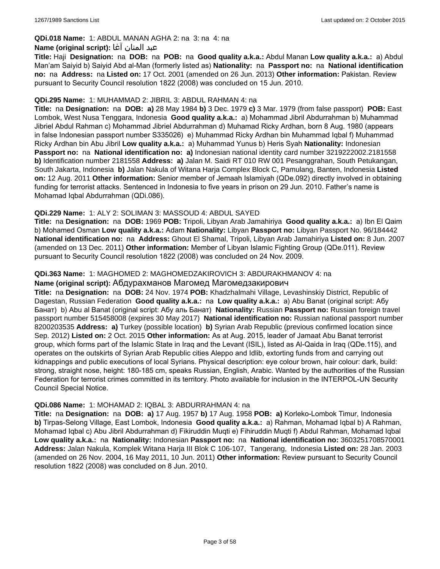# **QDi.018 Name:** 1: ABDUL MANAN AGHA 2: na 3: na 4: na

#### عبد المنان آغا **:(script original (Name**

**Title:** Haji **Designation:** na **DOB:** na **POB:** na **Good quality a.k.a.:** Abdul Manan **Low quality a.k.a.:** a) Abdul Man'am Saiyid b) Saiyid Abd al-Man (formerly listed as) **Nationality:** na **Passport no:** na **National identification no:** na **Address:** na **Listed on:** 17 Oct. 2001 (amended on 26 Jun. 2013) **Other information:** Pakistan. Review pursuant to Security Council resolution 1822 (2008) was concluded on 15 Jun. 2010.

#### **QDi.295 Name:** 1: MUHAMMAD 2: JIBRIL 3: ABDUL RAHMAN 4: na

**Title:** na **Designation:** na **DOB: a)** 28 May 1984 **b)** 3 Dec. 1979 **c)** 3 Mar. 1979 (from false passport) **POB:** East Lombok, West Nusa Tenggara, Indonesia **Good quality a.k.a.:** a) Mohammad Jibril Abdurrahman b) Muhammad Jibriel Abdul Rahman c) Mohammad Jibriel Abdurrahman d) Muhamad Ricky Ardhan, born 8 Aug. 1980 (appears in false Indonesian passport number S335026) e) Muhammad Ricky Ardhan bin Muhammad Iqbal f) Muhammad Ricky Ardhan bin Abu Jibril **Low quality a.k.a.:** a) Muhammad Yunus b) Heris Syah **Nationality:** Indonesian **Passport no:** na **National identification no: a)** Indonesian national identity card number 3219222002.2181558 **b)** Identification number 2181558 **Address: a)** Jalan M. Saidi RT 010 RW 001 Pesanggrahan, South Petukangan, South Jakarta, Indonesia **b)** Jalan Nakula of Witana Harja Complex Block C, Pamulang, Banten, Indonesia **Listed on:** 12 Aug. 2011 **Other information:** Senior member of Jemaah Islamiyah (QDe.092) directly involved in obtaining funding for terrorist attacks. Sentenced in Indonesia to five years in prison on 29 Jun. 2010. Father's name is Mohamad Iqbal Abdurrahman (QDi.086).

### **QDi.229 Name:** 1: ALY 2: SOLIMAN 3: MASSOUD 4: ABDUL SAYED

**Title:** na **Designation:** na **DOB:** 1969 **POB:** Tripoli, Libyan Arab Jamahiriya **Good quality a.k.a.:** a) Ibn El Qaim b) Mohamed Osman **Low quality a.k.a.:** Adam **Nationality:** Libyan **Passport no:** Libyan Passport No. 96/184442 **National identification no:** na **Address:** Ghout El Shamal, Tripoli, Libyan Arab Jamahiriya **Listed on:** 8 Jun. 2007 (amended on 13 Dec. 2011) **Other information:** Member of Libyan Islamic Fighting Group (QDe.011). Review pursuant to Security Council resolution 1822 (2008) was concluded on 24 Nov. 2009.

### **QDi.363 Name:** 1: MAGHOMED 2: MAGHOMEDZAKIROVICH 3: ABDURAKHMANOV 4: na

#### **Name (original script):** Абдурахманов Магомед Магомедзакирович

**Title:** na **Designation:** na **DOB:** 24 Nov. 1974 **POB:** Khadzhalmahi Village, Levashinskiy District, Republic of Dagestan, Russian Federation **Good quality a.k.a.:** na **Low quality a.k.a.:** a) Abu Banat (original script: Абу Банат) b) Abu al Banat (original script: Абу аль Банат) **Nationality:** Russian **Passport no:** Russian foreign travel passport number 515458008 (expires 30 May 2017) **National identification no:** Russian national passport number 8200203535 **Address: a)** Turkey (possible location) **b)** Syrian Arab Republic (previous confirmed location since Sep. 2012) **Listed on:** 2 Oct. 2015 **Other information:** As at Aug. 2015, leader of Jamaat Abu Banat terrorist group, which forms part of the Islamic State in Iraq and the Levant (ISIL), listed as Al-Qaida in Iraq (QDe.115), and operates on the outskirts of Syrian Arab Republic cities Aleppo and Idlib, extorting funds from and carrying out kidnappings and public executions of local Syrians. Physical description: eye colour brown, hair colour: dark, build: strong, straight nose, height: 180-185 cm, speaks Russian, English, Arabic. Wanted by the authorities of the Russian Federation for terrorist crimes committed in its territory. Photo available for inclusion in the INTERPOL-UN Security Council Special Notice.

#### **QDi.086 Name:** 1: MOHAMAD 2: IQBAL 3: ABDURRAHMAN 4: na

**Title:** na **Designation:** na **DOB: a)** 17 Aug. 1957 **b)** 17 Aug. 1958 **POB: a)** Korleko-Lombok Timur, Indonesia **b)** Tirpas-Selong Village, East Lombok, Indonesia **Good quality a.k.a.:** a) Rahman, Mohamad Iqbal b) A Rahman, Mohamad Iqbal c) Abu Jibril Abdurrahman d) Fikiruddin Muqti e) Fihiruddin Muqti f) Abdul Rahman, Mohamad Iqbal **Low quality a.k.a.:** na **Nationality:** Indonesian **Passport no:** na **National identification no:** 3603251708570001 **Address:** Jalan Nakula, Komplek Witana Harja III Blok C 106-107, Tangerang, Indonesia **Listed on:** 28 Jan. 2003 (amended on 26 Nov. 2004, 16 May 2011, 10 Jun. 2011) **Other information:** Review pursuant to Security Council resolution 1822 (2008) was concluded on 8 Jun. 2010.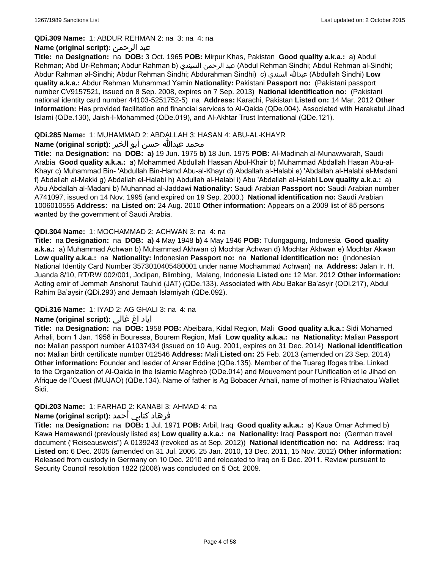### **QDi.309 Name:** 1: ABDUR REHMAN 2: na 3: na 4: na

# **Name (original script):** الرحمن عبد

**Title:** na **Designation:** na **DOB:** 3 Oct. 1965 **POB:** Mirpur Khas, Pakistan **Good quality a.k.a.:** a) Abdul Rehman; Abd Ur-Rehman; Abdur Rahman b) السيندي الرحمن عبد) Abdul Rehman Sindhi; Abdul Rehman al-Sindhi; Abdur Rahman al-Sindhi; Abdur Rehman Sindhi; Abdurahman Sindhi) c) السندي عبدالله) Abdullah Sindhi) **Low quality a.k.a.:** Abdur Rehman Muhammad Yamin **Nationality:** Pakistani **Passport no:** (Pakistani passport number CV9157521, issued on 8 Sep. 2008, expires on 7 Sep. 2013) **National identification no:** (Pakistani national identity card number 44103-5251752-5) na **Address:** Karachi, Pakistan **Listed on:** 14 Mar. 2012 **Other information:** Has provided facilitation and financial services to Al-Qaida (QDe.004). Associated with Harakatul Jihad Islami (QDe.130), Jaish-I-Mohammed (QDe.019), and Al-Akhtar Trust International (QDe.121).

## **QDi.285 Name:** 1: MUHAMMAD 2: ABDALLAH 3: HASAN 4: ABU-AL-KHAYR

# محمد عبدالله حسن أبو الخير **:Name (original script**)

**Title:** na **Designation:** na **DOB: a)** 19 Jun. 1975 **b)** 18 Jun. 1975 **POB:** Al-Madinah al-Munawwarah, Saudi Arabia **Good quality a.k.a.:** a) Mohammed Abdullah Hassan Abul-Khair b) Muhammad Abdallah Hasan Abu-al-Khayr c) Muhammad Bin- 'Abdullah Bin-Hamd Abu-al-Khayr d) Abdallah al-Halabi e) 'Abdallah al-Halabi al-Madani f) Abdallah al-Makki g) Abdallah el-Halabi h) Abdullah al-Halabi i) Abu 'Abdallah al-Halabi **Low quality a.k.a.:** a) Abu Abdallah al-Madani b) Muhannad al-Jaddawi **Nationality:** Saudi Arabian **Passport no:** Saudi Arabian number A741097, issued on 14 Nov. 1995 (and expired on 19 Sep. 2000.) **National identification no:** Saudi Arabian 1006010555 **Address:** na **Listed on:** 24 Aug. 2010 **Other information:** Appears on a 2009 list of 85 persons wanted by the government of Saudi Arabia.

### **QDi.304 Name:** 1: MOCHAMMAD 2: ACHWAN 3: na 4: na

**Title:** na **Designation:** na **DOB: a)** 4 May 1948 **b)** 4 May 1946 **POB:** Tulungagung, Indonesia **Good quality a.k.a.:** a) Muhammad Achwan b) Muhammad Akhwan c) Mochtar Achwan d) Mochtar Akhwan e) Mochtar Akwan **Low quality a.k.a.:** na **Nationality:** Indonesian **Passport no:** na **National identification no:** (Indonesian National Identity Card Number 3573010405480001 under name Mochammad Achwan) na **Address:** Jalan Ir. H. Juanda 8/10, RT/RW 002/001, Jodipan, Blimbing, Malang, Indonesia **Listed on:** 12 Mar. 2012 **Other information:** Acting emir of Jemmah Anshorut Tauhid (JAT) (QDe.133). Associated with Abu Bakar Ba'asyir (QDi.217), Abdul Rahim Ba'aysir (QDi.293) and Jemaah Islamiyah (QDe.092).

# **QDi.316 Name:** 1: IYAD 2: AG GHALI 3: na 4: na

# اياد اغ غالي **:(script original (Name**

**Title:** na **Designation:** na **DOB:** 1958 **POB:** Abeibara, Kidal Region, Mali **Good quality a.k.a.:** Sidi Mohamed Arhali, born 1 Jan. 1958 in Bouressa, Bourem Region, Mali **Low quality a.k.a.:** na **Nationality:** Malian **Passport no:** Malian passport number A1037434 (issued on 10 Aug. 2001, expires on 31 Dec. 2014) **National identification no:** Malian birth certificate number 012546 **Address:** Mali **Listed on:** 25 Feb. 2013 (amended on 23 Sep. 2014) **Other information:** Founder and leader of Ansar Eddine (QDe.135). Member of the Tuareg Ifogas tribe. Linked to the Organization of Al-Qaida in the Islamic Maghreb (QDe.014) and Mouvement pour l'Unification et le Jihad en Afrique de l'Ouest (MUJAO) (QDe.134). Name of father is Ag Bobacer Arhali, name of mother is Rhiachatou Wallet Sidi.

# **QDi.203 Name:** 1: FARHAD 2: KANABI 3: AHMAD 4: na

# فرهاد كنابي أحمد **:Name (original script)**

**Title:** na **Designation:** na **DOB:** 1 Jul. 1971 **POB:** Arbil, Iraq **Good quality a.k.a.:** a) Kaua Omar Achmed b) Kawa Hamawandi (previously listed as) **Low quality a.k.a.:** na **Nationality:** Iraqi **Passport no:** (German travel document ("Reiseausweis") A 0139243 (revoked as at Sep. 2012)) **National identification no:** na **Address:** Iraq **Listed on:** 6 Dec. 2005 (amended on 31 Jul. 2006, 25 Jan. 2010, 13 Dec. 2011, 15 Nov. 2012) **Other information:** Released from custody in Germany on 10 Dec. 2010 and relocated to Iraq on 6 Dec. 2011. Review pursuant to Security Council resolution 1822 (2008) was concluded on 5 Oct. 2009.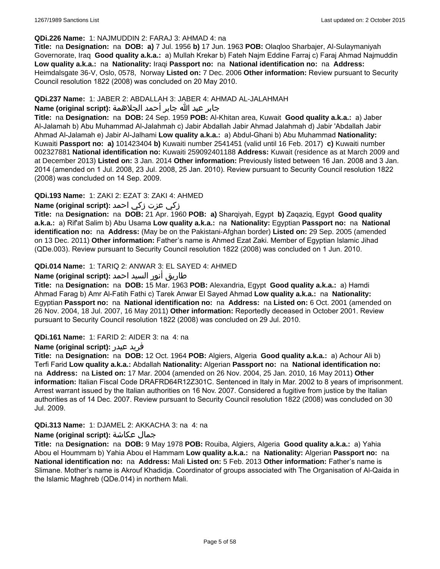#### **QDi.226 Name:** 1: NAJMUDDIN 2: FARAJ 3: AHMAD 4: na

**Title:** na **Designation:** na **DOB: a)** 7 Jul. 1956 **b)** 17 Jun. 1963 **POB:** Olaqloo Sharbajer, Al-Sulaymaniyah Governorate, Iraq **Good quality a.k.a.:** a) Mullah Krekar b) Fateh Najm Eddine Farraj c) Faraj Ahmad Najmuddin **Low quality a.k.a.:** na **Nationality:** Iraqi **Passport no:** na **National identification no:** na **Address:** Heimdalsgate 36-V, Oslo, 0578, Norway **Listed on:** 7 Dec. 2006 **Other information:** Review pursuant to Security Council resolution 1822 (2008) was concluded on 20 May 2010.

### **QDi.237 Name:** 1: JABER 2: ABDALLAH 3: JABER 4: AHMAD AL-JALAHMAH

## جابر عبد الله جابر أحمد الجلاهمة **:(script original (Name**

**Title:** na **Designation:** na **DOB:** 24 Sep. 1959 **POB:** Al-Khitan area, Kuwait **Good quality a.k.a.:** a) Jaber Al-Jalamah b) Abu Muhammad Al-Jalahmah c) Jabir Abdallah Jabir Ahmad Jalahmah d) Jabir 'Abdallah Jabir Ahmad Al-Jalamah e) Jabir Al-Jalhami **Low quality a.k.a.:** a) Abdul-Ghani b) Abu Muhammad **Nationality:** Kuwaiti **Passport no: a)** 101423404 **b)** Kuwaiti number 2541451 (valid until 16 Feb. 2017) **c)** Kuwaiti number 002327881 **National identification no:** Kuwaiti 259092401188 **Address:** Kuwait (residence as at March 2009 and at December 2013) **Listed on:** 3 Jan. 2014 **Other information:** Previously listed between 16 Jan. 2008 and 3 Jan. 2014 (amended on 1 Jul. 2008, 23 Jul. 2008, 25 Jan. 2010). Review pursuant to Security Council resolution 1822 (2008) was concluded on 14 Sep. 2009.

# **QDi.193 Name:** 1: ZAKI 2: EZAT 3: ZAKI 4: AHMED

# زكي عزت زكي احمد **:(script original (Name**

**Title:** na **Designation:** na **DOB:** 21 Apr. 1960 **POB: a)** Sharqiyah, Egypt **b)** Zaqaziq, Egypt **Good quality a.k.a.:** a) Rif'at Salim b) Abu Usama **Low quality a.k.a.:** na **Nationality:** Egyptian **Passport no:** na **National identification no:** na **Address:** (May be on the Pakistani-Afghan border) **Listed on:** 29 Sep. 2005 (amended on 13 Dec. 2011) **Other information:** Father's name is Ahmed Ezat Zaki. Member of Egyptian Islamic Jihad (QDe.003). Review pursuant to Security Council resolution 1822 (2008) was concluded on 1 Jun. 2010.

# **QDi.014 Name:** 1: TARIQ 2: ANWAR 3: EL SAYED 4: AHMED

# طاريق أنور السيد احمد **:(script original (Name**

**Title:** na **Designation:** na **DOB:** 15 Mar. 1963 **POB:** Alexandria, Egypt **Good quality a.k.a.:** a) Hamdi Ahmad Farag b) Amr Al-Fatih Fathi c) Tarek Anwar El Sayed Ahmad **Low quality a.k.a.:** na **Nationality:** Egyptian **Passport no:** na **National identification no:** na **Address:** na **Listed on:** 6 Oct. 2001 (amended on 26 Nov. 2004, 18 Jul. 2007, 16 May 2011) **Other information:** Reportedly deceased in October 2001. Review pursuant to Security Council resolution 1822 (2008) was concluded on 29 Jul. 2010.

#### **QDi.161 Name:** 1: FARID 2: AIDER 3: na 4: na

#### **Name (original script):** عيدر فريد

**Title:** na **Designation:** na **DOB:** 12 Oct. 1964 **POB:** Algiers, Algeria **Good quality a.k.a.:** a) Achour Ali b) Terfi Farid **Low quality a.k.a.:** Abdallah **Nationality:** Algerian **Passport no:** na **National identification no:**  na **Address:** na **Listed on:** 17 Mar. 2004 (amended on 26 Nov. 2004, 25 Jan. 2010, 16 May 2011) **Other information:** Italian Fiscal Code DRAFRD64R12Z301C. Sentenced in Italy in Mar. 2002 to 8 years of imprisonment. Arrest warrant issued by the Italian authorities on 16 Nov. 2007. Considered a fugitive from justice by the Italian authorities as of 14 Dec. 2007. Review pursuant to Security Council resolution 1822 (2008) was concluded on 30 Jul. 2009.

# **QDi.313 Name:** 1: DJAMEL 2: AKKACHA 3: na 4: na

#### **Name (original script):** عكاشة جمال

**Title:** na **Designation:** na **DOB:** 9 May 1978 **POB:** Rouiba, Algiers, Algeria **Good quality a.k.a.:** a) Yahia Abou el Hoummam b) Yahia Abou el Hammam **Low quality a.k.a.:** na **Nationality:** Algerian **Passport no:** na **National identification no:** na **Address:** Mali **Listed on:** 5 Feb. 2013 **Other information:** Father's name is Slimane. Mother's name is Akrouf Khadidja. Coordinator of groups associated with The Organisation of Al-Qaida in the Islamic Maghreb (QDe.014) in northern Mali.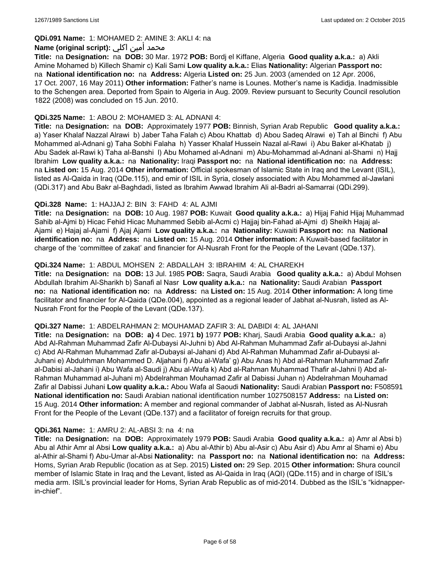## **QDi.091 Name:** 1: MOHAMED 2: AMINE 3: AKLI 4: na

#### محمد أمين اكلي :**Name (original script)**

**Title:** na **Designation:** na **DOB:** 30 Mar. 1972 **POB:** Bordj el Kiffane, Algeria **Good quality a.k.a.:** a) Akli Amine Mohamed b) Killech Shamir c) Kali Sami **Low quality a.k.a.:** Elias **Nationality:** Algerian **Passport no:**  na **National identification no:** na **Address:** Algeria **Listed on:** 25 Jun. 2003 (amended on 12 Apr. 2006, 17 Oct. 2007, 16 May 2011) **Other information:** Father's name is Lounes. Mother's name is Kadidja. Inadmissible to the Schengen area. Deported from Spain to Algeria in Aug. 2009. Review pursuant to Security Council resolution 1822 (2008) was concluded on 15 Jun. 2010.

#### **QDi.325 Name:** 1: ABOU 2: MOHAMED 3: AL ADNANI 4:

**Title:** na **Designation:** na **DOB:** Approximately 1977 **POB:** Binnish, Syrian Arab Republic **Good quality a.k.a.:**  a) Yaser Khalaf Nazzal Alrawi b) Jaber Taha Falah c) Abou Khattab d) Abou Sadeq Alrawi e) Tah al Binchi f) Abu Mohammed al-Adnani g) Taha Sobhi Falaha h) Yasser Khalaf Hussein Nazal al-Rawi i) Abu Baker al-Khatab j) Abu Sadek al-Rawi k) Taha al-Banshi l) Abu Mohamed al-Adnani m) Abu-Mohammad al-Adnani al-Shami n) Hajj Ibrahim **Low quality a.k.a.:** na **Nationality:** Iraqi **Passport no:** na **National identification no:** na **Address:**  na **Listed on:** 15 Aug. 2014 **Other information:** Official spokesman of Islamic State in Iraq and the Levant (ISIL), listed as Al-Qaida in Iraq (QDe.115), and emir of ISIL in Syria, closely associated with Abu Mohammed al-Jawlani (QDi.317) and Abu Bakr al-Baghdadi, listed as Ibrahim Awwad Ibrahim Ali al-Badri al-Samarrai (QDi.299).

### **QDi.328 Name:** 1: HAJJAJ 2: BIN 3: FAHD 4: AL AJMI

**Title:** na **Designation:** na **DOB:** 10 Aug. 1987 **POB:** Kuwait **Good quality a.k.a.:** a) Hijaj Fahid Hijaj Muhammad Sahib al-Ajmi b) Hicac Fehid Hicac Muhammed Sebib al-Acmi c) Hajjaj bin-Fahad al-Ajmi d) Sheikh Hajaj al-Ajami e) Hajaj al-Ajami f) Ajaj Ajami **Low quality a.k.a.:** na **Nationality:** Kuwaiti **Passport no:** na **National identification no:** na **Address:** na **Listed on:** 15 Aug. 2014 **Other information:** A Kuwait-based facilitator in charge of the 'committee of zakat' and financier for Al-Nusrah Front for the People of the Levant (QDe.137).

### **QDi.324 Name:** 1: ABDUL MOHSEN 2: ABDALLAH 3: IBRAHIM 4: AL CHAREKH

**Title:** na **Designation:** na **DOB:** 13 Jul. 1985 **POB:** Saqra, Saudi Arabia **Good quality a.k.a.:** a) Abdul Mohsen Abdullah Ibrahim Al-Sharikh b) Sanafi al Nasr **Low quality a.k.a.:** na **Nationality:** Saudi Arabian **Passport no:** na **National identification no:** na **Address:** na **Listed on:** 15 Aug. 2014 **Other information:** A long time facilitator and financier for Al-Qaida (QDe.004), appointed as a regional leader of Jabhat al-Nusrah, listed as Al-Nusrah Front for the People of the Levant (QDe.137).

#### **QDi.327 Name:** 1: ABDELRAHMAN 2: MOUHAMAD ZAFIR 3: AL DABIDI 4: AL JAHANI

**Title:** na **Designation:** na **DOB: a)** 4 Dec. 1971 **b)** 1977 **POB:** Kharj, Saudi Arabia **Good quality a.k.a.:** a) Abd Al-Rahman Muhammad Zafir Al-Dubaysi Al-Juhni b) Abd Al-Rahman Muhammad Zafir al-Dubaysi al-Jahni c) Abd Al-Rahman Muhammad Zafir al-Dubaysi al-Jahani d) Abd Al-Rahman Muhammad Zafir al-Dubaysi al-Juhani e) Abdulrhman Mohammed D. Aljahani f) Abu al-Wafa' g) Abu Anas h) Abd al-Rahman Muhammad Zafir al-Dabisi al-Jahani i) Abu Wafa al-Saudi j) Abu al-Wafa k) Abd al-Rahman Muhammad Thafir al-Jahni l) Abd al-Rahman Muhammad al-Juhani m) Abdelrahman Mouhamad Zafir al Dabissi Juhan n) Abdelrahman Mouhamad Zafir al Dabissi Juhani **Low quality a.k.a.:** Abou Wafa al Saoudi **Nationality:** Saudi Arabian **Passport no:** F508591 **National identification no:** Saudi Arabian national identification number 1027508157 **Address:** na **Listed on:** 15 Aug. 2014 **Other information:** A member and regional commander of Jabhat al-Nusrah, listed as Al-Nusrah Front for the People of the Levant (QDe.137) and a facilitator of foreign recruits for that group.

#### **QDi.361 Name:** 1: AMRU 2: AL-ABSI 3: na 4: na

**Title:** na **Designation:** na **DOB:** Approximately 1979 **POB:** Saudi Arabia **Good quality a.k.a.:** a) Amr al Absi b) Abu al Athir Amr al Absi **Low quality a.k.a.:** a) Abu al-Athir b) Abu al-Asir c) Abu Asir d) Abu Amr al Shami e) Abu al-Athir al-Shami f) Abu-Umar al-Absi **Nationality:** na **Passport no:** na **National identification no:** na **Address:** Homs, Syrian Arab Republic (location as at Sep. 2015) **Listed on:** 29 Sep. 2015 **Other information:** Shura council member of Islamic State in Iraq and the Levant, listed as Al-Qaida in Iraq (AQI) (QDe.115) and in charge of ISIL's media arm. ISIL's provincial leader for Homs, Syrian Arab Republic as of mid-2014. Dubbed as the ISIL's "kidnapperin-chief".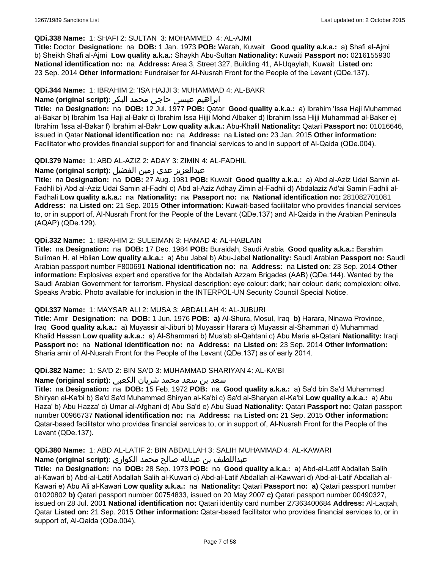### **QDi.338 Name:** 1: SHAFI 2: SULTAN 3: MOHAMMED 4: AL-AJMI

**Title:** Doctor **Designation:** na **DOB:** 1 Jan. 1973 **POB:** Warah, Kuwait **Good quality a.k.a.:** a) Shafi al-Ajmi b) Sheikh Shafi al-Ajmi **Low quality a.k.a.:** Shaykh Abu-Sultan **Nationality:** Kuwaiti **Passport no:** 0216155930 **National identification no:** na **Address:** Area 3, Street 327, Building 41, Al-Uqaylah, Kuwait **Listed on:** 23 Sep. 2014 **Other information:** Fundraiser for Al-Nusrah Front for the People of the Levant (QDe.137).

#### **QDi.344 Name:** 1: IBRAHIM 2: 'ISA HAJJI 3: MUHAMMAD 4: AL-BAKR

# ابراهیم عیسی حاجي محمد البکر **:(script original (Name**

**Title:** na **Designation:** na **DOB:** 12 Jul. 1977 **POB:** Qatar **Good quality a.k.a.:** a) Ibrahim 'Issa Haji Muhammad al-Bakar b) Ibrahim 'Isa Haji al-Bakr c) Ibrahim Issa Hijji Mohd Albaker d) Ibrahim Issa Hijji Muhammad al-Baker e) Ibrahim 'Issa al-Bakar f) Ibrahim al-Bakr **Low quality a.k.a.:** Abu-Khalil **Nationality:** Qatari **Passport no:** 01016646, issued in Qatar **National identification no:** na **Address:** na **Listed on:** 23 Jan. 2015 **Other information:** Facilitator who provides financial support for and financial services to and in support of Al-Qaida (QDe.004).

### **QDi.379 Name:** 1: ABD AL-AZIZ 2: ADAY 3: ZIMIN 4: AL-FADHIL

# عبدالعزیز عدي زمین الفضیل **:(script original (Name**

**Title:** na **Designation:** na **DOB:** 27 Aug. 1981 **POB:** Kuwait **Good quality a.k.a.:** a) Abd al-Aziz Udai Samin al-Fadhli b) Abd al-Aziz Udai Samin al-Fadhl c) Abd al-Aziz Adhay Zimin al-Fadhli d) Abdalaziz Ad'ai Samin Fadhli al-Fadhali **Low quality a.k.a.:** na **Nationality:** na **Passport no:** na **National identification no:** 281082701081 **Address:** na **Listed on:** 21 Sep. 2015 **Other information:** Kuwait-based facilitator who provides financial services to, or in support of, Al-Nusrah Front for the People of the Levant (QDe.137) and Al-Qaida in the Arabian Peninsula (AQAP) (QDe.129).

### **QDi.332 Name:** 1: IBRAHIM 2: SULEIMAN 3: HAMAD 4: AL-HABLAIN

**Title:** na **Designation:** na **DOB:** 17 Dec. 1984 **POB:** Buraidah, Saudi Arabia **Good quality a.k.a.:** Barahim Suliman H. al Hblian **Low quality a.k.a.:** a) Abu Jabal b) Abu-Jabal **Nationality:** Saudi Arabian **Passport no:** Saudi Arabian passport number F800691 **National identification no:** na **Address:** na **Listed on:** 23 Sep. 2014 **Other information:** Explosives expert and operative for the Abdallah Azzam Brigades (AAB) (QDe.144). Wanted by the Saudi Arabian Government for terrorism. Physical description: eye colour: dark; hair colour: dark; complexion: olive. Speaks Arabic. Photo available for inclusion in the INTERPOL-UN Security Council Special Notice.

# **QDi.337 Name:** 1: MAYSAR ALI 2: MUSA 3: ABDALLAH 4: AL-JUBURI

**Title:** Amir **Designation:** na **DOB:** 1 Jun. 1976 **POB: a)** Al-Shura, Mosul, Iraq **b)** Harara, Ninawa Province, Iraq **Good quality a.k.a.:** a) Muyassir al-Jiburi b) Muyassir Harara c) Muyassir al-Shammari d) Muhammad Khalid Hassan **Low quality a.k.a.:** a) Al-Shammari b) Mus'ab al-Qahtani c) Abu Maria al-Qatani **Nationality:** Iraqi **Passport no:** na **National identification no:** na **Address:** na **Listed on:** 23 Sep. 2014 **Other information:** Sharia amir of Al-Nusrah Front for the People of the Levant (QDe.137) as of early 2014.

#### **QDi.382 Name:** 1: SA'D 2: BIN SA'D 3: MUHAMMAD SHARIYAN 4: AL-KA'BI

## سعد بن سعد محمد شریان الكعبي **:(script original (Name**

**Title:** na **Designation:** na **DOB:** 15 Feb. 1972 **POB:** na **Good quality a.k.a.:** a) Sa'd bin Sa'd Muhammad Shiryan al-Ka'bi b) Sa'd Sa'd Muhammad Shiryan al-Ka'bi c) Sa'd al-Sharyan al-Ka'bi **Low quality a.k.a.:** a) Abu Haza' b) Abu Hazza' c) Umar al-Afghani d) Abu Sa'd e) Abu Suad **Nationality:** Qatari **Passport no:** Qatari passport number 00966737 **National identification no:** na **Address:** na **Listed on:** 21 Sep. 2015 **Other information:** Qatar-based facilitator who provides financial services to, or in support of, Al-Nusrah Front for the People of the Levant (QDe.137).

# **QDi.380 Name:** 1: ABD AL-LATIF 2: BIN ABDALLAH 3: SALIH MUHAMMAD 4: AL-KAWARI

# عبداللطیف بن عبدلله صالح محمد الكواري **:(script original (Name**

**Title:** na **Designation:** na **DOB:** 28 Sep. 1973 **POB:** na **Good quality a.k.a.:** a) Abd-al-Latif Abdallah Salih al-Kawari b) Abd-al-Latif Abdallah Salih al-Kuwari c) Abd-al-Latif Abdallah al-Kawwari d) Abd-al-Latif Abdallah al-Kawari e) Abu Ali al-Kawari **Low quality a.k.a.:** na **Nationality:** Qatari **Passport no: a)** Qatari passport number 01020802 **b)** Qatari passport number 00754833, issued on 20 May 2007 **c)** Qatari passport number 00490327, issued on 28 Jul. 2001 **National identification no:** Qatari identity card number 27363400684 **Address:** Al-Laqtah, Qatar **Listed on:** 21 Sep. 2015 **Other information:** Qatar-based facilitator who provides financial services to, or in support of, Al-Qaida (QDe.004).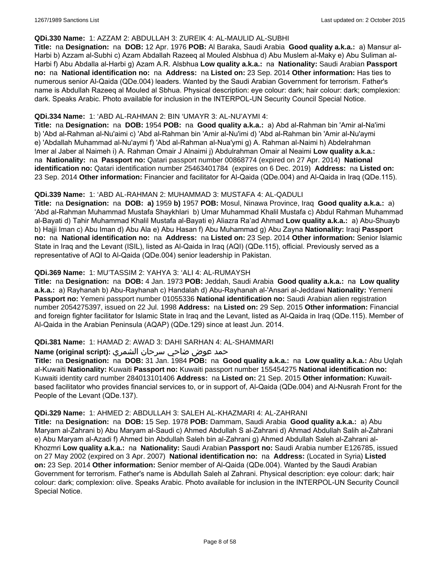#### **QDi.330 Name:** 1: AZZAM 2: ABDULLAH 3: ZUREIK 4: AL-MAULID AL-SUBHI

**Title:** na **Designation:** na **DOB:** 12 Apr. 1976 **POB:** Al Baraka, Saudi Arabia **Good quality a.k.a.:** a) Mansur al-Harbi b) Azzam al-Subhi c) Azam Abdallah Razeeq al Mouled Alsbhua d) Abu Muslem al-Maky e) Abu Suliman al-Harbi f) Abu Abdalla al-Harbi g) Azam A.R. Alsbhua **Low quality a.k.a.:** na **Nationality:** Saudi Arabian **Passport no:** na **National identification no:** na **Address:** na **Listed on:** 23 Sep. 2014 **Other information:** Has ties to numerous senior Al-Qaida (QDe.004) leaders. Wanted by the Saudi Arabian Government for terrorism. Father's name is Abdullah Razeeq al Mouled al Sbhua. Physical description: eye colour: dark; hair colour: dark; complexion: dark. Speaks Arabic. Photo available for inclusion in the INTERPOL-UN Security Council Special Notice.

### **QDi.334 Name:** 1: 'ABD AL-RAHMAN 2: BIN 'UMAYR 3: AL-NU'AYMI 4:

**Title:** na **Designation:** na **DOB:** 1954 **POB:** na **Good quality a.k.a.:** a) Abd al-Rahman bin 'Amir al-Na'imi b) 'Abd al-Rahman al-Nu'aimi c) 'Abd al-Rahman bin 'Amir al-Nu'imi d) 'Abd al-Rahman bin 'Amir al-Nu'aymi e) 'Abdallah Muhammad al-Nu'aymi f) 'Abd al-Rahman al-Nua'ymi g) A. Rahman al-Naimi h) Abdelrahman Imer al Jaber al Naimeh i) A. Rahman Omair J Alnaimi j) Abdulrahman Omair al Neaimi **Low quality a.k.a.:**  na **Nationality:** na **Passport no:** Qatari passport number 00868774 (expired on 27 Apr. 2014) **National identification no:** Qatari identification number 25463401784 (expires on 6 Dec. 2019) **Address:** na **Listed on:** 23 Sep. 2014 **Other information:** Financier and facilitator for Al-Qaida (QDe.004) and Al-Qaida in Iraq (QDe.115).

### **QDi.339 Name:** 1: 'ABD AL-RAHMAN 2: MUHAMMAD 3: MUSTAFA 4: AL-QADULI

**Title:** na **Designation:** na **DOB: a)** 1959 **b)** 1957 **POB:** Mosul, Ninawa Province, Iraq **Good quality a.k.a.:** a) 'Abd al-Rahman Muhammad Mustafa Shaykhlari b) Umar Muhammad Khalil Mustafa c) Abdul Rahman Muhammad al-Bayati d) Tahir Muhammad Khalil Mustafa al-Bayati e) Aliazra Ra'ad Ahmad **Low quality a.k.a.:** a) Abu-Shuayb b) Hajji Iman c) Abu Iman d) Abu Ala e) Abu Hasan f) Abu Muhammad g) Abu Zayna **Nationality:** Iraqi **Passport no:** na **National identification no:** na **Address:** na **Listed on:** 23 Sep. 2014 **Other information:** Senior Islamic State in Iraq and the Levant (ISIL), listed as Al-Qaida in Iraq (AQI) (QDe.115), official. Previously served as a representative of AQI to Al-Qaida (QDe.004) senior leadership in Pakistan.

# **QDi.369 Name:** 1: MU'TASSIM 2: YAHYA 3: 'ALI 4: AL-RUMAYSH

**Title:** na **Designation:** na **DOB:** 4 Jan. 1973 **POB:** Jeddah, Saudi Arabia **Good quality a.k.a.:** na **Low quality a.k.a.:** a) Rayhanah b) Abu-Rayhanah c) Handalah d) Abu-Rayhanah al-'Ansari al-Jeddawi **Nationality:** Yemeni **Passport no:** Yemeni passport number 01055336 **National identification no:** Saudi Arabian alien registration number 2054275397, issued on 22 Jul. 1998 **Address:** na **Listed on:** 29 Sep. 2015 **Other information:** Financial and foreign fighter facilitator for Islamic State in Iraq and the Levant, listed as Al-Qaida in Iraq (QDe.115). Member of Al-Qaida in the Arabian Peninsula (AQAP) (QDe.129) since at least Jun. 2014.

#### **QDi.381 Name:** 1: HAMAD 2: AWAD 3: DAHI SARHAN 4: AL-SHAMMARI

# حمد عوض ضاحي سرحان الشمري **:(script original (Name**

**Title:** na **Designation:** na **DOB:** 31 Jan. 1984 **POB:** na **Good quality a.k.a.:** na **Low quality a.k.a.:** Abu Uqlah al-Kuwaiti **Nationality:** Kuwaiti **Passport no:** Kuwaiti passport number 155454275 **National identification no:** Kuwaiti identity card number 284013101406 **Address:** na **Listed on:** 21 Sep. 2015 **Other information:** Kuwaitbased facilitator who provides financial services to, or in support of, Al-Qaida (QDe.004) and Al-Nusrah Front for the People of the Levant (QDe.137).

#### **QDi.329 Name:** 1: AHMED 2: ABDULLAH 3: SALEH AL-KHAZMARI 4: AL-ZAHRANI

**Title:** na **Designation:** na **DOB:** 15 Sep. 1978 **POB:** Dammam, Saudi Arabia **Good quality a.k.a.:** a) Abu Maryam al-Zahrani b) Abu Maryam al-Saudi c) Ahmed Abdullah S al-Zahrani d) Ahmad Abdullah Salih al-Zahrani e) Abu Maryam al-Azadi f) Ahmed bin Abdullah Saleh bin al-Zahrani g) Ahmed Abdullah Saleh al-Zahrani al-Khozmri **Low quality a.k.a.:** na **Nationality:** Saudi Arabian **Passport no:** Saudi Arabia number E126785, issued on 27 May 2002 (expired on 3 Apr. 2007) **National identification no:** na **Address:** (Located in Syria) **Listed on:** 23 Sep. 2014 **Other information:** Senior member of Al-Qaida (QDe.004). Wanted by the Saudi Arabian Government for terrorism. Father's name is Abdullah Saleh al Zahrani. Physical description: eye colour: dark; hair colour: dark; complexion: olive. Speaks Arabic. Photo available for inclusion in the INTERPOL-UN Security Council Special Notice.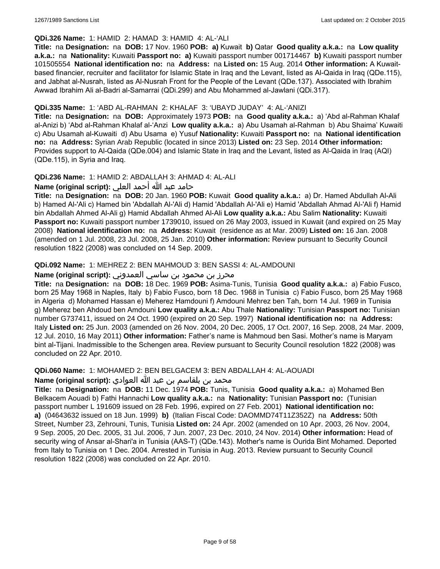### **QDi.326 Name:** 1: HAMID 2: HAMAD 3: HAMID 4: AL-'ALI

**Title:** na **Designation:** na **DOB:** 17 Nov. 1960 **POB: a)** Kuwait **b)** Qatar **Good quality a.k.a.:** na **Low quality a.k.a.:** na **Nationality:** Kuwaiti **Passport no: a)** Kuwaiti passport number 001714467 **b)** Kuwaiti passport number 101505554 **National identification no:** na **Address:** na **Listed on:** 15 Aug. 2014 **Other information:** A Kuwaitbased financier, recruiter and facilitator for Islamic State in Iraq and the Levant, listed as Al-Qaida in Iraq (QDe.115), and Jabhat al-Nusrah, listed as Al-Nusrah Front for the People of the Levant (QDe.137). Associated with Ibrahim Awwad Ibrahim Ali al-Badri al-Samarrai (QDi.299) and Abu Mohammed al-Jawlani (QDi.317).

# **QDi.335 Name:** 1: 'ABD AL-RAHMAN 2: KHALAF 3: 'UBAYD JUDAY' 4: AL-'ANIZI

**Title:** na **Designation:** na **DOB:** Approximately 1973 **POB:** na **Good quality a.k.a.:** a) 'Abd al-Rahman Khalaf al-Anizi b) 'Abd al-Rahman Khalaf al-'Anzi **Low quality a.k.a.:** a) Abu Usamah al-Rahman b) Abu Shaima' Kuwaiti c) Abu Usamah al-Kuwaiti d) Abu Usama e) Yusuf **Nationality:** Kuwaiti **Passport no:** na **National identification no:** na **Address:** Syrian Arab Republic (located in since 2013) **Listed on:** 23 Sep. 2014 **Other information:** Provides support to Al-Qaida (QDe.004) and Islamic State in Iraq and the Levant, listed as Al-Qaida in Iraq (AQI) (QDe.115), in Syria and Iraq.

### **QDi.236 Name:** 1: HAMID 2: ABDALLAH 3: AHMAD 4: AL-ALI

حامد عبد الله أحمد العلي **:(script original (Name**

**Title:** na **Designation:** na **DOB:** 20 Jan. 1960 **POB:** Kuwait **Good quality a.k.a.:** a) Dr. Hamed Abdullah Al-Ali b) Hamed Al-'Ali c) Hamed bin 'Abdallah Al-'Ali d) Hamid 'Abdallah Al-'Ali e) Hamid 'Abdallah Ahmad Al-'Ali f) Hamid bin Abdallah Ahmed Al-Ali g) Hamid Abdallah Ahmed Al-Ali **Low quality a.k.a.:** Abu Salim **Nationality:** Kuwaiti **Passport no:** Kuwaiti passport number 1739010, issued on 26 May 2003, issued in Kuwait (and expired on 25 May 2008) **National identification no:** na **Address:** Kuwait (residence as at Mar. 2009) **Listed on:** 16 Jan. 2008 (amended on 1 Jul. 2008, 23 Jul. 2008, 25 Jan. 2010) **Other information:** Review pursuant to Security Council resolution 1822 (2008) was concluded on 14 Sep. 2009.

### **QDi.092 Name:** 1: MEHREZ 2: BEN MAHMOUD 3: BEN SASSI 4: AL-AMDOUNI

# محرز بن محمود بن ساسي العمدوني **:Name (original script)**

**Title:** na **Designation:** na **DOB:** 18 Dec. 1969 **POB:** Asima-Tunis, Tunisia **Good quality a.k.a.:** a) Fabio Fusco, born 25 May 1968 in Naples, Italy b) Fabio Fusco, born 18 Dec. 1968 in Tunisia c) Fabio Fusco, born 25 May 1968 in Algeria d) Mohamed Hassan e) Meherez Hamdouni f) Amdouni Mehrez ben Tah, born 14 Jul. 1969 in Tunisia g) Meherez ben Ahdoud ben Amdouni **Low quality a.k.a.:** Abu Thale **Nationality:** Tunisian **Passport no:** Tunisian number G737411, issued on 24 Oct. 1990 (expired on 20 Sep. 1997) **National identification no:** na **Address:** Italy **Listed on:** 25 Jun. 2003 (amended on 26 Nov. 2004, 20 Dec. 2005, 17 Oct. 2007, 16 Sep. 2008, 24 Mar. 2009, 12 Jul. 2010, 16 May 2011) **Other information:** Father's name is Mahmoud ben Sasi. Mother's name is Maryam bint al-Tijani. Inadmissible to the Schengen area. Review pursuant to Security Council resolution 1822 (2008) was concluded on 22 Apr. 2010.

**QDi.060 Name:** 1: MOHAMED 2: BEN BELGACEM 3: BEN ABDALLAH 4: AL-AOUADI

محمد بن بلقاسم بن عبد الله العوادي **:Name (original script**)

**Title:** na **Designation:** na **DOB:** 11 Dec. 1974 **POB:** Tunis, Tunisia **Good quality a.k.a.:** a) Mohamed Ben Belkacem Aouadi b) Fathi Hannachi **Low quality a.k.a.:** na **Nationality:** Tunisian **Passport no:** (Tunisian passport number L 191609 issued on 28 Feb. 1996, expired on 27 Feb. 2001) **National identification no: a)** (04643632 issued on 18 Jun. 1999) **b)** (Italian Fiscal Code: DAOMMD74T11Z352Z) na **Address:** 50th Street, Number 23, Zehrouni, Tunis, Tunisia **Listed on:** 24 Apr. 2002 (amended on 10 Apr. 2003, 26 Nov. 2004, 9 Sep. 2005, 20 Dec. 2005, 31 Jul. 2006, 7 Jun. 2007, 23 Dec. 2010, 24 Nov. 2014) **Other information:** Head of security wing of Ansar al-Shari'a in Tunisia (AAS-T) (QDe.143). Mother's name is Ourida Bint Mohamed. Deported from Italy to Tunisia on 1 Dec. 2004. Arrested in Tunisia in Aug. 2013. Review pursuant to Security Council resolution 1822 (2008) was concluded on 22 Apr. 2010.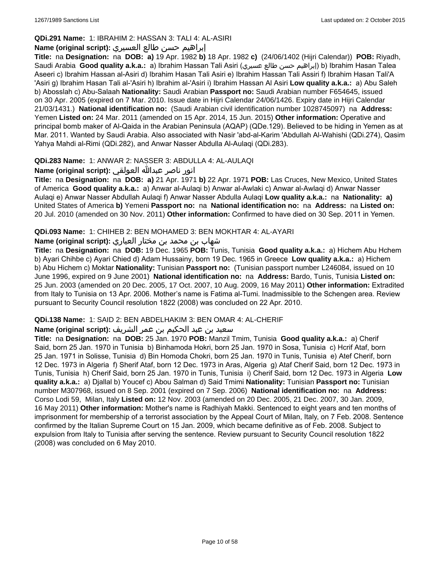# **QDi.291 Name:** 1: IBRAHIM 2: HASSAN 3: TALI 4: AL-ASIRI

# إبراهيم حسن طالع العسيري **:(script original (Name**

**Title:** na **Designation:** na **DOB: a)** 19 Apr. 1982 **b)** 18 Apr. 1982 **c)** (24/06/1402 (Hijri Calendar)) **POB:** Riyadh, Saudi Arabia **Good quality a.k.a.:** a) Ibrahim Hassan Tali Asiri (عسيري طالع حسن إبراهيم (b) Ibrahim Hasan Talea Aseeri c) Ibrahim Hassan al-Asiri d) Ibrahim Hasan Tali Asiri e) Ibrahim Hassan Tali Assiri f) Ibrahim Hasan Tali'A 'Asiri g) Ibrahim Hasan Tali al-'Asiri h) Ibrahim al-'Asiri i) Ibrahim Hassan Al Asiri **Low quality a.k.a.:** a) Abu Saleh b) Abosslah c) Abu-Salaah **Nationality:** Saudi Arabian **Passport no:** Saudi Arabian number F654645, issued on 30 Apr. 2005 (expired on 7 Mar. 2010. Issue date in Hijri Calendar 24/06/1426. Expiry date in Hijri Calendar 21/03/1431.) **National identification no:** (Saudi Arabian civil identification number 1028745097) na **Address:** Yemen **Listed on:** 24 Mar. 2011 (amended on 15 Apr. 2014, 15 Jun. 2015) **Other information:** Operative and principal bomb maker of Al-Qaida in the Arabian Peninsula (AQAP) (QDe.129). Believed to be hiding in Yemen as at Mar. 2011. Wanted by Saudi Arabia. Also associated with Nasir 'abd-al-Karim 'Abdullah Al-Wahishi (QDi.274), Qasim Yahya Mahdi al-Rimi (QDi.282), and Anwar Nasser Abdulla Al-Aulaqi (QDi.283).

# **QDi.283 Name:** 1: ANWAR 2: NASSER 3: ABDULLA 4: AL-AULAQI

انور ناصر عبدالله العولقي **:(script original (Name**

**Title:** na **Designation:** na **DOB: a)** 21 Apr. 1971 **b)** 22 Apr. 1971 **POB:** Las Cruces, New Mexico, United States of America **Good quality a.k.a.:** a) Anwar al-Aulaqi b) Anwar al-Awlaki c) Anwar al-Awlaqi d) Anwar Nasser Aulaqi e) Anwar Nasser Abdullah Aulaqi f) Anwar Nasser Abdulla Aulaqi **Low quality a.k.a.:** na **Nationality: a)** United States of America **b)** Yemeni **Passport no:** na **National identification no:** na **Address:** na **Listed on:** 20 Jul. 2010 (amended on 30 Nov. 2011) **Other information:** Confirmed to have died on 30 Sep. 2011 in Yemen.

# **QDi.093 Name:** 1: CHIHEB 2: BEN MOHAMED 3: BEN MOKHTAR 4: AL-AYARI

# شهاب بن محمد بن مختار العياري **:(script original (Name**

**Title:** na **Designation:** na **DOB:** 19 Dec. 1965 **POB:** Tunis, Tunisia **Good quality a.k.a.:** a) Hichem Abu Hchem b) Ayari Chihbe c) Ayari Chied d) Adam Hussainy, born 19 Dec. 1965 in Greece **Low quality a.k.a.:** a) Hichem b) Abu Hichem c) Moktar **Nationality:** Tunisian **Passport no:** (Tunisian passport number L246084, issued on 10 June 1996, expired on 9 June 2001) **National identification no:** na **Address:** Bardo, Tunis, Tunisia **Listed on:** 25 Jun. 2003 (amended on 20 Dec. 2005, 17 Oct. 2007, 10 Aug. 2009, 16 May 2011) **Other information:** Extradited from Italy to Tunisia on 13 Apr. 2006. Mother's name is Fatima al-Tumi. Inadmissible to the Schengen area. Review pursuant to Security Council resolution 1822 (2008) was concluded on 22 Apr. 2010.

# **QDi.138 Name:** 1: SAID 2: BEN ABDELHAKIM 3: BEN OMAR 4: AL-CHERIF

# سعيد بن عبد الحكيم بن عمر الشريف **:(script original (Name**

**Title:** na **Designation:** na **DOB:** 25 Jan. 1970 **POB:** Manzil Tmim, Tunisia **Good quality a.k.a.:** a) Cherif Said, born 25 Jan. 1970 in Tunisia b) Binhamoda Hokri, born 25 Jan. 1970 in Sosa, Tunisia c) Hcrif Ataf, born 25 Jan. 1971 in Solisse, Tunisia d) Bin Homoda Chokri, born 25 Jan. 1970 in Tunis, Tunisia e) Atef Cherif, born 12 Dec. 1973 in Algeria f) Sherif Ataf, born 12 Dec. 1973 in Aras, Algeria g) Ataf Cherif Said, born 12 Dec. 1973 in Tunis, Tunisia h) Cherif Said, born 25 Jan. 1970 in Tunis, Tunisia i) Cherif Said, born 12 Dec. 1973 in Algeria **Low quality a.k.a.:** a) Djallal b) Youcef c) Abou Salman d) Said Tmimi **Nationality:** Tunisian **Passport no:** Tunisian number M307968, issued on 8 Sep. 2001 (expired on 7 Sep. 2006) **National identification no:** na **Address:** Corso Lodi 59, Milan, Italy **Listed on:** 12 Nov. 2003 (amended on 20 Dec. 2005, 21 Dec. 2007, 30 Jan. 2009, 16 May 2011) **Other information:** Mother's name is Radhiyah Makki. Sentenced to eight years and ten months of imprisonment for membership of a terrorist association by the Appeal Court of Milan, Italy, on 7 Feb. 2008. Sentence confirmed by the Italian Supreme Court on 15 Jan. 2009, which became definitive as of Feb. 2008. Subject to expulsion from Italy to Tunisia after serving the sentence. Review pursuant to Security Council resolution 1822 (2008) was concluded on 6 May 2010.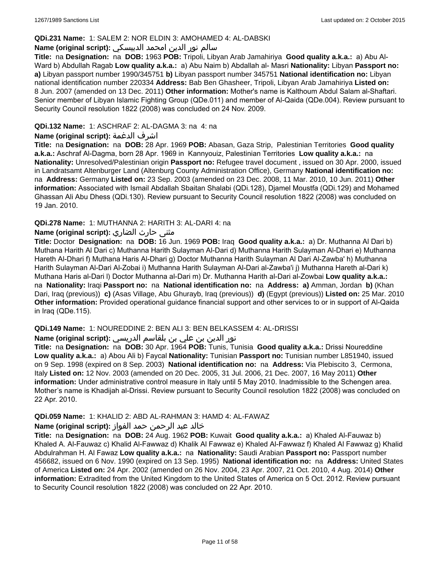## **QDi.231 Name:** 1: SALEM 2: NOR ELDIN 3: AMOHAMED 4: AL-DABSKI

# سالم نور الدين امحمد الدبيسكي **:(script original (Name**

**Title:** na **Designation:** na **DOB:** 1963 **POB:** Tripoli, Libyan Arab Jamahiriya **Good quality a.k.a.:** a) Abu Al-Ward b) Abdullah Ragab **Low quality a.k.a.:** a) Abu Naim b) Abdallah al- Masri **Nationality:** Libyan **Passport no: a)** Libyan passport number 1990/345751 **b)** Libyan passport number 345751 **National identification no:** Libyan national identification number 220334 **Address:** Bab Ben Ghasheer, Tripoli, Libyan Arab Jamahiriya **Listed on:** 8 Jun. 2007 (amended on 13 Dec. 2011) **Other information:** Mother's name is Kalthoum Abdul Salam al-Shaftari. Senior member of Libyan Islamic Fighting Group (QDe.011) and member of Al-Qaida (QDe.004). Review pursuant to Security Council resolution 1822 (2008) was concluded on 24 Nov. 2009.

## **QDi.132 Name:** 1: ASCHRAF 2: AL-DAGMA 3: na 4: na

## **Name (original script):** الدغمة اشرف

**Title:** na **Designation:** na **DOB:** 28 Apr. 1969 **POB:** Abasan, Gaza Strip, Palestinian Territories **Good quality a.k.a.:** Aschraf Al-Dagma, born 28 Apr. 1969 in Kannyouiz, Palestinian Territories **Low quality a.k.a.:** na **Nationality:** Unresolved/Palestinian origin **Passport no:** Refugee travel document , issued on 30 Apr. 2000, issued in Landratsamt Altenburger Land (Altenburg County Administration Office), Germany **National identification no:**  na **Address:** Germany **Listed on:** 23 Sep. 2003 (amended on 23 Dec. 2008, 11 Mar. 2010, 10 Jun. 2011) **Other information:** Associated with Ismail Abdallah Sbaitan Shalabi (QDi.128), Djamel Moustfa (QDi.129) and Mohamed Ghassan Ali Abu Dhess (QDi.130). Review pursuant to Security Council resolution 1822 (2008) was concluded on 19 Jan. 2010.

### **QDi.278 Name:** 1: MUTHANNA 2: HARITH 3: AL-DARI 4: na

### مثنى حارث الضاري **:Name (original script**)

**Title:** Doctor **Designation:** na **DOB:** 16 Jun. 1969 **POB:** Iraq **Good quality a.k.a.:** a) Dr. Muthanna Al Dari b) Muthana Harith Al Dari c) Muthanna Harith Sulayman Al-Dari d) Muthanna Harith Sulayman Al-Dhari e) Muthanna Hareth Al-Dhari f) Muthana Haris Al-Dhari g) Doctor Muthanna Harith Sulayman Al Dari Al-Zawba' h) Muthanna Harith Sulayman Al-Dari Al-Zobai i) Muthanna Harith Sulayman Al-Dari al-Zawba'i j) Muthanna Hareth al-Dari k) Muthana Haris al-Dari l) Doctor Muthanna al-Dari m) Dr. Muthanna Harith al-Dari al-Zowbai **Low quality a.k.a.:**  na **Nationality:** Iraqi **Passport no:** na **National identification no:** na **Address: a)** Amman, Jordan **b)** (Khan Dari, Iraq (previous)) **c)** (Asas Village, Abu Ghurayb, Iraq (previous)) **d)** (Egypt (previous)) **Listed on:** 25 Mar. 2010 **Other information:** Provided operational guidance financial support and other services to or in support of Al-Qaida in Iraq (QDe.115).

#### **QDi.149 Name:** 1: NOUREDDINE 2: BEN ALI 3: BEN BELKASSEM 4: AL-DRISSI

#### نور الدين بن علي بن بلقاسم الدريسي **:(script original (Name**

**Title:** na **Designation:** na **DOB:** 30 Apr. 1964 **POB:** Tunis, Tunisia **Good quality a.k.a.:** Drissi Noureddine **Low quality a.k.a.:** a) Abou Ali b) Faycal **Nationality:** Tunisian **Passport no:** Tunisian number L851940, issued on 9 Sep. 1998 (expired on 8 Sep. 2003) **National identification no:** na **Address:** Via Plebiscito 3, Cermona, Italy **Listed on:** 12 Nov. 2003 (amended on 20 Dec. 2005, 31 Jul. 2006, 21 Dec. 2007, 16 May 2011) **Other information:** Under administrative control measure in Italy until 5 May 2010. Inadmissible to the Schengen area. Mother's name is Khadijah al-Drissi. Review pursuant to Security Council resolution 1822 (2008) was concluded on 22 Apr. 2010.

# **QDi.059 Name:** 1: KHALID 2: ABD AL-RAHMAN 3: HAMD 4: AL-FAWAZ

# خالد عبد الرحمن حمد الفواز **:(script original (Name**

**Title:** na **Designation:** na **DOB:** 24 Aug. 1962 **POB:** Kuwait **Good quality a.k.a.:** a) Khaled Al-Fauwaz b) Khaled A. Al-Fauwaz c) Khalid Al-Fawwaz d) Khalik Al Fawwaz e) Khaled Al-Fawwaz f) Khaled Al Fawwaz g) Khalid Abdulrahman H. Al Fawaz **Low quality a.k.a.:** na **Nationality:** Saudi Arabian **Passport no:** Passport number 456682, issued on 6 Nov. 1990 (expired on 13 Sep. 1995) **National identification no:** na **Address:** United States of America **Listed on:** 24 Apr. 2002 (amended on 26 Nov. 2004, 23 Apr. 2007, 21 Oct. 2010, 4 Aug. 2014) **Other information:** Extradited from the United Kingdom to the United States of America on 5 Oct. 2012. Review pursuant to Security Council resolution 1822 (2008) was concluded on 22 Apr. 2010.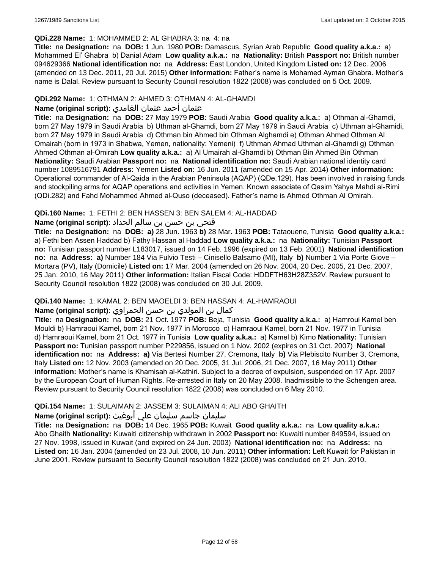### **QDi.228 Name:** 1: MOHAMMED 2: AL GHABRA 3: na 4: na

**Title:** na **Designation:** na **DOB:** 1 Jun. 1980 **POB:** Damascus, Syrian Arab Republic **Good quality a.k.a.:** a) Mohammed El' Ghabra b) Danial Adam **Low quality a.k.a.:** na **Nationality:** British **Passport no:** British number 094629366 **National identification no:** na **Address:** East London, United Kingdom **Listed on:** 12 Dec. 2006 (amended on 13 Dec. 2011, 20 Jul. 2015) **Other information:** Father's name is Mohamed Ayman Ghabra. Mother's name is Dalal. Review pursuant to Security Council resolution 1822 (2008) was concluded on 5 Oct. 2009.

## **QDi.292 Name:** 1: OTHMAN 2: AHMED 3: OTHMAN 4: AL-GHAMDI

## عثمان أحمد عثمان الغامدي **:(script original (Name**

**Title:** na **Designation:** na **DOB:** 27 May 1979 **POB:** Saudi Arabia **Good quality a.k.a.:** a) Othman al-Ghamdi, born 27 May 1979 in Saudi Arabia b) Uthman al-Ghamdi, born 27 May 1979 in Saudi Arabia c) Uthman al-Ghamidi, born 27 May 1979 in Saudi Arabia d) Othman bin Ahmed bin Othman Alghamdi e) Othman Ahmed Othman Al Omairah (born in 1973 in Shabwa, Yemen, nationality: Yemeni) f) Uthman Ahmad Uthman al-Ghamdi g) Othman Ahmed Othman al-Omirah **Low quality a.k.a.:** a) Al Umairah al-Ghamdi b) Othman Bin Ahmed Bin Othman **Nationality:** Saudi Arabian **Passport no:** na **National identification no:** Saudi Arabian national identity card number 1089516791 **Address:** Yemen **Listed on:** 16 Jun. 2011 (amended on 15 Apr. 2014) **Other information:** Operational commander of Al-Qaida in the Arabian Peninsula (AQAP) (QDe.129). Has been involved in raising funds and stockpiling arms for AQAP operations and activities in Yemen. Known associate of Qasim Yahya Mahdi al-Rimi (QDi.282) and Fahd Mohammed Ahmed al-Quso (deceased). Father's name is Ahmed Othman Al Omirah.

### **QDi.160 Name:** 1: FETHI 2: BEN HASSEN 3: BEN SALEM 4: AL-HADDAD

### فتحي بن حسن بن سالم الحداد **:(script original (Name**

**Title:** na **Designation:** na **DOB: a)** 28 Jun. 1963 **b)** 28 Mar. 1963 **POB:** Tataouene, Tunisia **Good quality a.k.a.:** a) Fethi ben Assen Haddad b) Fathy Hassan al Haddad **Low quality a.k.a.:** na **Nationality:** Tunisian **Passport no:** Tunisian passport number L183017, issued on 14 Feb. 1996 (expired on 13 Feb. 2001) **National identification no:** na **Address: a)** Number 184 Via Fulvio Testi – Cinisello Balsamo (MI), Italy **b)** Number 1 Via Porte Giove – Mortara (PV), Italy (Domicile) **Listed on:** 17 Mar. 2004 (amended on 26 Nov. 2004, 20 Dec. 2005, 21 Dec. 2007, 25 Jan. 2010, 16 May 2011) **Other information:** Italian Fiscal Code: HDDFTH63H28Z352V. Review pursuant to Security Council resolution 1822 (2008) was concluded on 30 Jul. 2009.

# **QDi.140 Name:** 1: KAMAL 2: BEN MAOELDI 3: BEN HASSAN 4: AL-HAMRAOUI

# كمال بن المولدي بن حسن الحمراوي **:(script original (Name**

**Title:** na **Designation:** na **DOB:** 21 Oct. 1977 **POB:** Beja, Tunisia **Good quality a.k.a.:** a) Hamroui Kamel ben Mouldi b) Hamraoui Kamel, born 21 Nov. 1977 in Morocco c) Hamraoui Kamel, born 21 Nov. 1977 in Tunisia d) Hamraoui Kamel, born 21 Oct. 1977 in Tunisia **Low quality a.k.a.:** a) Kamel b) Kimo **Nationality:** Tunisian **Passport no:** Tunisian passport number P229856, issued on 1 Nov. 2002 (expires on 31 Oct. 2007) **National identification no:** na **Address: a)** Via Bertesi Number 27, Cremona, Italy **b)** Via Plebiscito Number 3, Cremona, Italy **Listed on:** 12 Nov. 2003 (amended on 20 Dec. 2005, 31 Jul. 2006, 21 Dec. 2007, 16 May 2011) **Other information:** Mother's name is Khamisah al-Kathiri. Subject to a decree of expulsion, suspended on 17 Apr. 2007 by the European Court of Human Rights. Re-arrested in Italy on 20 May 2008. Inadmissible to the Schengen area. Review pursuant to Security Council resolution 1822 (2008) was concluded on 6 May 2010.

# **QDi.154 Name:** 1: SULAIMAN 2: JASSEM 3: SULAIMAN 4: ALI ABO GHAITH

## سليمان جاسم سليمان علي أبوغيث **:(script original (Name**

**Title:** na **Designation:** na **DOB:** 14 Dec. 1965 **POB:** Kuwait **Good quality a.k.a.:** na **Low quality a.k.a.:** Abo Ghaith **Nationality:** Kuwaiti citizenship withdrawn in 2002 **Passport no:** Kuwaiti number 849594, issued on 27 Nov. 1998, issued in Kuwait (and expired on 24 Jun. 2003) **National identification no:** na **Address:** na **Listed on:** 16 Jan. 2004 (amended on 23 Jul. 2008, 10 Jun. 2011) **Other information:** Left Kuwait for Pakistan in June 2001. Review pursuant to Security Council resolution 1822 (2008) was concluded on 21 Jun. 2010.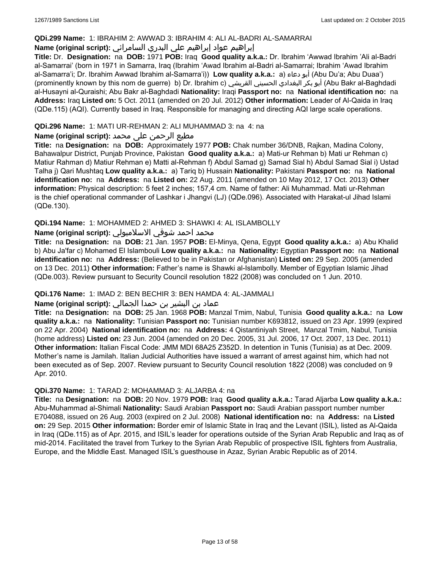## **QDi.299 Name:** 1: IBRAHIM 2: AWWAD 3: IBRAHIM 4: ALI AL-BADRI AL-SAMARRAI

# إبراهيم عواد إبراهيم علي البدري السامرائي **:(script original (Name**

**Title:** Dr. **Designation:** na **DOB:** 1971 **POB:** Iraq **Good quality a.k.a.:** Dr. Ibrahim 'Awwad Ibrahim 'Ali al-Badri al-Samarrai' (born in 1971 in Samarra, Iraq (Ibrahim 'Awad Ibrahim al-Badri al-Samarrai; Ibrahim 'Awad Ibrahim al-Samarra'i; Dr. Ibrahim Awwad Ibrahim al-Samarra'i)) **Low quality a.k.a.:** a) دعاء أبو) Abu Du'a; Abu Duaa') (prominently known by this nom de guerre) b) Dr. Ibrahim c) القريشي الحسيني البغدادي بكر أبو) Abu Bakr al-Baghdadi al-Husayni al-Quraishi; Abu Bakr al-Baghdadi **Nationality:** Iraqi **Passport no:** na **National identification no:** na **Address:** Iraq **Listed on:** 5 Oct. 2011 (amended on 20 Jul. 2012) **Other information:** Leader of Al-Qaida in Iraq (QDe.115) (AQI). Currently based in Iraq. Responsible for managing and directing AQI large scale operations.

# **QDi.296 Name:** 1: MATI UR-REHMAN 2: ALI MUHAMMAD 3: na 4: na

# مطیع الرحمن علی محمد **:Name (original script)**

**Title:** na **Designation:** na **DOB:** Approximately 1977 **POB:** Chak number 36/DNB, Rajkan, Madina Colony, Bahawalpur District, Punjab Province, Pakistan **Good quality a.k.a.:** a) Mati-ur Rehman b) Mati ur Rehman c) Matiur Rahman d) Matiur Rehman e) Matti al-Rehman f) Abdul Samad g) Samad Sial h) Abdul Samad Sial i) Ustad Talha j) Qari Mushtaq **Low quality a.k.a.:** a) Tariq b) Hussain **Nationality:** Pakistani **Passport no:** na **National identification no:** na **Address:** na **Listed on:** 22 Aug. 2011 (amended on 10 May 2012, 17 Oct. 2013) **Other information:** Physical description: 5 feet 2 inches; 157,4 cm. Name of father: Ali Muhammad. Mati ur-Rehman is the chief operational commander of Lashkar i Jhangvi (LJ) (QDe.096). Associated with Harakat-ul Jihad Islami (QDe.130).

# **QDi.194 Name:** 1: MOHAMMED 2: AHMED 3: SHAWKI 4: AL ISLAMBOLLY

# محمد احمد شوقي الاسلامبولي **:Name (original script**)

**Title:** na **Designation:** na **DOB:** 21 Jan. 1957 **POB:** El-Minya, Qena, Egypt **Good quality a.k.a.:** a) Abu Khalid b) Abu Ja'far c) Mohamed El Islambouli **Low quality a.k.a.:** na **Nationality:** Egyptian **Passport no:** na **National identification no:** na **Address:** (Believed to be in Pakistan or Afghanistan) **Listed on:** 29 Sep. 2005 (amended on 13 Dec. 2011) **Other information:** Father's name is Shawki al-Islambolly. Member of Egyptian Islamic Jihad (QDe.003). Review pursuant to Security Council resolution 1822 (2008) was concluded on 1 Jun. 2010.

# **QDi.176 Name:** 1: IMAD 2: BEN BECHIR 3: BEN HAMDA 4: AL-JAMMALI

# عماد بن البشير بن حمدا الجمالي **:(script original (Name**

**Title:** na **Designation:** na **DOB:** 25 Jan. 1968 **POB:** Manzal Tmim, Nabul, Tunisia **Good quality a.k.a.:** na **Low quality a.k.a.:** na **Nationality:** Tunisian **Passport no:** Tunisian number K693812, issued on 23 Apr. 1999 (expired on 22 Apr. 2004) **National identification no:** na **Address:** 4 Qistantiniyah Street, Manzal Tmim, Nabul, Tunisia (home address) **Listed on:** 23 Jun. 2004 (amended on 20 Dec. 2005, 31 Jul. 2006, 17 Oct. 2007, 13 Dec. 2011) **Other information:** Italian Fiscal Code: JMM MDI 68A25 Z352D. In detention in Tunis (Tunisia) as at Dec. 2009. Mother's name is Jamilah. Italian Judicial Authorities have issued a warrant of arrest against him, which had not been executed as of Sep. 2007. Review pursuant to Security Council resolution 1822 (2008) was concluded on 9 Apr. 2010.

# **QDi.370 Name:** 1: TARAD 2: MOHAMMAD 3: ALJARBA 4: na

**Title:** na **Designation:** na **DOB:** 20 Nov. 1979 **POB:** Iraq **Good quality a.k.a.:** Tarad Aljarba **Low quality a.k.a.:** Abu-Muhammad al-Shimali **Nationality:** Saudi Arabian **Passport no:** Saudi Arabian passport number number E704088, issued on 26 Aug. 2003 (expired on 2 Jul. 2008) **National identification no:** na **Address:** na **Listed on:** 29 Sep. 2015 **Other information:** Border emir of Islamic State in Iraq and the Levant (ISIL), listed as Al-Qaida in Iraq (QDe.115) as of Apr. 2015, and ISIL's leader for operations outside of the Syrian Arab Republic and Iraq as of mid-2014. Facilitated the travel from Turkey to the Syrian Arab Republic of prospective ISIL fighters from Australia, Europe, and the Middle East. Managed ISIL's guesthouse in Azaz, Syrian Arabic Republic as of 2014.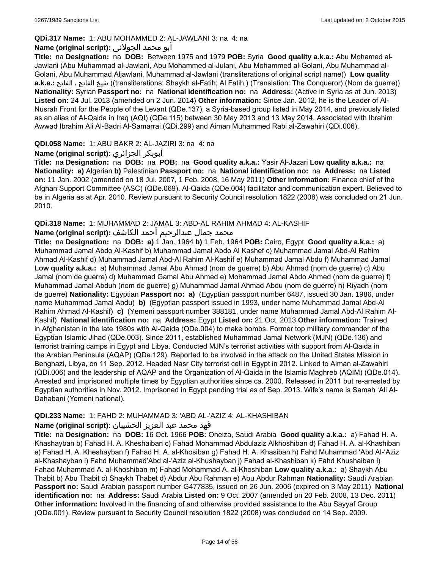## **QDi.317 Name:** 1: ABU MOHAMMED 2: AL-JAWLANI 3: na 4: na

## أبو محمد الجولاني **:(script original (Name**

**Title:** na **Designation:** na **DOB:** Between 1975 and 1979 **POB:** Syria **Good quality a.k.a.:** Abu Mohamed al-Jawlani (Abu Muhammad al-Jawlani, Abu Mohammed al-Julani, Abu Mohammed al-Golani, Abu Muhammad al-Golani, Abu Muhammad Aljawlani, Muhammad al-Jawlani (transliterations of original script name)) **Low quality a.k.a.:** الفاتح ، الفاتح شيخ)) transliterations: Shaykh al-Fatih; Al Fatih ) (Translation: The Conqueror) (Nom de guerre)) **Nationality:** Syrian **Passport no:** na **National identification no:** na **Address:** (Active in Syria as at Jun. 2013) **Listed on:** 24 Jul. 2013 (amended on 2 Jun. 2014) **Other information:** Since Jan. 2012, he is the Leader of Al-Nusrah Front for the People of the Levant (QDe.137), a Syria-based group listed in May 2014, and previously listed as an alias of Al-Qaida in Iraq (AQI) (QDe.115) between 30 May 2013 and 13 May 2014. Associated with Ibrahim Awwad Ibrahim Ali Al-Badri Al-Samarrai (QDi.299) and Aiman Muhammed Rabi al-Zawahiri (QDi.006).

# **QDi.058 Name:** 1: ABU BAKR 2: AL-JAZIRI 3: na 4: na

# **Name (original script):** الجزائري أبوبكر

**Title:** na **Designation:** na **DOB:** na **POB:** na **Good quality a.k.a.:** Yasir Al-Jazari **Low quality a.k.a.:** na **Nationality: a)** Algerian **b)** Palestinian **Passport no:** na **National identification no:** na **Address:** na **Listed on:** 11 Jan. 2002 (amended on 18 Jul. 2007, 1 Feb. 2008, 16 May 2011) **Other information:** Finance chief of the Afghan Support Committee (ASC) (QDe.069). Al-Qaida (QDe.004) facilitator and communication expert. Believed to be in Algeria as at Apr. 2010. Review pursuant to Security Council resolution 1822 (2008) was concluded on 21 Jun. 2010.

### **QDi.318 Name:** 1: MUHAMMAD 2: JAMAL 3: ABD-AL RAHIM AHMAD 4: AL-KASHIF

# محمد جمال عبدالرحيم أحمد الكاشف **:Name (original script**)

**Title:** na **Designation:** na **DOB: a)** 1 Jan. 1964 **b)** 1 Feb. 1964 **POB:** Cairo, Egypt **Good quality a.k.a.:** a) Muhammad Jamal Abdo Al-Kashif b) Muhammad Jamal Abdo Al Kashef c) Muhammad Jamal Abd-Al Rahim Ahmad Al-Kashif d) Muhammad Jamal Abd-Al Rahim Al-Kashif e) Muhammad Jamal Abdu f) Muhammad Jamal **Low quality a.k.a.:** a) Muhammad Jamal Abu Ahmad (nom de guerre) b) Abu Ahmad (nom de guerre) c) Abu Jamal (nom de guerre) d) Muhammad Gamal Abu Ahmed e) Mohammad Jamal Abdo Ahmed (nom de guerre) f) Muhammad Jamal Abduh (nom de guerre) g) Muhammad Jamal Ahmad Abdu (nom de guerre) h) Riyadh (nom de guerre) **Nationality:** Egyptian **Passport no: a)** (Egyptian passport number 6487, issued 30 Jan. 1986, under name Muhammad Jamal Abdu) **b)** (Egyptian passport issued in 1993, under name Muhammad Jamal Abd-Al Rahim Ahmad Al-Kashif) **c)** (Yemeni passport number 388181, under name Muhammad Jamal Abd-Al Rahim Al-Kashif) **National identification no:** na **Address:** Egypt **Listed on:** 21 Oct. 2013 **Other information:** Trained in Afghanistan in the late 1980s with Al-Qaida (QDe.004) to make bombs. Former top military commander of the Egyptian Islamic Jihad (QDe.003). Since 2011, established Muhammad Jamal Network (MJN) (QDe.136) and terrorist training camps in Egypt and Libya. Conducted MJN's terrorist activities with support from Al-Qaida in the Arabian Peninsula (AQAP) (QDe.129). Reported to be involved in the attack on the United States Mission in Benghazi, Libya, on 11 Sep. 2012. Headed Nasr City terrorist cell in Egypt in 2012. Linked to Aiman al-Zawahiri (QDi.006) and the leadership of AQAP and the Organization of Al-Qaida in the Islamic Maghreb (AQIM) (QDe.014). Arrested and imprisoned multiple times by Egyptian authorities since ca. 2000. Released in 2011 but re-arrested by Egyptian authorities in Nov. 2012. Imprisoned in Egypt pending trial as of Sep. 2013. Wife's name is Samah 'Ali Al-Dahabani (Yemeni national).

# **QDi.233 Name:** 1: FAHD 2: MUHAMMAD 3: 'ABD AL-'AZIZ 4: AL-KHASHIBAN

# فهد محمد عبد العزيز الخشيبان **:(script original (Name**

**Title:** na **Designation:** na **DOB:** 16 Oct. 1966 **POB:** Oneiza, Saudi Arabia **Good quality a.k.a.:** a) Fahad H. A. Khashayban b) Fahad H. A. Kheshaiban c) Fahad Mohammad Abdulaziz Alkhoshiban d) Fahad H. A. al-Khashiban e) Fahad H. A. Kheshayban f) Fahad H. A. al-Khosiban g) Fahad H. A. Khasiban h) Fahd Muhammad 'Abd Al-'Aziz al-Khashayban i) Fahd Muhammad'Abd al-'Aziz al-Khushayban j) Fahad al-Khashiban k) Fahd Khushaiban l) Fahad Muhammad A. al-Khoshiban m) Fahad Mohammad A. al-Khoshiban **Low quality a.k.a.:** a) Shaykh Abu Thabit b) Abu Thabit c) Shaykh Thabet d) Abdur Abu Rahman e) Abu Abdur Rahman **Nationality:** Saudi Arabian **Passport no:** Saudi Arabian passport number G477835, issued on 26 Jun. 2006 (expired on 3 May 2011) **National identification no:** na **Address:** Saudi Arabia **Listed on:** 9 Oct. 2007 (amended on 20 Feb. 2008, 13 Dec. 2011) **Other information:** Involved in the financing of and otherwise provided assistance to the Abu Sayyaf Group (QDe.001). Review pursuant to Security Council resolution 1822 (2008) was concluded on 14 Sep. 2009.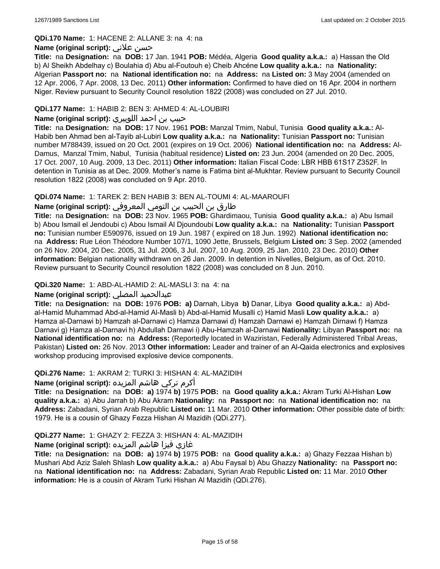#### **QDi.170 Name:** 1: HACENE 2: ALLANE 3: na 4: na

### **Name (original script):** علاني حسن

**Title:** na **Designation:** na **DOB:** 17 Jan. 1941 **POB:** Médéa, Algeria **Good quality a.k.a.:** a) Hassan the Old b) Al Sheikh Abdelhay c) Boulahia d) Abu al-Foutouh e) Cheib Ahcéne **Low quality a.k.a.:** na **Nationality:** Algerian **Passport no:** na **National identification no:** na **Address:** na **Listed on:** 3 May 2004 (amended on 12 Apr. 2006, 7 Apr. 2008, 13 Dec. 2011) **Other information:** Confirmed to have died on 16 Apr. 2004 in northern Niger. Review pursuant to Security Council resolution 1822 (2008) was concluded on 27 Jul. 2010.

## **QDi.177 Name:** 1: HABIB 2: BEN 3: AHMED 4: AL-LOUBIRI

### حبيب بن احمد اللوبيري **:(script original (Name**

**Title:** na **Designation:** na **DOB:** 17 Nov. 1961 **POB:** Manzal Tmim, Nabul, Tunisia **Good quality a.k.a.:** Al-Habib ben Ahmad ben al-Tayib al-Lubiri **Low quality a.k.a.:** na **Nationality:** Tunisian **Passport no:** Tunisian number M788439, issued on 20 Oct. 2001 (expires on 19 Oct. 2006) **National identification no:** na **Address:** Al-Damus, Manzal Tmim, Nabul, Tunisia (habitual residence) **Listed on:** 23 Jun. 2004 (amended on 20 Dec. 2005, 17 Oct. 2007, 10 Aug. 2009, 13 Dec. 2011) **Other information:** Italian Fiscal Code: LBR HBB 61S17 Z352F. In detention in Tunisia as at Dec. 2009. Mother's name is Fatima bint al-Mukhtar. Review pursuant to Security Council resolution 1822 (2008) was concluded on 9 Apr. 2010.

### **QDi.074 Name:** 1: TAREK 2: BEN HABIB 3: BEN AL-TOUMI 4: AL-MAAROUFI

# طارق بن الحبيب بن التومي المعروفي **:(script original (Name**

**Title:** na **Designation:** na **DOB:** 23 Nov. 1965 **POB:** Ghardimaou, Tunisia **Good quality a.k.a.:** a) Abu Ismail b) Abou Ismail el Jendoubi c) Abou Ismail Al Djoundoubi **Low quality a.k.a.:** na **Nationality:** Tunisian **Passport no:** Tunisian number E590976, issued on 19 Jun. 1987 ( expired on 18 Jun. 1992) **National identification no:**  na **Address:** Rue Léon Théodore Number 107/1, 1090 Jette, Brussels, Belgium **Listed on:** 3 Sep. 2002 (amended on 26 Nov. 2004, 20 Dec. 2005, 31 Jul. 2006, 3 Jul. 2007, 10 Aug. 2009, 25 Jan. 2010, 23 Dec. 2010) **Other information:** Belgian nationality withdrawn on 26 Jan. 2009. In detention in Nivelles, Belgium, as of Oct. 2010. Review pursuant to Security Council resolution 1822 (2008) was concluded on 8 Jun. 2010.

## **QDi.320 Name:** 1: ABD-AL-HAMID 2: AL-MASLI 3: na 4: na

# **Name (original script):** المصلي عبدالحميد

**Title:** na **Designation:** na **DOB:** 1976 **POB: a)** Darnah, Libya **b)** Danar, Libya **Good quality a.k.a.:** a) Abdal-Hamid Muhammad Abd-al-Hamid Al-Masli b) Abd-al-Hamid Musalli c) Hamid Masli **Low quality a.k.a.:** a) Hamza al-Darnawi b) Hamzah al-Darnawi c) Hamza Darnawi d) Hamzah Darnawi e) Hamzah Dirnawi f) Hamza Darnavi g) Hamza al-Darnavi h) Abdullah Darnawi i) Abu-Hamzah al-Darnawi **Nationality:** Libyan **Passport no:** na **National identification no:** na **Address:** (Reportedly located in Waziristan, Federally Administered Tribal Areas, Pakistan) **Listed on:** 26 Nov. 2013 **Other information:** Leader and trainer of an Al-Qaida electronics and explosives workshop producing improvised explosive device components.

#### **QDi.276 Name:** 1: AKRAM 2: TURKI 3: HISHAN 4: AL-MAZIDIH

# أكرم تركي هاشم المزيده **:(script original (Name**

**Title:** na **Designation:** na **DOB: a)** 1974 **b)** 1975 **POB:** na **Good quality a.k.a.:** Akram Turki Al-Hishan **Low quality a.k.a.:** a) Abu Jarrah b) Abu Akram **Nationality:** na **Passport no:** na **National identification no:** na **Address:** Zabadani, Syrian Arab Republic **Listed on:** 11 Mar. 2010 **Other information:** Other possible date of birth: 1979. He is a cousin of Ghazy Fezza Hishan Al Mazidih (QDi.277).

# **QDi.277 Name:** 1: GHAZY 2: FEZZA 3: HISHAN 4: AL-MAZIDIH

# غازي فيزا هاشم المزيده **:(script original (Name**

**Title:** na **Designation:** na **DOB: a)** 1974 **b)** 1975 **POB:** na **Good quality a.k.a.:** a) Ghazy Fezzaa Hishan b) Mushari Abd Aziz Saleh Shlash **Low quality a.k.a.:** a) Abu Faysal b) Abu Ghazzy **Nationality:** na **Passport no:**  na **National identification no:** na **Address:** Zabadani, Syrian Arab Republic **Listed on:** 11 Mar. 2010 **Other information:** He is a cousin of Akram Turki Hishan Al Mazidih (QDi.276).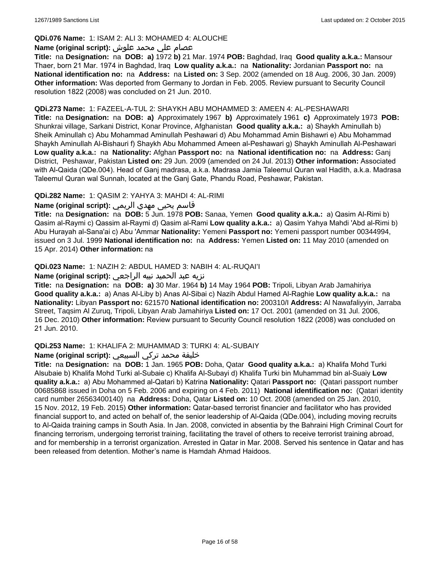## **QDi.076 Name:** 1: ISAM 2: ALI 3: MOHAMED 4: ALOUCHE

# عصام علي محمد علوش **:(script original (Name**

**Title:** na **Designation:** na **DOB: a)** 1972 **b)** 21 Mar. 1974 **POB:** Baghdad, Iraq **Good quality a.k.a.:** Mansour Thaer, born 21 Mar. 1974 in Baghdad, Iraq **Low quality a.k.a.:** na **Nationality:** Jordanian **Passport no:** na **National identification no:** na **Address:** na **Listed on:** 3 Sep. 2002 (amended on 18 Aug. 2006, 30 Jan. 2009) **Other information:** Was deported from Germany to Jordan in Feb. 2005. Review pursuant to Security Council resolution 1822 (2008) was concluded on 21 Jun. 2010.

#### **QDi.273 Name:** 1: FAZEEL-A-TUL 2: SHAYKH ABU MOHAMMED 3: AMEEN 4: AL-PESHAWARI

**Title:** na **Designation:** na **DOB: a)** Approximately 1967 **b)** Approximately 1961 **c)** Approximately 1973 **POB:** Shunkrai village, Sarkani District, Konar Province, Afghanistan **Good quality a.k.a.:** a) Shaykh Aminullah b) Sheik Aminullah c) Abu Mohammad Aminullah Peshawari d) Abu Mohammad Amin Bishawri e) Abu Mohammad Shaykh Aminullah Al-Bishauri f) Shaykh Abu Mohammed Ameen al-Peshawari g) Shaykh Aminullah Al-Peshawari **Low quality a.k.a.:** na **Nationality:** Afghan **Passport no:** na **National identification no:** na **Address:** Ganj District, Peshawar, Pakistan **Listed on:** 29 Jun. 2009 (amended on 24 Jul. 2013) **Other information:** Associated with Al-Qaida (QDe.004). Head of Ganj madrasa, a.k.a. Madrasa Jamia Taleemul Quran wal Hadith, a.k.a. Madrasa Taleemul Quran wal Sunnah, located at the Ganj Gate, Phandu Road, Peshawar, Pakistan.

### **QDi.282 Name:** 1: QASIM 2: YAHYA 3: MAHDI 4: AL-RIMI

# قاسم يحيى مهدي الريمي **:(script original (Name**

**Title:** na **Designation:** na **DOB:** 5 Jun. 1978 **POB:** Sanaa, Yemen **Good quality a.k.a.:** a) Qasim Al-Rimi b) Qasim al-Raymi c) Qassim al-Raymi d) Qasim al-Rami **Low quality a.k.a.:** a) Qasim Yahya Mahdi 'Abd al-Rimi b) Abu Hurayah al-Sana'ai c) Abu 'Ammar **Nationality:** Yemeni **Passport no:** Yemeni passport number 00344994, issued on 3 Jul. 1999 **National identification no:** na **Address:** Yemen **Listed on:** 11 May 2010 (amended on 15 Apr. 2014) **Other information:** na

# **QDi.023 Name:** 1: NAZIH 2: ABDUL HAMED 3: NABIH 4: AL-RUQAI'I

# نزيه عبد الحميد نبيه الراجعي **:(script original (Name**

**Title:** na **Designation:** na **DOB: a)** 30 Mar. 1964 **b)** 14 May 1964 **POB:** Tripoli, Libyan Arab Jamahiriya **Good quality a.k.a.:** a) Anas Al-Liby b) Anas Al-Sibai c) Nazih Abdul Hamed Al-Raghie **Low quality a.k.a.:** na **Nationality:** Libyan **Passport no:** 621570 **National identification no:** 200310/I **Address:** Al Nawafaliyyin, Jarraba Street, Taqsim Al Zuruq, Tripoli, Libyan Arab Jamahiriya **Listed on:** 17 Oct. 2001 (amended on 31 Jul. 2006, 16 Dec. 2010) **Other information:** Review pursuant to Security Council resolution 1822 (2008) was concluded on 21 Jun. 2010.

#### **QDi.253 Name:** 1: KHALIFA 2: MUHAMMAD 3: TURKI 4: AL-SUBAIY

## خليفة محمد تركي السبيعي **:(script original (Name**

**Title:** na **Designation:** na **DOB:** 1 Jan. 1965 **POB:** Doha, Qatar **Good quality a.k.a.:** a) Khalifa Mohd Turki Alsubaie b) Khalifa Mohd Turki al-Subaie c) Khalifa Al-Subayi d) Khalifa Turki bin Muhammad bin al-Suaiy **Low quality a.k.a.:** a) Abu Mohammed al-Qatari b) Katrina **Nationality:** Qatari **Passport no:** (Qatari passport number 00685868 issued in Doha on 5 Feb. 2006 and expiring on 4 Feb. 2011) **National identification no:** (Qatari identity card number 26563400140) na **Address:** Doha, Qatar **Listed on:** 10 Oct. 2008 (amended on 25 Jan. 2010, 15 Nov. 2012, 19 Feb. 2015) **Other information:** Qatar-based terrorist financier and facilitator who has provided financial support to, and acted on behalf of, the senior leadership of Al-Qaida (QDe.004), including moving recruits to Al-Qaida training camps in South Asia. In Jan. 2008, convicted in absentia by the Bahraini High Criminal Court for financing terrorism, undergoing terrorist training, facilitating the travel of others to receive terrorist training abroad, and for membership in a terrorist organization. Arrested in Qatar in Mar. 2008. Served his sentence in Qatar and has been released from detention. Mother's name is Hamdah Ahmad Haidoos.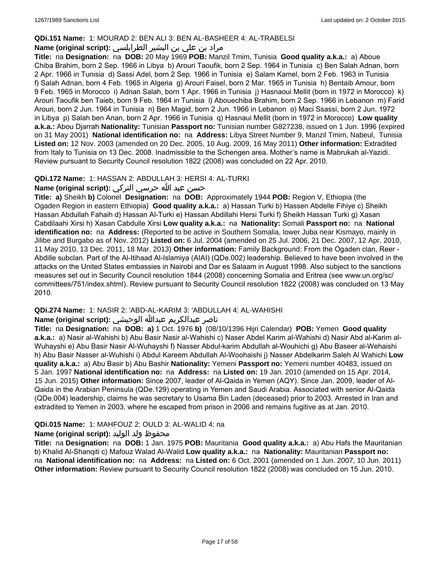#### **QDi.151 Name:** 1: MOURAD 2: BEN ALI 3: BEN AL-BASHEER 4: AL-TRABELSI

# مراد بن علي بن البشير الطرابلسي **:Name (original script)**

**Title:** na **Designation:** na **DOB:** 20 May 1969 **POB:** Manzil Tmim, Tunisia **Good quality a.k.a.:** a) Aboue Chiba Brahim, born 2 Sep. 1966 in Libya b) Arouri Taoufik, born 2 Sep. 1964 in Tunisia c) Ben Salah Adnan, born 2 Apr. 1966 in Tunisia d) Sassi Adel, born 2 Sep. 1966 in Tunisia e) Salam Kamel, born 2 Feb. 1963 in Tunisia f) Salah Adnan, born 4 Feb. 1965 in Algeria g) Arouri Faisel, born 2 Mar. 1965 in Tunisia h) Bentaib Amour, born 9 Feb. 1965 in Morocco i) Adnan Salah, born 1 Apr. 1966 in Tunisia j) Hasnaoui Mellit (born in 1972 in Morocco) k) Arouri Taoufik ben Taieb, born 9 Feb. 1964 in Tunisia l) Abouechiba Brahim, born 2 Sep. 1966 in Lebanon m) Farid Arouri, born 2 Jun. 1964 in Tunisia n) Ben Magid, born 2 Jun. 1966 in Lebanon o) Maci Ssassi, born 2 Jun. 1972 in Libya p) Salah ben Anan, born 2 Apr. 1966 in Tunisia q) Hasnaui Mellit (born in 1972 in Morocco) **Low quality a.k.a.:** Abou Djarrah **Nationality:** Tunisian **Passport no:** Tunisian number G827238, issued on 1 Jun. 1996 (expired on 31 May 2001) **National identification no:** na **Address:** Libya Street Number 9, Manzil Tmim, Nabeul, Tunisia **Listed on:** 12 Nov. 2003 (amended on 20 Dec. 2005, 10 Aug. 2009, 16 May 2011) **Other information:** Extradited from Italy to Tunisia on 13 Dec. 2008. Inadmissible to the Schengen area. Mother's name is Mabrukah al-Yazidi. Review pursuant to Security Council resolution 1822 (2008) was concluded on 22 Apr. 2010.

### **QDi.172 Name:** 1: HASSAN 2: ABDULLAH 3: HERSI 4: AL-TURKI

# حسن عبد الله حرسي التركي **:(script original (Name**

**Title: a)** Sheikh **b)** Colonel **Designation:** na **DOB:** Approximately 1944 **POB:** Region V, Ethiopia (the Ogaden Region in eastern Ethiopia) **Good quality a.k.a.:** a) Hassan Turki b) Hassen Abdelle Fihiye c) Sheikh Hassan Abdullah Fahaih d) Hassan Al-Turki e) Hassan Abdillahi Hersi Turki f) Sheikh Hassan Turki g) Xasan Cabdilaahi Xirsi h) Xasan Cabdulle Xirsi **Low quality a.k.a.:** na **Nationality:** Somali **Passport no:** na **National identification no:** na **Address:** (Reported to be active in Southern Somalia, lower Juba near Kismayo, mainly in Jilibe and Burgabo as of Nov. 2012) **Listed on:** 6 Jul. 2004 (amended on 25 Jul. 2006, 21 Dec. 2007, 12 Apr. 2010, 11 May 2010, 13 Dec. 2011, 18 Mar. 2013) **Other information:** Family Background: From the Ogaden clan, Reer - Abdille subclan. Part of the Al-Itihaad Al-Islamiya (AIAI) (QDe.002) leadership. Believed to have been involved in the attacks on the United States embassies in Nairobi and Dar es Salaam in August 1998. Also subject to the sanctions measures set out in Security Council resolution 1844 (2008) concerning Somalia and Eritrea (see www.un.org/sc/ committees/751/index.shtml). Review pursuant to Security Council resolution 1822 (2008) was concluded on 13 May 2010.

# **QDi.274 Name:** 1: NASIR 2: 'ABD-AL-KARIM 3: 'ABDULLAH 4: AL-WAHISHI

## ناصر عبدالكريم عبدالله الوحيشي **:(script original (Name**

**Title:** na **Designation:** na **DOB: a)** 1 Oct. 1976 **b)** (08/10/1396 Hijri Calendar) **POB:** Yemen **Good quality a.k.a.:** a) Nasir al-Wahishi b) Abu Basir Nasir al-Wahishi c) Naser Abdel Karim al-Wahishi d) Nasir Abd al-Karim al-Wuhayshi e) Abu Basir Nasir Al-Wuhayshi f) Nasser Abdul-karim Abdullah al-Wouhichi g) Abu Baseer al-Wehaishi h) Abu Basir Nasser al-Wuhishi i) Abdul Kareem Abdullah Al-Woohaishi j) Nasser Abdelkarim Saleh Al Wahichi **Low quality a.k.a.:** a) Abu Basir b) Abu Bashir **Nationality:** Yemeni **Passport no:** Yemeni number 40483, issued on 5 Jan. 1997 **National identification no:** na **Address:** na **Listed on:** 19 Jan. 2010 (amended on 15 Apr. 2014, 15 Jun. 2015) **Other information:** Since 2007, leader of Al-Qaida in Yemen (AQY). Since Jan. 2009, leader of Al-Qaida in the Arabian Peninsula (QDe.129) operating in Yemen and Saudi Arabia. Associated with senior Al-Qaida (QDe.004) leadership, claims he was secretary to Usama Bin Laden (deceased) prior to 2003. Arrested in Iran and extradited to Yemen in 2003, where he escaped from prison in 2006 and remains fugitive as at Jan. 2010.

# **QDi.015 Name:** 1: MAHFOUZ 2: OULD 3: AL-WALID 4: na

# محفوظ ولد الوليد **:(script original (Name**

**Title:** na **Designation:** na **DOB:** 1 Jan. 1975 **POB:** Mauritania **Good quality a.k.a.:** a) Abu Hafs the Mauritanian b) Khalid Al-Shanqiti c) Mafouz Walad Al-Walid **Low quality a.k.a.:** na **Nationality:** Mauritanian **Passport no:**  na **National identification no:** na **Address:** na **Listed on:** 6 Oct. 2001 (amended on 1 Jun. 2007, 10 Jun. 2011) **Other information:** Review pursuant to Security Council resolution 1822 (2008) was concluded on 15 Jun. 2010.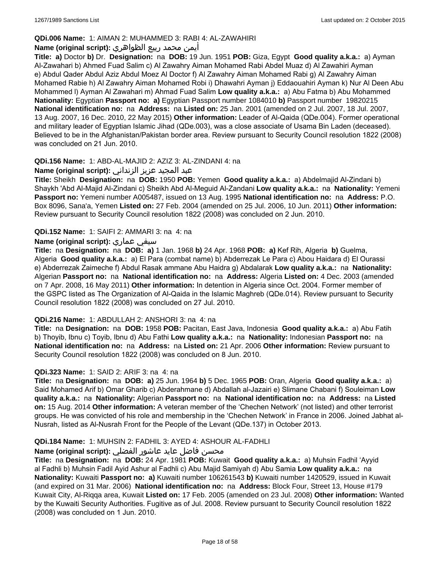# **QDi.006 Name:** 1: AIMAN 2: MUHAMMED 3: RABI 4: AL-ZAWAHIRI

# أيمن محمد ربيع الظواهري **:(script original (Name**

**Title: a)** Doctor **b)** Dr. **Designation:** na **DOB:** 19 Jun. 1951 **POB:** Giza, Egypt **Good quality a.k.a.:** a) Ayman Al-Zawahari b) Ahmed Fuad Salim c) Al Zawahry Aiman Mohamed Rabi Abdel Muaz d) Al Zawahiri Ayman e) Abdul Qader Abdul Aziz Abdul Moez Al Doctor f) Al Zawahry Aiman Mohamed Rabi g) Al Zawahry Aiman Mohamed Rabie h) Al Zawahry Aiman Mohamed Robi i) Dhawahri Ayman j) Eddaouahiri Ayman k) Nur Al Deen Abu Mohammed l) Ayman Al Zawahari m) Ahmad Fuad Salim **Low quality a.k.a.:** a) Abu Fatma b) Abu Mohammed **Nationality:** Egyptian **Passport no: a)** Egyptian Passport number 1084010 **b)** Passport number 19820215 **National identification no:** na **Address:** na **Listed on:** 25 Jan. 2001 (amended on 2 Jul. 2007, 18 Jul. 2007, 13 Aug. 2007, 16 Dec. 2010, 22 May 2015) **Other information:** Leader of Al-Qaida (QDe.004). Former operational and military leader of Egyptian Islamic Jihad (QDe.003), was a close associate of Usama Bin Laden (deceased). Believed to be in the Afghanistan/Pakistan border area. Review pursuant to Security Council resolution 1822 (2008) was concluded on 21 Jun. 2010.

### **QDi.156 Name:** 1: ABD-AL-MAJID 2: AZIZ 3: AL-ZINDANI 4: na

# عبد المجيد عزيز الزنداني **:(script original (Name**

**Title:** Sheikh **Designation:** na **DOB:** 1950 **POB:** Yemen **Good quality a.k.a.:** a) Abdelmajid Al-Zindani b) Shaykh 'Abd Al-Majid Al-Zindani c) Sheikh Abd Al-Meguid Al-Zandani **Low quality a.k.a.:** na **Nationality:** Yemeni **Passport no:** Yemeni number A005487, issued on 13 Aug. 1995 **National identification no:** na **Address:** P.O. Box 8096, Sana'a, Yemen **Listed on:** 27 Feb. 2004 (amended on 25 Jul. 2006, 10 Jun. 2011) **Other information:** Review pursuant to Security Council resolution 1822 (2008) was concluded on 2 Jun. 2010.

### **QDi.152 Name:** 1: SAIFI 2: AMMARI 3: na 4: na

# **Name (original script):** عماري سيفي

**Title:** na **Designation:** na **DOB: a)** 1 Jan. 1968 **b)** 24 Apr. 1968 **POB: a)** Kef Rih, Algeria **b)** Guelma, Algeria **Good quality a.k.a.:** a) El Para (combat name) b) Abderrezak Le Para c) Abou Haidara d) El Ourassi e) Abderrezak Zaimeche f) Abdul Rasak ammane Abu Haidra g) Abdalarak **Low quality a.k.a.:** na **Nationality:** Algerian **Passport no:** na **National identification no:** na **Address:** Algeria **Listed on:** 4 Dec. 2003 (amended on 7 Apr. 2008, 16 May 2011) **Other information:** In detention in Algeria since Oct. 2004. Former member of the GSPC listed as The Organization of Al-Qaida in the Islamic Maghreb (QDe.014). Review pursuant to Security Council resolution 1822 (2008) was concluded on 27 Jul. 2010.

#### **QDi.216 Name:** 1: ABDULLAH 2: ANSHORI 3: na 4: na

**Title:** na **Designation:** na **DOB:** 1958 **POB:** Pacitan, East Java, Indonesia **Good quality a.k.a.:** a) Abu Fatih b) Thoyib, Ibnu c) Toyib, Ibnu d) Abu Fathi **Low quality a.k.a.:** na **Nationality:** Indonesian **Passport no:** na **National identification no:** na **Address:** na **Listed on:** 21 Apr. 2006 **Other information:** Review pursuant to Security Council resolution 1822 (2008) was concluded on 8 Jun. 2010.

# **QDi.323 Name:** 1: SAID 2: ARIF 3: na 4: na

**Title:** na **Designation:** na **DOB: a)** 25 Jun. 1964 **b)** 5 Dec. 1965 **POB:** Oran, Algeria **Good quality a.k.a.:** a) Said Mohamed Arif b) Omar Gharib c) Abderahmane d) Abdallah al-Jazairi e) Slimane Chabani f) Souleiman **Low quality a.k.a.:** na **Nationality:** Algerian **Passport no:** na **National identification no:** na **Address:** na **Listed on:** 15 Aug. 2014 **Other information:** A veteran member of the 'Chechen Network' (not listed) and other terrorist groups. He was convicted of his role and membership in the 'Chechen Network' in France in 2006. Joined Jabhat al-Nusrah, listed as Al-Nusrah Front for the People of the Levant (QDe.137) in October 2013.

#### **QDi.184 Name:** 1: MUHSIN 2: FADHIL 3: AYED 4: ASHOUR AL-FADHLI

# محسن فاضل عايد عاشور الفضلي **:Name (original script)**

**Title:** na **Designation:** na **DOB:** 24 Apr. 1981 **POB:** Kuwait **Good quality a.k.a.:** a) Muhsin Fadhil 'Ayyid al Fadhli b) Muhsin Fadil Ayid Ashur al Fadhli c) Abu Majid Samiyah d) Abu Samia **Low quality a.k.a.:** na **Nationality:** Kuwaiti **Passport no: a)** Kuwaiti number 106261543 **b)** Kuwaiti number 1420529, issued in Kuwait (and expired on 31 Mar. 2006) **National identification no:** na **Address:** Block Four, Street 13, House #179 Kuwait City, Al-Riqqa area, Kuwait **Listed on:** 17 Feb. 2005 (amended on 23 Jul. 2008) **Other information:** Wanted by the Kuwaiti Security Authorities. Fugitive as of Jul. 2008. Review pursuant to Security Council resolution 1822 (2008) was concluded on 1 Jun. 2010.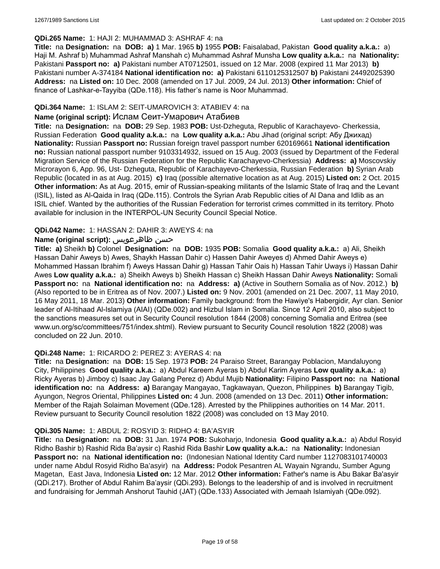#### **QDi.265 Name:** 1: HAJI 2: MUHAMMAD 3: ASHRAF 4: na

**Title:** na **Designation:** na **DOB: a)** 1 Mar. 1965 **b)** 1955 **POB:** Faisalabad, Pakistan **Good quality a.k.a.:** a) Haji M. Ashraf b) Muhammad Ashraf Manshah c) Muhammad Ashraf Munsha **Low quality a.k.a.:** na **Nationality:** Pakistani **Passport no: a)** Pakistani number AT0712501, issued on 12 Mar. 2008 (expired 11 Mar 2013) **b)** Pakistani number A-374184 **National identification no: a)** Pakistani 6110125312507 **b)** Pakistani 24492025390 **Address:** na **Listed on:** 10 Dec. 2008 (amended on 17 Jul. 2009, 24 Jul. 2013) **Other information:** Chief of finance of Lashkar-e-Tayyiba (QDe.118). His father's name is Noor Muhammad.

## **QDi.364 Name:** 1: ISLAM 2: SEIT-UMAROVICH 3: ATABIEV 4: na

#### **Name (original script):** Ислам Сеит-Умарович Атабиев

**Title:** na **Designation:** na **DOB:** 29 Sep. 1983 **POB:** Ust-Dzheguta, Republic of Karachayevo- Cherkessia, Russian Federation **Good quality a.k.a.:** na **Low quality a.k.a.:** Abu Jihad (original script: Абу Джихад) **Nationality:** Russian **Passport no:** Russian foreign travel passport number 620169661 **National identification no:** Russian national passport number 9103314932, issued on 15 Aug. 2003 (issued by Department of the Federal Migration Service of the Russian Federation for the Republic Karachayevo-Cherkessia) **Address: a)** Moscovskiy Microrayon 6, App. 96, Ust- Dzheguta, Republic of Karachayevo-Cherkessia, Russian Federation **b)** Syrian Arab Republic (located in as at Aug. 2015) **c)** Iraq (possible alternative location as at Aug. 2015) **Listed on:** 2 Oct. 2015 **Other information:** As at Aug. 2015, emir of Russian-speaking militants of the Islamic State of Iraq and the Levant (ISIL), listed as Al-Qaida in Iraq (QDe.115). Controls the Syrian Arab Republic cities of Al Dana and Idlib as an ISIL chief. Wanted by the authorities of the Russian Federation for terrorist crimes committed in its territory. Photo available for inclusion in the INTERPOL-UN Security Council Special Notice.

### **QDi.042 Name:** 1: HASSAN 2: DAHIR 3: AWEYS 4: na

### **Name (original script):** ظاهرعويس حسن

**Title: a)** Sheikh **b)** Colonel **Designation:** na **DOB:** 1935 **POB:** Somalia **Good quality a.k.a.:** a) Ali, Sheikh Hassan Dahir Aweys b) Awes, Shaykh Hassan Dahir c) Hassen Dahir Aweyes d) Ahmed Dahir Aweys e) Mohammed Hassan Ibrahim f) Aweys Hassan Dahir g) Hassan Tahir Oais h) Hassan Tahir Uways i) Hassan Dahir Awes **Low quality a.k.a.:** a) Sheikh Aweys b) Sheikh Hassan c) Sheikh Hassan Dahir Aweys **Nationality:** Somali **Passport no:** na **National identification no:** na **Address: a)** (Active in Southern Somalia as of Nov. 2012.) **b)** (Also reported to be in Eritrea as of Nov. 2007.) **Listed on:** 9 Nov. 2001 (amended on 21 Dec. 2007, 11 May 2010, 16 May 2011, 18 Mar. 2013) **Other information:** Family background: from the Hawiye's Habergidir, Ayr clan. Senior leader of Al-Itihaad Al-Islamiya (AIAI) (QDe.002) and Hizbul Islam in Somalia. Since 12 April 2010, also subject to the sanctions measures set out in Security Council resolution 1844 (2008) concerning Somalia and Eritrea (see www.un.org/sc/committees/751/index.shtml). Review pursuant to Security Council resolution 1822 (2008) was concluded on 22 Jun. 2010.

#### **QDi.248 Name:** 1: RICARDO 2: PEREZ 3: AYERAS 4: na

**Title:** na **Designation:** na **DOB:** 15 Sep. 1973 **POB:** 24 Paraiso Street, Barangay Poblacion, Mandaluyong City, Philippines **Good quality a.k.a.:** a) Abdul Kareem Ayeras b) Abdul Karim Ayeras **Low quality a.k.a.:** a) Ricky Ayeras b) Jimboy c) Isaac Jay Galang Perez d) Abdul Mujib **Nationality:** Filipino **Passport no:** na **National identification no:** na **Address: a)** Barangay Mangayao, Tagkawayan, Quezon, Philippines **b)** Barangay Tigib, Ayungon, Negros Oriental, Philippines **Listed on:** 4 Jun. 2008 (amended on 13 Dec. 2011) **Other information:** Member of the Rajah Solaiman Movement (QDe.128). Arrested by the Philippines authorities on 14 Mar. 2011. Review pursuant to Security Council resolution 1822 (2008) was concluded on 13 May 2010.

#### **QDi.305 Name:** 1: ABDUL 2: ROSYID 3: RIDHO 4: BA'ASYIR

**Title:** na **Designation:** na **DOB:** 31 Jan. 1974 **POB:** Sukoharjo, Indonesia **Good quality a.k.a.:** a) Abdul Rosyid Ridho Bashir b) Rashid Rida Ba'aysir c) Rashid Rida Bashir **Low quality a.k.a.:** na **Nationality:** Indonesian **Passport no:** na **National identification no:** (Indonesian National Identity Card number 1127083101740003 under name Abdul Rosyid Ridho Ba'asyir) na **Address:** Podok Pesantren AL Wayain Ngrandu, Sumber Agung Magetan, East Java, Indonesia **Listed on:** 12 Mar. 2012 **Other information:** Father's name is Abu Bakar Ba'asyir (QDi.217). Brother of Abdul Rahim Ba'aysir (QDi.293). Belongs to the leadership of and is involved in recruitment and fundraising for Jemmah Anshorut Tauhid (JAT) (QDe.133) Associated with Jemaah Islamiyah (QDe.092).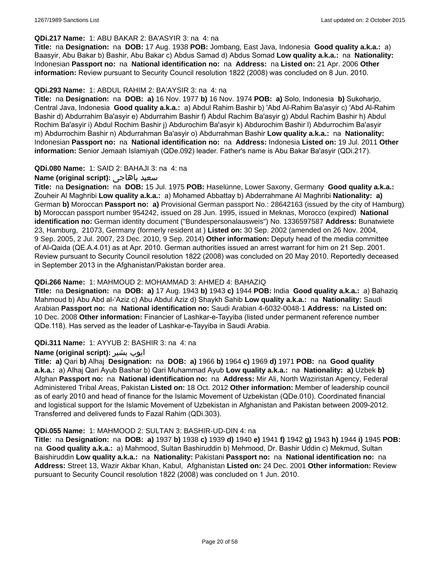#### **QDi.217 Name:** 1: ABU BAKAR 2: BA'ASYIR 3: na 4: na

**Title:** na **Designation:** na **DOB:** 17 Aug. 1938 **POB:** Jombang, East Java, Indonesia **Good quality a.k.a.:** a) Baasyir, Abu Bakar b) Bashir, Abu Bakar c) Abdus Samad d) Abdus Somad **Low quality a.k.a.:** na **Nationality:** Indonesian **Passport no:** na **National identification no:** na **Address:** na **Listed on:** 21 Apr. 2006 **Other information:** Review pursuant to Security Council resolution 1822 (2008) was concluded on 8 Jun. 2010.

#### **QDi.293 Name:** 1: ABDUL RAHIM 2: BA'AYSIR 3: na 4: na

**Title:** na **Designation:** na **DOB: a)** 16 Nov. 1977 **b)** 16 Nov. 1974 **POB: a)** Solo, Indonesia **b)** Sukoharjo, Central Java, Indonesia **Good quality a.k.a.:** a) Abdul Rahim Bashir b) 'Abd Al-Rahim Ba'asyir c) 'Abd Al-Rahim Bashir d) Abdurrahim Ba'asyir e) Abdurrahim Bashir f) Abdul Rachim Ba'asyir g) Abdul Rachim Bashir h) Abdul Rochim Ba'asyir i) Abdul Rochim Bashir j) Abdurochim Ba'asyir k) Abdurochim Bashir l) Abdurrochim Ba'asyir m) Abdurrochim Bashir n) Abdurrahman Ba'asyir o) Abdurrahman Bashir **Low quality a.k.a.:** na **Nationality:** Indonesian **Passport no:** na **National identification no:** na **Address:** Indonesia **Listed on:** 19 Jul. 2011 **Other information:** Senior Jemaah Islamiyah (QDe.092) leader. Father's name is Abu Bakar Ba'asyir (QDi.217).

### **QDi.080 Name:** 1: SAID 2: BAHAJI 3: na 4: na

## **Name (original script):** باهاجى سعيد

**Title:** na **Designation:** na **DOB:** 15 Jul. 1975 **POB:** Haselünne, Lower Saxony, Germany **Good quality a.k.a.:** Zouheir Al Maghribi **Low quality a.k.a.:** a) Mohamed Abbattay b) Abderrahmane Al Maghribi **Nationality: a)** German **b)** Moroccan **Passport no: a)** Provisional German passport No.: 28642163 (issued by the city of Hamburg) **b)** Moroccan passport number 954242, issued on 28 Jun. 1995, issued in Meknas, Morocco (expired) **National identification no:** German identity document ("Bundespersonalausweis") No. 1336597587 **Address:** Bunatwiete 23, Hamburg, 21073, Germany (formerly resident at ) **Listed on:** 30 Sep. 2002 (amended on 26 Nov. 2004, 9 Sep. 2005, 2 Jul. 2007, 23 Dec. 2010, 9 Sep. 2014) **Other information:** Deputy head of the media committee of Al-Qaida (QE.A.4.01) as at Apr. 2010. German authorities issued an arrest warrant for him on 21 Sep. 2001. Review pursuant to Security Council resolution 1822 (2008) was concluded on 20 May 2010. Reportedly deceased in September 2013 in the Afghanistan/Pakistan border area.

#### **QDi.266 Name:** 1: MAHMOUD 2: MOHAMMAD 3: AHMED 4: BAHAZIQ

**Title:** na **Designation:** na **DOB: a)** 17 Aug. 1943 **b)** 1943 **c)** 1944 **POB:** India **Good quality a.k.a.:** a) Bahaziq Mahmoud b) Abu Abd al-'Aziz c) Abu Abdul Aziz d) Shaykh Sahib **Low quality a.k.a.:** na **Nationality:** Saudi Arabian **Passport no:** na **National identification no:** Saudi Arabian 4-6032-0048-1 **Address:** na **Listed on:** 10 Dec. 2008 **Other information:** Financier of Lashkar-e-Tayyiba (listed under permanent reference number QDe.118). Has served as the leader of Lashkar-e-Tayyiba in Saudi Arabia.

#### **QDi.311 Name:** 1: AYYUB 2: BASHIR 3: na 4: na

#### **Name (original script):** بشیر ایوب

**Title: a)** Qari **b)** Alhaj **Designation:** na **DOB: a)** 1966 **b)** 1964 **c)** 1969 **d)** 1971 **POB:** na **Good quality a.k.a.:** a) Alhaj Qari Ayub Bashar b) Qari Muhammad Ayub **Low quality a.k.a.:** na **Nationality: a)** Uzbek **b)** Afghan **Passport no:** na **National identification no:** na **Address:** Mir Ali, North Waziristan Agency, Federal Administered Tribal Areas, Pakistan **Listed on:** 18 Oct. 2012 **Other information:** Member of leadership council as of early 2010 and head of finance for the Islamic Movement of Uzbekistan (QDe.010). Coordinated financial and logistical support for the Islamic Movement of Uzbekistan in Afghanistan and Pakistan between 2009-2012. Transferred and delivered funds to Fazal Rahim (QDi.303).

#### **QDi.055 Name:** 1: MAHMOOD 2: SULTAN 3: BASHIR-UD-DIN 4: na

**Title:** na **Designation:** na **DOB: a)** 1937 **b)** 1938 **c)** 1939 **d)** 1940 **e)** 1941 **f)** 1942 **g)** 1943 **h)** 1944 **i)** 1945 **POB:**  na **Good quality a.k.a.:** a) Mahmood, Sultan Bashiruddin b) Mehmood, Dr. Bashir Uddin c) Mekmud, Sultan Baishiruddin **Low quality a.k.a.:** na **Nationality:** Pakistani **Passport no:** na **National identification no:** na **Address:** Street 13, Wazir Akbar Khan, Kabul, Afghanistan **Listed on:** 24 Dec. 2001 **Other information:** Review pursuant to Security Council resolution 1822 (2008) was concluded on 1 Jun. 2010.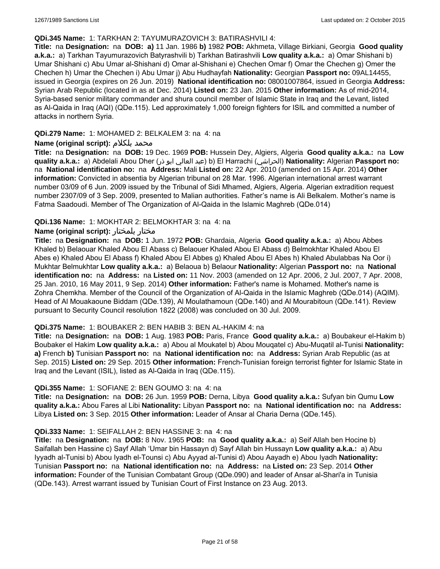#### **QDi.345 Name:** 1: TARKHAN 2: TAYUMURAZOVICH 3: BATIRASHVILI 4:

**Title:** na **Designation:** na **DOB: a)** 11 Jan. 1986 **b)** 1982 **POB:** Akhmeta, Village Birkiani, Georgia **Good quality a.k.a.:** a) Tarkhan Tayumurazovich Batyrashvili b) Tarkhan Batirashvili **Low quality a.k.a.:** a) Omar Shishani b) Umar Shishani c) Abu Umar al-Shishani d) Omar al-Shishani e) Chechen Omar f) Omar the Chechen g) Omer the Chechen h) Umar the Chechen i) Abu Umar j) Abu Hudhayfah **Nationality:** Georgian **Passport no:** 09AL14455, issued in Georgia (expires on 26 Jun. 2019) **National identification no:** 08001007864, issued in Georgia **Address:** Syrian Arab Republic (located in as at Dec. 2014) **Listed on:** 23 Jan. 2015 **Other information:** As of mid-2014, Syria-based senior military commander and shura council member of Islamic State in Iraq and the Levant, listed as Al-Qaida in Iraq (AQI) (QDe.115). Led approximately 1,000 foreign fighters for ISIL and committed a number of attacks in northern Syria.

### **QDi.279 Name:** 1: MOHAMED 2: BELKALEM 3: na 4: na

### **Name (original script):** بلكلام محمد

**Title:** na **Designation:** na **DOB:** 19 Dec. 1969 **POB:** Hussein Dey, Algiers, Algeria **Good quality a.k.a.:** na **Low quality a.k.a.:** a) Abdelali Abou Dher (ذر ابو العالي عبد (b) El Harrachi (الحراشي(**Nationality:** Algerian **Passport no:**  na **National identification no:** na **Address:** Mali **Listed on:** 22 Apr. 2010 (amended on 15 Apr. 2014) **Other information:** Convicted in absentia by Algerian tribunal on 28 Mar. 1996. Algerian international arrest warrant number 03/09 of 6 Jun. 2009 issued by the Tribunal of Sidi Mhamed, Algiers, Algeria. Algerian extradition request number 2307/09 of 3 Sep. 2009, presented to Malian authorities. Father's name is Ali Belkalem. Mother's name is Fatma Saadoudi. Member of The Organization of Al-Qaida in the Islamic Maghreb (QDe.014)

### **QDi.136 Name:** 1: MOKHTAR 2: BELMOKHTAR 3: na 4: na

### **Name (original script):** بلمختار مختار

**Title:** na **Designation:** na **DOB:** 1 Jun. 1972 **POB:** Ghardaia, Algeria **Good quality a.k.a.:** a) Abou Abbes Khaled b) Belaouar Khaled Abou El Abass c) Belaouer Khaled Abou El Abass d) Belmokhtar Khaled Abou El Abes e) Khaled Abou El Abass f) Khaled Abou El Abbes g) Khaled Abou El Abes h) Khaled Abulabbas Na Oor i) Mukhtar Belmukhtar **Low quality a.k.a.:** a) Belaoua b) Belaour **Nationality:** Algerian **Passport no:** na **National identification no:** na **Address:** na **Listed on:** 11 Nov. 2003 (amended on 12 Apr. 2006, 2 Jul. 2007, 7 Apr. 2008, 25 Jan. 2010, 16 May 2011, 9 Sep. 2014) **Other information:** Father's name is Mohamed. Mother's name is Zohra Chemkha. Member of the Council of the Organization of Al-Qaida in the Islamic Maghreb (QDe.014) (AQIM). Head of Al Mouakaoune Biddam (QDe.139), Al Moulathamoun (QDe.140) and Al Mourabitoun (QDe.141). Review pursuant to Security Council resolution 1822 (2008) was concluded on 30 Jul. 2009.

#### **QDi.375 Name:** 1: BOUBAKER 2: BEN HABIB 3: BEN AL-HAKIM 4: na

**Title:** na **Designation:** na **DOB:** 1 Aug. 1983 **POB:** Paris, France **Good quality a.k.a.:** a) Boubakeur el-Hakim b) Boubaker el Hakim **Low quality a.k.a.:** a) Abou al Moukatel b) Abou Mouqatel c) Abu-Muqatil al-Tunisi **Nationality: a)** French **b)** Tunisian **Passport no:** na **National identification no:** na **Address:** Syrian Arab Republic (as at Sep. 2015) **Listed on:** 29 Sep. 2015 **Other information:** French-Tunisian foreign terrorist fighter for Islamic State in Iraq and the Levant (ISIL), listed as Al-Qaida in Iraq (QDe.115).

#### **QDi.355 Name:** 1: SOFIANE 2: BEN GOUMO 3: na 4: na

**Title:** na **Designation:** na **DOB:** 26 Jun. 1959 **POB:** Derna, Libya **Good quality a.k.a.:** Sufyan bin Qumu **Low quality a.k.a.:** Abou Fares al Libi **Nationality:** Libyan **Passport no:** na **National identification no:** na **Address:** Libya **Listed on:** 3 Sep. 2015 **Other information:** Leader of Ansar al Charia Derna (QDe.145).

#### **QDi.333 Name:** 1: SEIFALLAH 2: BEN HASSINE 3: na 4: na

**Title:** na **Designation:** na **DOB:** 8 Nov. 1965 **POB:** na **Good quality a.k.a.:** a) Seif Allah ben Hocine b) Saifallah ben Hassine c) Sayf Allah 'Umar bin Hassayn d) Sayf Allah bin Hussayn **Low quality a.k.a.:** a) Abu Iyyadh al-Tunisi b) Abou Iyadh el-Tounsi c) Abu Ayyad al-Tunisi d) Abou Aayadh e) Abou Iyadh **Nationality:** Tunisian **Passport no:** na **National identification no:** na **Address:** na **Listed on:** 23 Sep. 2014 **Other information:** Founder of the Tunisian Combatant Group (QDe.090) and leader of Ansar al-Shari'a in Tunisia (QDe.143). Arrest warrant issued by Tunisian Court of First Instance on 23 Aug. 2013.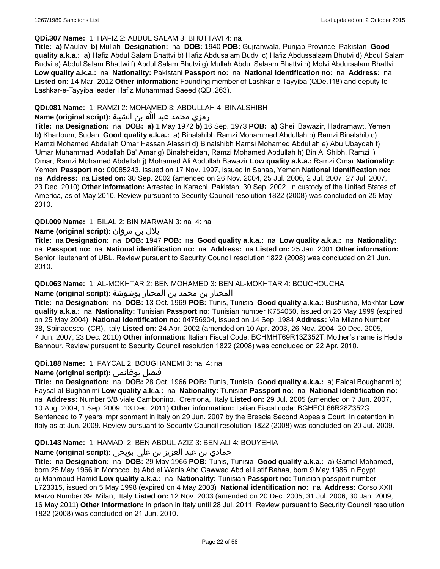#### **QDi.307 Name:** 1: HAFIZ 2: ABDUL SALAM 3: BHUTTAVI 4: na

**Title: a)** Maulavi **b)** Mullah **Designation:** na **DOB:** 1940 **POB:** Gujranwala, Punjab Province, Pakistan **Good quality a.k.a.:** a) Hafiz Abdul Salam Bhattvi b) Hafiz Abdusalam Budvi c) Hafiz Abdussalaam Bhutvi d) Abdul Salam Budvi e) Abdul Salam Bhattwi f) Abdul Salam Bhutvi g) Mullah Abdul Salaam Bhattvi h) Molvi Abdursalam Bhattvi **Low quality a.k.a.:** na **Nationality:** Pakistani **Passport no:** na **National identification no:** na **Address:** na **Listed on:** 14 Mar. 2012 **Other information:** Founding member of Lashkar-e-Tayyiba (QDe.118) and deputy to Lashkar-e-Tayyiba leader Hafiz Muhammad Saeed (QDi.263).

### **QDi.081 Name:** 1: RAMZI 2: MOHAMED 3: ABDULLAH 4: BINALSHIBH

# رمزي محمد عبد الله بن الشيبة **:(script original (Name**

**Title:** na **Designation:** na **DOB: a)** 1 May 1972 **b)** 16 Sep. 1973 **POB: a)** Gheil Bawazir, Hadramawt, Yemen **b)** Khartoum, Sudan **Good quality a.k.a.:** a) Binalshibh Ramzi Mohammed Abdullah b) Ramzi Binalshib c) Ramzi Mohamed Abdellah Omar Hassan Alassiri d) Binalshibh Ramsi Mohamed Abdullah e) Abu Ubaydah f) 'Umar Muhammad 'Abdallah Ba' Amar g) Binalsheidah, Ramzi Mohamed Abdullah h) Bin Al Shibh, Ramzi i) Omar, Ramzi Mohamed Abdellah j) Mohamed Ali Abdullah Bawazir **Low quality a.k.a.:** Ramzi Omar **Nationality:** Yemeni **Passport no:** 00085243, issued on 17 Nov. 1997, issued in Sanaa, Yemen **National identification no:**  na **Address:** na **Listed on:** 30 Sep. 2002 (amended on 26 Nov. 2004, 25 Jul. 2006, 2 Jul. 2007, 27 Jul. 2007, 23 Dec. 2010) **Other information:** Arrested in Karachi, Pakistan, 30 Sep. 2002. In custody of the United States of America, as of May 2010. Review pursuant to Security Council resolution 1822 (2008) was concluded on 25 May 2010.

### **QDi.009 Name:** 1: BILAL 2: BIN MARWAN 3: na 4: na

# بلال بن مروان **:(script original (Name**

**Title:** na **Designation:** na **DOB:** 1947 **POB:** na **Good quality a.k.a.:** na **Low quality a.k.a.:** na **Nationality:**  na **Passport no:** na **National identification no:** na **Address:** na **Listed on:** 25 Jan. 2001 **Other information:** Senior lieutenant of UBL. Review pursuant to Security Council resolution 1822 (2008) was concluded on 21 Jun. 2010.

#### **QDi.063 Name:** 1: AL-MOKHTAR 2: BEN MOHAMED 3: BEN AL-MOKHTAR 4: BOUCHOUCHA

# المختار بن محمد بن المختار بوشوشة **:(script original (Name**

**Title:** na **Designation:** na **DOB:** 13 Oct. 1969 **POB:** Tunis, Tunisia **Good quality a.k.a.:** Bushusha, Mokhtar **Low quality a.k.a.:** na **Nationality:** Tunisian **Passport no:** Tunisian number K754050, issued on 26 May 1999 (expired on 25 May 2004) **National identification no:** 04756904, issued on 14 Sep. 1984 **Address:** Via Milano Number 38, Spinadesco, (CR), Italy **Listed on:** 24 Apr. 2002 (amended on 10 Apr. 2003, 26 Nov. 2004, 20 Dec. 2005, 7 Jun. 2007, 23 Dec. 2010) **Other information:** Italian Fiscal Code: BCHMHT69R13Z352T. Mother's name is Hedia Bannour. Review pursuant to Security Council resolution 1822 (2008) was concluded on 22 Apr. 2010.

# **QDi.188 Name:** 1: FAYCAL 2: BOUGHANEMI 3: na 4: na

# **Name (original script):** بوغانمي فيصل

**Title:** na **Designation:** na **DOB:** 28 Oct. 1966 **POB:** Tunis, Tunisia **Good quality a.k.a.:** a) Faical Boughanmi b) Faysal al-Bughanimi **Low quality a.k.a.:** na **Nationality:** Tunisian **Passport no:** na **National identification no:**  na **Address:** Number 5/B viale Cambonino, Cremona, Italy **Listed on:** 29 Jul. 2005 (amended on 7 Jun. 2007, 10 Aug. 2009, 1 Sep. 2009, 13 Dec. 2011) **Other information:** Italian Fiscal code: BGHFCL66R28Z352G. Sentenced to 7 years imprisonment in Italy on 29 Jun. 2007 by the Brescia Second Appeals Court. In detention in Italy as at Jun. 2009. Review pursuant to Security Council resolution 1822 (2008) was concluded on 20 Jul. 2009.

# **QDi.143 Name:** 1: HAMADI 2: BEN ABDUL AZIZ 3: BEN ALI 4: BOUYEHIA

# حمادي بن عبد العزيز بن علي بويحي **:(script original (Name**

**Title:** na **Designation:** na **DOB:** 29 May 1966 **POB:** Tunis, Tunisia **Good quality a.k.a.:** a) Gamel Mohamed, born 25 May 1966 in Morocco b) Abd el Wanis Abd Gawwad Abd el Latif Bahaa, born 9 May 1986 in Egypt c) Mahmoud Hamid **Low quality a.k.a.:** na **Nationality:** Tunisian **Passport no:** Tunisian passport number L723315, issued on 5 May 1998 (expired on 4 May 2003) **National identification no:** na **Address:** Corso XXII Marzo Number 39, Milan, Italy **Listed on:** 12 Nov. 2003 (amended on 20 Dec. 2005, 31 Jul. 2006, 30 Jan. 2009, 16 May 2011) **Other information:** In prison in Italy until 28 Jul. 2011. Review pursuant to Security Council resolution 1822 (2008) was concluded on 21 Jun. 2010.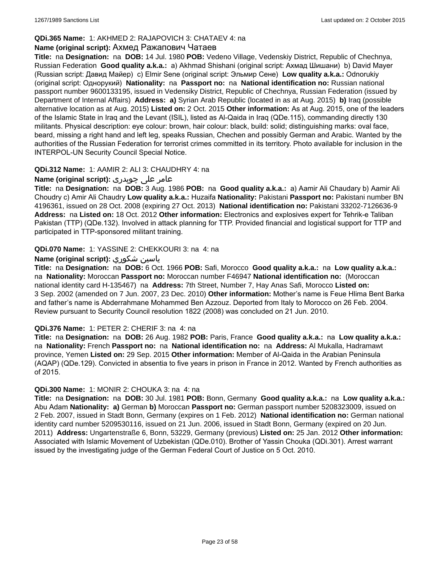# **QDi.365 Name:** 1: AKHMED 2: RAJAPOVICH 3: CHATAEV 4: na

#### **Name (original script):** Ахмед Ражапович Чатаев

**Title:** na **Designation:** na **DOB:** 14 Jul. 1980 **POB:** Vedeno Village, Vedenskiy District, Republic of Chechnya, Russian Federation **Good quality a.k.a.:** a) Akhmad Shishani (original script: Ахмад Шишани) b) David Mayer (Russian script: Давид Майер) c) Elmir Sene (original script: Эльмир Сене) **Low quality a.k.a.:** Odnorukiy (original script: Однорукий) **Nationality:** na **Passport no:** na **National identification no:** Russian national passport number 9600133195, issued in Vedensiky District, Republic of Chechnya, Russian Federation (issued by Department of Internal Affairs) **Address: a)** Syrian Arab Republic (located in as at Aug. 2015) **b)** Iraq (possible alternative location as at Aug. 2015) **Listed on:** 2 Oct. 2015 **Other information:** As at Aug. 2015, one of the leaders of the Islamic State in Iraq and the Levant (ISIL), listed as Al-Qaida in Iraq (QDe.115), commanding directly 130 militants. Physical description: eye colour: brown, hair colour: black, build: solid; distinguishing marks: oval face, beard, missing a right hand and left leg, speaks Russian, Chechen and possibly German and Arabic. Wanted by the authorities of the Russian Federation for terrorist crimes committed in its territory. Photo available for inclusion in the INTERPOL-UN Security Council Special Notice.

### **QDi.312 Name:** 1: AAMIR 2: ALI 3: CHAUDHRY 4: na

# عامر علی چوہدری **:(script original (Name**

**Title:** na **Designation:** na **DOB:** 3 Aug. 1986 **POB:** na **Good quality a.k.a.:** a) Aamir Ali Chaudary b) Aamir Ali Choudry c) Amir Ali Chaudry **Low quality a.k.a.:** Huzaifa **Nationality:** Pakistani **Passport no:** Pakistani number BN 4196361, issued on 28 Oct. 2008 (expiring 27 Oct. 2013) **National identification no:** Pakistani 33202-7126636-9 **Address:** na **Listed on:** 18 Oct. 2012 **Other information:** Electronics and explosives expert for Tehrik-e Taliban Pakistan (TTP) (QDe.132). Involved in attack planning for TTP. Provided financial and logistical support for TTP and participated in TTP-sponsored militant training.

# **QDi.070 Name:** 1: YASSINE 2: CHEKKOURI 3: na 4: na

### **Name (original script):** شكوري ياسين

**Title:** na **Designation:** na **DOB:** 6 Oct. 1966 **POB:** Safi, Morocco **Good quality a.k.a.:** na **Low quality a.k.a.:**  na **Nationality:** Moroccan **Passport no:** Moroccan number F46947 **National identification no:** (Moroccan national identity card H-135467) na **Address:** 7th Street, Number 7, Hay Anas Safi, Morocco **Listed on:** 3 Sep. 2002 (amended on 7 Jun. 2007, 23 Dec. 2010) **Other information:** Mother's name is Feue Hlima Bent Barka and father's name is Abderrahmane Mohammed Ben Azzouz. Deported from Italy to Morocco on 26 Feb. 2004. Review pursuant to Security Council resolution 1822 (2008) was concluded on 21 Jun. 2010.

#### **QDi.376 Name:** 1: PETER 2: CHERIF 3: na 4: na

**Title:** na **Designation:** na **DOB:** 26 Aug. 1982 **POB:** Paris, France **Good quality a.k.a.:** na **Low quality a.k.a.:**  na **Nationality:** French **Passport no:** na **National identification no:** na **Address:** Al Mukalla, Hadramawt province, Yemen **Listed on:** 29 Sep. 2015 **Other information:** Member of Al-Qaida in the Arabian Peninsula (AQAP) (QDe.129). Convicted in absentia to five years in prison in France in 2012. Wanted by French authorities as of 2015.

# **QDi.300 Name:** 1: MONIR 2: CHOUKA 3: na 4: na

**Title:** na **Designation:** na **DOB:** 30 Jul. 1981 **POB:** Bonn, Germany **Good quality a.k.a.:** na **Low quality a.k.a.:** Abu Adam **Nationality: a)** German **b)** Moroccan **Passport no:** German passport number 5208323009, issued on 2 Feb. 2007, issued in Stadt Bonn, Germany (expires on 1 Feb. 2012) **National identification no:** German national identity card number 5209530116, issued on 21 Jun. 2006, issued in Stadt Bonn, Germany (expired on 20 Jun. 2011) **Address:** Ungartenstraße 6, Bonn, 53229, Germany (previous) **Listed on:** 25 Jan. 2012 **Other information:** Associated with Islamic Movement of Uzbekistan (QDe.010). Brother of Yassin Chouka (QDi.301). Arrest warrant issued by the investigating judge of the German Federal Court of Justice on 5 Oct. 2010.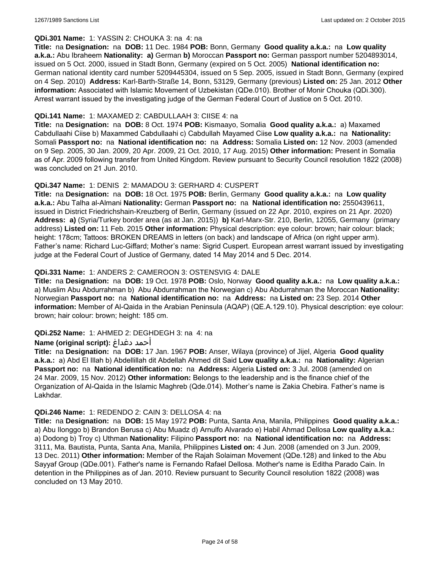### **QDi.301 Name:** 1: YASSIN 2: CHOUKA 3: na 4: na

**Title:** na **Designation:** na **DOB:** 11 Dec. 1984 **POB:** Bonn, Germany **Good quality a.k.a.:** na **Low quality a.k.a.:** Abu Ibraheem **Nationality: a)** German **b)** Moroccan **Passport no:** German passport number 5204893014, issued on 5 Oct. 2000, issued in Stadt Bonn, Germany (expired on 5 Oct. 2005) **National identification no:** German national identity card number 5209445304, issued on 5 Sep. 2005, issued in Stadt Bonn, Germany (expired on 4 Sep. 2010) **Address:** Karl-Barth-Straße 14, Bonn, 53129, Germany (previous) **Listed on:** 25 Jan. 2012 **Other information:** Associated with Islamic Movement of Uzbekistan (QDe.010). Brother of Monir Chouka (QDi.300). Arrest warrant issued by the investigating judge of the German Federal Court of Justice on 5 Oct. 2010.

### **QDi.141 Name:** 1: MAXAMED 2: CABDULLAAH 3: CIISE 4: na

**Title:** na **Designation:** na **DOB:** 8 Oct. 1974 **POB:** Kismaayo, Somalia **Good quality a.k.a.:** a) Maxamed Cabdullaahi Ciise b) Maxammed Cabdullaahi c) Cabdullah Mayamed Ciise **Low quality a.k.a.:** na **Nationality:** Somali **Passport no:** na **National identification no:** na **Address:** Somalia **Listed on:** 12 Nov. 2003 (amended on 9 Sep. 2005, 30 Jan. 2009, 20 Apr. 2009, 21 Oct. 2010, 17 Aug. 2015) **Other information:** Present in Somalia as of Apr. 2009 following transfer from United Kingdom. Review pursuant to Security Council resolution 1822 (2008) was concluded on 21 Jun. 2010.

### **QDi.347 Name:** 1: DENIS 2: MAMADOU 3: GERHARD 4: CUSPERT

**Title:** na **Designation:** na **DOB:** 18 Oct. 1975 **POB:** Berlin, Germany **Good quality a.k.a.:** na **Low quality a.k.a.:** Abu Talha al-Almani **Nationality:** German **Passport no:** na **National identification no:** 2550439611, issued in District Friedrichshain-Kreuzberg of Berlin, Germany (issued on 22 Apr. 2010, expires on 21 Apr. 2020) **Address: a)** (Syria/Turkey border area (as at Jan. 2015)) **b)** Karl-Marx-Str. 210, Berlin, 12055, Germany (primary address) **Listed on:** 11 Feb. 2015 **Other information:** Physical description: eye colour: brown; hair colour: black; height: 178cm; Tattoos: BROKEN DREAMS in letters (on back) and landscape of Africa (on right upper arm). Father's name: Richard Luc-Giffard; Mother's name: Sigrid Cuspert. European arrest warrant issued by investigating judge at the Federal Court of Justice of Germany, dated 14 May 2014 and 5 Dec. 2014.

### **QDi.331 Name:** 1: ANDERS 2: CAMEROON 3: OSTENSVIG 4: DALE

**Title:** na **Designation:** na **DOB:** 19 Oct. 1978 **POB:** Oslo, Norway **Good quality a.k.a.:** na **Low quality a.k.a.:**  a) Muslim Abu Abdurrahman b) Abu Abdurrahman the Norwegian c) Abu Abdurrahman the Moroccan **Nationality:** Norwegian **Passport no:** na **National identification no:** na **Address:** na **Listed on:** 23 Sep. 2014 **Other information:** Member of Al-Qaida in the Arabian Peninsula (AQAP) (QE.A.129.10). Physical description: eye colour: brown; hair colour: brown; height: 185 cm.

# **QDi.252 Name:** 1: AHMED 2: DEGHDEGH 3: na 4: na

#### **Name (original script):** دغداغ أحمد

**Title:** na **Designation:** na **DOB:** 17 Jan. 1967 **POB:** Anser, Wilaya (province) of Jijel, Algeria **Good quality a.k.a.:** a) Abd El Illah b) Abdellillah dit Abdellah Ahmed dit Said **Low quality a.k.a.:** na **Nationality:** Algerian **Passport no:** na **National identification no:** na **Address:** Algeria **Listed on:** 3 Jul. 2008 (amended on 24 Mar. 2009, 15 Nov. 2012) **Other information:** Belongs to the leadership and is the finance chief of the Organization of Al-Qaida in the Islamic Maghreb (Qde.014). Mother's name is Zakia Chebira. Father's name is Lakhdar.

#### **QDi.246 Name:** 1: REDENDO 2: CAIN 3: DELLOSA 4: na

**Title:** na **Designation:** na **DOB:** 15 May 1972 **POB:** Punta, Santa Ana, Manila, Philippines **Good quality a.k.a.:**  a) Abu Ilonggo b) Brandon Berusa c) Abu Muadz d) Arnulfo Alvarado e) Habil Ahmad Dellosa **Low quality a.k.a.:**  a) Dodong b) Troy c) Uthman **Nationality:** Filipino **Passport no:** na **National identification no:** na **Address:** 3111, Ma. Bautista, Punta, Santa Ana, Manila, Philippines **Listed on:** 4 Jun. 2008 (amended on 3 Jun. 2009, 13 Dec. 2011) **Other information:** Member of the Rajah Solaiman Movement (QDe.128) and linked to the Abu Sayyaf Group (QDe.001). Father's name is Fernando Rafael Dellosa. Mother's name is Editha Parado Cain. In detention in the Philippines as of Jan. 2010. Review pursuant to Security Council resolution 1822 (2008) was concluded on 13 May 2010.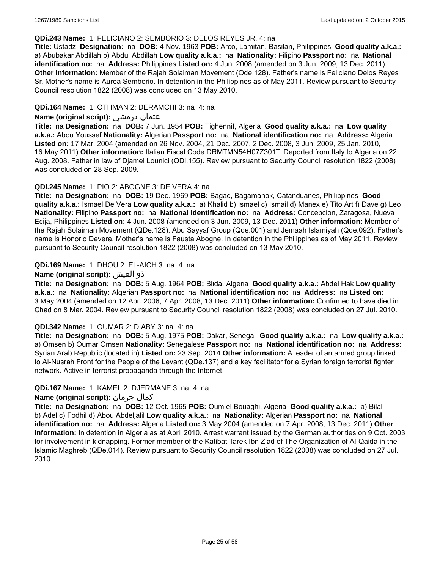#### **QDi.243 Name:** 1: FELICIANO 2: SEMBORIO 3: DELOS REYES JR. 4: na

**Title:** Ustadz **Designation:** na **DOB:** 4 Nov. 1963 **POB:** Arco, Lamitan, Basilan, Philippines **Good quality a.k.a.:**  a) Abubakar Abdillah b) Abdul Abdillah **Low quality a.k.a.:** na **Nationality:** Filipino **Passport no:** na **National identification no:** na **Address:** Philippines **Listed on:** 4 Jun. 2008 (amended on 3 Jun. 2009, 13 Dec. 2011) **Other information:** Member of the Rajah Solaiman Movement (Qde.128). Father's name is Feliciano Delos Reyes Sr. Mother's name is Aurea Semborio. In detention in the Philippines as of May 2011. Review pursuant to Security Council resolution 1822 (2008) was concluded on 13 May 2010.

### **QDi.164 Name:** 1: OTHMAN 2: DERAMCHI 3: na 4: na

### **Name (original script):** درمشي عثمان

**Title:** na **Designation:** na **DOB:** 7 Jun. 1954 **POB:** Tighennif, Algeria **Good quality a.k.a.:** na **Low quality a.k.a.:** Abou Youssef **Nationality:** Algerian **Passport no:** na **National identification no:** na **Address:** Algeria **Listed on:** 17 Mar. 2004 (amended on 26 Nov. 2004, 21 Dec. 2007, 2 Dec. 2008, 3 Jun. 2009, 25 Jan. 2010, 16 May 2011) **Other information:** Italian Fiscal Code DRMTMN54H07Z301T. Deported from Italy to Algeria on 22 Aug. 2008. Father in law of Djamel Lounici (QDi.155). Review pursuant to Security Council resolution 1822 (2008) was concluded on 28 Sep. 2009.

### **QDi.245 Name:** 1: PIO 2: ABOGNE 3: DE VERA 4: na

**Title:** na **Designation:** na **DOB:** 19 Dec. 1969 **POB:** Bagac, Bagamanok, Catanduanes, Philippines **Good quality a.k.a.:** Ismael De Vera **Low quality a.k.a.:** a) Khalid b) Ismael c) Ismail d) Manex e) Tito Art f) Dave g) Leo **Nationality:** Filipino **Passport no:** na **National identification no:** na **Address:** Concepcion, Zaragosa, Nueva Ecija, Philippines **Listed on:** 4 Jun. 2008 (amended on 3 Jun. 2009, 13 Dec. 2011) **Other information:** Member of the Rajah Solaiman Movement (QDe.128), Abu Sayyaf Group (Qde.001) and Jemaah Islamiyah (Qde.092). Father's name is Honorio Devera. Mother's name is Fausta Abogne. In detention in the Philippines as of May 2011. Review pursuant to Security Council resolution 1822 (2008) was concluded on 13 May 2010.

### **QDi.169 Name:** 1: DHOU 2: EL-AICH 3: na 4: na

### **Name (original script):** العيش ذو

**Title:** na **Designation:** na **DOB:** 5 Aug. 1964 **POB:** Blida, Algeria **Good quality a.k.a.:** Abdel Hak **Low quality a.k.a.:** na **Nationality:** Algerian **Passport no:** na **National identification no:** na **Address:** na **Listed on:** 3 May 2004 (amended on 12 Apr. 2006, 7 Apr. 2008, 13 Dec. 2011) **Other information:** Confirmed to have died in Chad on 8 Mar. 2004. Review pursuant to Security Council resolution 1822 (2008) was concluded on 27 Jul. 2010.

#### **QDi.342 Name:** 1: OUMAR 2: DIABY 3: na 4: na

**Title:** na **Designation:** na **DOB:** 5 Aug. 1975 **POB:** Dakar, Senegal **Good quality a.k.a.:** na **Low quality a.k.a.:** a) Omsen b) Oumar Omsen **Nationality:** Senegalese **Passport no:** na **National identification no:** na **Address:** Syrian Arab Republic (located in) **Listed on:** 23 Sep. 2014 **Other information:** A leader of an armed group linked to Al-Nusrah Front for the People of the Levant (QDe.137) and a key facilitator for a Syrian foreign terrorist fighter network. Active in terrorist propaganda through the Internet.

#### **QDi.167 Name:** 1: KAMEL 2: DJERMANE 3: na 4: na

# **Name (original script):** جرمان كمال

**Title:** na **Designation:** na **DOB:** 12 Oct. 1965 **POB:** Oum el Bouaghi, Algeria **Good quality a.k.a.:** a) Bilal b) Adel c) Fodhil d) Abou Abdeljalil **Low quality a.k.a.:** na **Nationality:** Algerian **Passport no:** na **National identification no:** na **Address:** Algeria **Listed on:** 3 May 2004 (amended on 7 Apr. 2008, 13 Dec. 2011) **Other information:** In detention in Algeria as at April 2010. Arrest warrant issued by the German authorities on 9 Oct. 2003 for involvement in kidnapping. Former member of the Katibat Tarek Ibn Ziad of The Organization of Al-Qaida in the Islamic Maghreb (QDe.014). Review pursuant to Security Council resolution 1822 (2008) was concluded on 27 Jul. 2010.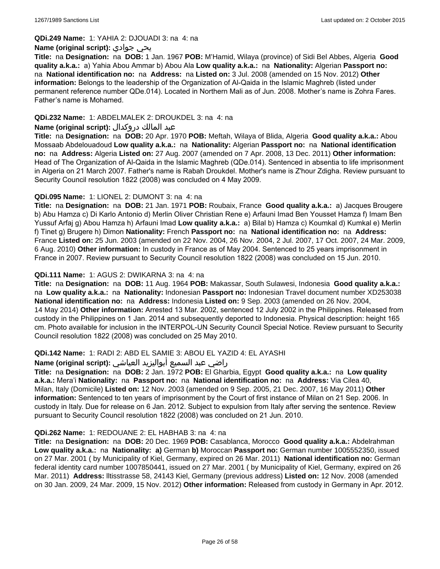#### **QDi.249 Name:** 1: YAHIA 2: DJOUADI 3: na 4: na

#### **Name (original script):** جوادي يحي

**Title:** na **Designation:** na **DOB:** 1 Jan. 1967 **POB:** M'Hamid, Wilaya (province) of Sidi Bel Abbes, Algeria **Good quality a.k.a.:** a) Yahia Abou Ammar b) Abou Ala **Low quality a.k.a.:** na **Nationality:** Algerian **Passport no:**  na **National identification no:** na **Address:** na **Listed on:** 3 Jul. 2008 (amended on 15 Nov. 2012) **Other information:** Belongs to the leadership of the Organization of Al-Qaida in the Islamic Maghreb (listed under permanent reference number QDe.014). Located in Northern Mali as of Jun. 2008. Mother's name is Zohra Fares. Father's name is Mohamed.

## **QDi.232 Name:** 1: ABDELMALEK 2: DROUKDEL 3: na 4: na

### عبد المالك دروكدال **:(script original (Name**

**Title:** na **Designation:** na **DOB:** 20 Apr. 1970 **POB:** Meftah, Wilaya of Blida, Algeria **Good quality a.k.a.:** Abou Mossaab Abdelouadoud **Low quality a.k.a.:** na **Nationality:** Algerian **Passport no:** na **National identification no:** na **Address:** Algeria **Listed on:** 27 Aug. 2007 (amended on 7 Apr. 2008, 13 Dec. 2011) **Other information:** Head of The Organization of Al-Qaida in the Islamic Maghreb (QDe.014). Sentenced in absentia to life imprisonment in Algeria on 21 March 2007. Father's name is Rabah Droukdel. Mother's name is Z'hour Zdigha. Review pursuant to Security Council resolution 1822 (2008) was concluded on 4 May 2009.

### **QDi.095 Name:** 1: LIONEL 2: DUMONT 3: na 4: na

**Title:** na **Designation:** na **DOB:** 21 Jan. 1971 **POB:** Roubaix, France **Good quality a.k.a.:** a) Jacques Brougere b) Abu Hamza c) Di Karlo Antonio d) Merlin Oliver Christian Rene e) Arfauni Imad Ben Yousset Hamza f) Imam Ben Yussuf Arfaj g) Abou Hamza h) Arfauni Imad **Low quality a.k.a.:** a) Bilal b) Hamza c) Koumkal d) Kumkal e) Merlin f) Tinet g) Brugere h) Dimon **Nationality:** French **Passport no:** na **National identification no:** na **Address:** France **Listed on:** 25 Jun. 2003 (amended on 22 Nov. 2004, 26 Nov. 2004, 2 Jul. 2007, 17 Oct. 2007, 24 Mar. 2009, 6 Aug. 2010) **Other information:** In custody in France as of May 2004. Sentenced to 25 years imprisonment in France in 2007. Review pursuant to Security Council resolution 1822 (2008) was concluded on 15 Jun. 2010.

### **QDi.111 Name:** 1: AGUS 2: DWIKARNA 3: na 4: na

**Title:** na **Designation:** na **DOB:** 11 Aug. 1964 **POB:** Makassar, South Sulawesi, Indonesia **Good quality a.k.a.:**  na **Low quality a.k.a.:** na **Nationality:** Indonesian **Passport no:** Indonesian Travel document number XD253038 **National identification no:** na **Address:** Indonesia **Listed on:** 9 Sep. 2003 (amended on 26 Nov. 2004, 14 May 2014) **Other information:** Arrested 13 Mar. 2002, sentenced 12 July 2002 in the Philippines. Released from custody in the Philippines on 1 Jan. 2014 and subsequently deported to Indonesia. Physical description: height 165 cm. Photo available for inclusion in the INTERPOL-UN Security Council Special Notice. Review pursuant to Security Council resolution 1822 (2008) was concluded on 25 May 2010.

#### **QDi.142 Name:** 1: RADI 2: ABD EL SAMIE 3: ABOU EL YAZID 4: EL AYASHI

#### راضي عبد السميع أبواليزيد العياشي **:(script original (Name**

**Title:** na **Designation:** na **DOB:** 2 Jan. 1972 **POB:** El Gharbia, Egypt **Good quality a.k.a.:** na **Low quality a.k.a.:** Mera'i **Nationality:** na **Passport no:** na **National identification no:** na **Address:** Via Cilea 40, Milan, Italy (Domicile) **Listed on:** 12 Nov. 2003 (amended on 9 Sep. 2005, 21 Dec. 2007, 16 May 2011) **Other information:** Sentenced to ten years of imprisonment by the Court of first instance of Milan on 21 Sep. 2006. In custody in Italy. Due for release on 6 Jan. 2012. Subject to expulsion from Italy after serving the sentence. Review pursuant to Security Council resolution 1822 (2008) was concluded on 21 Jun. 2010.

#### **QDi.262 Name:** 1: REDOUANE 2: EL HABHAB 3: na 4: na

**Title:** na **Designation:** na **DOB:** 20 Dec. 1969 **POB:** Casablanca, Morocco **Good quality a.k.a.:** Abdelrahman **Low quality a.k.a.:** na **Nationality: a)** German **b)** Moroccan **Passport no:** German number 1005552350, issued on 27 Mar. 2001 ( by Municipality of Kiel, Germany, expired on 26 Mar. 2011) **National identification no:** German federal identity card number 1007850441, issued on 27 Mar. 2001 ( by Municipality of Kiel, Germany, expired on 26 Mar. 2011) **Address:** lltisstrasse 58, 24143 Kiel, Germany (previous address) **Listed on:** 12 Nov. 2008 (amended on 30 Jan. 2009, 24 Mar. 2009, 15 Nov. 2012) **Other information:** Released from custody in Germany in Apr. 2012.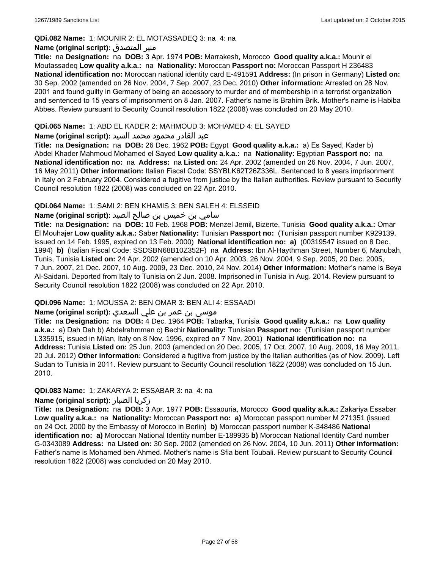## **QDi.082 Name:** 1: MOUNIR 2: EL MOTASSADEQ 3: na 4: na

### **Name (original script):** المتصدق منير

**Title:** na **Designation:** na **DOB:** 3 Apr. 1974 **POB:** Marrakesh, Morocco **Good quality a.k.a.:** Mounir el Moutassadeq **Low quality a.k.a.:** na **Nationality:** Moroccan **Passport no:** Moroccan Passport H 236483 **National identification no:** Moroccan national identity card E-491591 **Address:** (In prison in Germany) **Listed on:** 30 Sep. 2002 (amended on 26 Nov. 2004, 7 Sep. 2007, 23 Dec. 2010) **Other information:** Arrested on 28 Nov. 2001 and found guilty in Germany of being an accessory to murder and of membership in a terrorist organization and sentenced to 15 years of imprisonment on 8 Jan. 2007. Father's name is Brahim Brik. Mother's name is Habiba Abbes. Review pursuant to Security Council resolution 1822 (2008) was concluded on 20 May 2010.

## **QDi.065 Name:** 1: ABD EL KADER 2: MAHMOUD 3: MOHAMED 4: EL SAYED

### عبد القادر محمود محمد السيد **:(script original (Name**

**Title:** na **Designation:** na **DOB:** 26 Dec. 1962 **POB:** Egypt **Good quality a.k.a.:** a) Es Sayed, Kader b) Abdel Khader Mahmoud Mohamed el Sayed **Low quality a.k.a.:** na **Nationality:** Egyptian **Passport no:** na **National identification no:** na **Address:** na **Listed on:** 24 Apr. 2002 (amended on 26 Nov. 2004, 7 Jun. 2007, 16 May 2011) **Other information:** Italian Fiscal Code: SSYBLK62T26Z336L. Sentenced to 8 years imprisonment in Italy on 2 February 2004. Considered a fugitive from justice by the Italian authorities. Review pursuant to Security Council resolution 1822 (2008) was concluded on 22 Apr. 2010.

# **QDi.064 Name:** 1: SAMI 2: BEN KHAMIS 3: BEN SALEH 4: ELSSEID

# سامي بن خميس بن صالح الصيد **:Name (original script**)

**Title:** na **Designation:** na **DOB:** 10 Feb. 1968 **POB:** Menzel Jemil, Bizerte, Tunisia **Good quality a.k.a.:** Omar El Mouhajer **Low quality a.k.a.:** Saber **Nationality:** Tunisian **Passport no:** (Tunisian passport number K929139, issued on 14 Feb. 1995, expired on 13 Feb. 2000) **National identification no: a)** (00319547 issued on 8 Dec. 1994) **b)** (Italian Fiscal Code: SSDSBN68B10Z352F) na **Address:** Ibn Al-Haythman Street, Number 6, Manubah, Tunis, Tunisia **Listed on:** 24 Apr. 2002 (amended on 10 Apr. 2003, 26 Nov. 2004, 9 Sep. 2005, 20 Dec. 2005, 7 Jun. 2007, 21 Dec. 2007, 10 Aug. 2009, 23 Dec. 2010, 24 Nov. 2014) **Other information:** Mother's name is Beya Al-Saidani. Deported from Italy to Tunisia on 2 Jun. 2008. Imprisoned in Tunisia in Aug. 2014. Review pursuant to Security Council resolution 1822 (2008) was concluded on 22 Apr. 2010.

# **QDi.096 Name:** 1: MOUSSA 2: BEN OMAR 3: BEN ALI 4: ESSAADI

# موسى بن عمر بن علي السعدي **:Name (original script**)

**Title:** na **Designation:** na **DOB:** 4 Dec. 1964 **POB:** Tabarka, Tunisia **Good quality a.k.a.:** na **Low quality a.k.a.:** a) Dah Dah b) Abdelrahmman c) Bechir **Nationality:** Tunisian **Passport no:** (Tunisian passport number L335915, issued in Milan, Italy on 8 Nov. 1996, expired on 7 Nov. 2001) **National identification no:** na **Address:** Tunisia **Listed on:** 25 Jun. 2003 (amended on 20 Dec. 2005, 17 Oct. 2007, 10 Aug. 2009, 16 May 2011, 20 Jul. 2012) **Other information:** Considered a fugitive from justice by the Italian authorities (as of Nov. 2009). Left Sudan to Tunisia in 2011. Review pursuant to Security Council resolution 1822 (2008) was concluded on 15 Jun. 2010.

# **QDi.083 Name:** 1: ZAKARYA 2: ESSABAR 3: na 4: na

#### **Name (original script):** الصبار زكريا

**Title:** na **Designation:** na **DOB:** 3 Apr. 1977 **POB:** Essaouria, Morocco **Good quality a.k.a.:** Zakariya Essabar **Low quality a.k.a.:** na **Nationality:** Moroccan **Passport no: a)** Moroccan passport number M 271351 (issued on 24 Oct. 2000 by the Embassy of Morocco in Berlin) **b)** Moroccan passport number K-348486 **National identification no: a)** Moroccan National Identity number E-189935 **b)** Moroccan National Identity Card number G-0343089 **Address:** na **Listed on:** 30 Sep. 2002 (amended on 26 Nov. 2004, 10 Jun. 2011) **Other information:** Father's name is Mohamed ben Ahmed. Mother's name is Sfia bent Toubali. Review pursuant to Security Council resolution 1822 (2008) was concluded on 20 May 2010.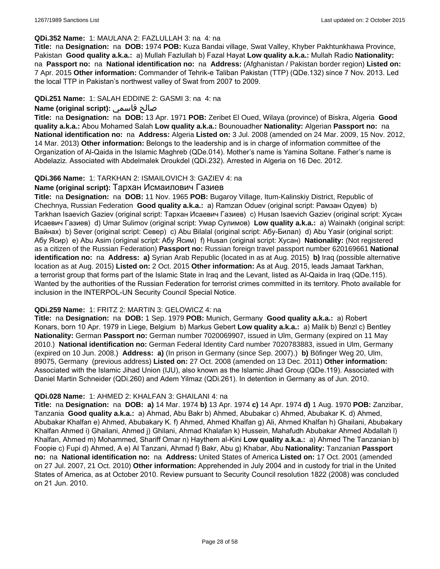#### **QDi.352 Name:** 1: MAULANA 2: FAZLULLAH 3: na 4: na

**Title:** na **Designation:** na **DOB:** 1974 **POB:** Kuza Bandai village, Swat Valley, Khyber Pakhtunkhawa Province, Pakistan **Good quality a.k.a.:** a) Mullah Fazlullah b) Fazal Hayat **Low quality a.k.a.:** Mullah Radio **Nationality:**  na **Passport no:** na **National identification no:** na **Address:** (Afghanistan / Pakistan border region) **Listed on:** 7 Apr. 2015 **Other information:** Commander of Tehrik-e Taliban Pakistan (TTP) (QDe.132) since 7 Nov. 2013. Led the local TTP in Pakistan's northwest valley of Swat from 2007 to 2009.

## **QDi.251 Name:** 1: SALAH EDDINE 2: GASMI 3: na 4: na

# **Name (original script):** قاسمي صالح

**Title:** na **Designation:** na **DOB:** 13 Apr. 1971 **POB:** Zeribet El Oued, Wilaya (province) of Biskra, Algeria **Good quality a.k.a.:** Abou Mohamed Salah **Low quality a.k.a.:** Bounouadher **Nationality:** Algerian **Passport no:** na **National identification no:** na **Address:** Algeria **Listed on:** 3 Jul. 2008 (amended on 24 Mar. 2009, 15 Nov. 2012, 14 Mar. 2013) **Other information:** Belongs to the leadership and is in charge of information committee of the Organization of Al-Qaida in the Islamic Maghreb (QDe.014). Mother's name is Yamina Soltane. Father's name is Abdelaziz. Associated with Abdelmalek Droukdel (QDi.232). Arrested in Algeria on 16 Dec. 2012.

### **QDi.366 Name:** 1: TARKHAN 2: ISMAILOVICH 3: GAZIEV 4: na

# **Name (original script):** Тархан Исмаилович Газиев

**Title:** na **Designation:** na **DOB:** 11 Nov. 1965 **POB:** Bugaroy Village, Itum-Kalinskiy District, Republic of Chechnya, Russian Federation **Good quality a.k.a.:** a) Ramzan Oduev (original script: Рамзан Одуев) b) Tarkhan Isaevich Gaziev (original script: Тархан Исаевич Газиев) c) Husan Isaevich Gaziev (original script: Хусан Исаевич Газиев) d) Umar Sulimov (original script: Умар Сулимов) **Low quality a.k.a.:** a) Wainakh (original script: Вайнах) b) Sever (original script: Север) c) Abu Bilalal (original script: Абу-Билал) d) Abu Yasir (original script: Абу Ясир) e) Abu Asim (original script: Абу Ясим) f) Husan (original script: Хусан) **Nationality:** (Not registered as a citizen of the Russian Federation) **Passport no:** Russian foreign travel passport number 620169661 **National identification no:** na **Address: a)** Syrian Arab Republic (located in as at Aug. 2015) **b)** Iraq (possible alternative location as at Aug. 2015) **Listed on:** 2 Oct. 2015 **Other information:** As at Aug. 2015, leads Jamaat Tarkhan, a terrorist group that forms part of the Islamic State in Iraq and the Levant, listed as Al-Qaida in Iraq (QDe.115). Wanted by the authorities of the Russian Federation for terrorist crimes committed in its territory. Photo available for inclusion in the INTERPOL-UN Security Council Special Notice.

#### **QDi.259 Name:** 1: FRITZ 2: MARTIN 3: GELOWICZ 4: na

**Title:** na **Designation:** na **DOB:** 1 Sep. 1979 **POB:** Munich, Germany **Good quality a.k.a.:** a) Robert Konars, born 10 Apr. 1979 in Liege, Belgium b) Markus Gebert **Low quality a.k.a.:** a) Malik b) Benzl c) Bentley **Nationality:** German **Passport no:** German number 7020069907, issued in Ulm, Germany (expired on 11 May 2010.) **National identification no:** German Federal Identity Card number 7020783883, issued in Ulm, Germany (expired on 10 Jun. 2008.) **Address: a)** (In prison in Germany (since Sep. 2007).) **b)** Böfinger Weg 20, Ulm, 89075, Germany (previous address) **Listed on:** 27 Oct. 2008 (amended on 13 Dec. 2011) **Other information:** Associated with the Islamic Jihad Union (IJU), also known as the Islamic Jihad Group (QDe.119). Associated with Daniel Martin Schneider (QDi.260) and Adem Yilmaz (QDi.261). In detention in Germany as of Jun. 2010.

#### **QDi.028 Name:** 1: AHMED 2: KHALFAN 3: GHAILANI 4: na

**Title:** na **Designation:** na **DOB: a)** 14 Mar. 1974 **b)** 13 Apr. 1974 **c)** 14 Apr. 1974 **d)** 1 Aug. 1970 **POB:** Zanzibar, Tanzania **Good quality a.k.a.:** a) Ahmad, Abu Bakr b) Ahmed, Abubakar c) Ahmed, Abubakar K. d) Ahmed, Abubakar Khalfan e) Ahmed, Abubakary K. f) Ahmed, Ahmed Khalfan g) Ali, Ahmed Khalfan h) Ghailani, Abubakary Khalfan Ahmed i) Ghailani, Ahmed j) Ghilani, Ahmad Khalafan k) Hussein, Mahafudh Abubakar Ahmed Abdallah l) Khalfan, Ahmed m) Mohammed, Shariff Omar n) Haythem al-Kini **Low quality a.k.a.:** a) Ahmed The Tanzanian b) Foopie c) Fupi d) Ahmed, A e) Al Tanzani, Ahmad f) Bakr, Abu g) Khabar, Abu **Nationality:** Tanzanian **Passport no:** na **National identification no:** na **Address:** United States of America **Listed on:** 17 Oct. 2001 (amended on 27 Jul. 2007, 21 Oct. 2010) **Other information:** Apprehended in July 2004 and in custody for trial in the United States of America, as at October 2010. Review pursuant to Security Council resolution 1822 (2008) was concluded on 21 Jun. 2010.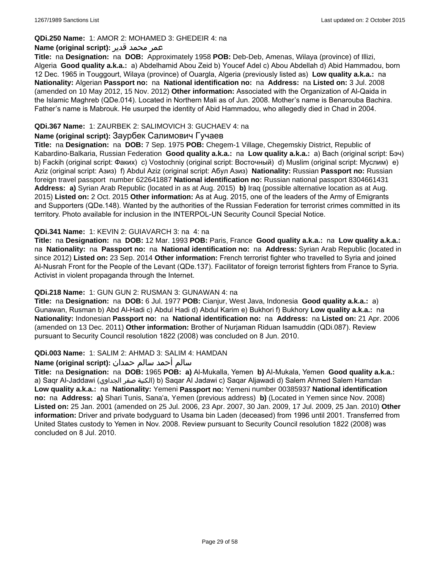### **QDi.250 Name:** 1: AMOR 2: MOHAMED 3: GHEDEIR 4: na

## عمر محمد قدير **:(script original (Name**

**Title:** na **Designation:** na **DOB:** Approximately 1958 **POB:** Deb-Deb, Amenas, Wilaya (province) of Illizi, Algeria **Good quality a.k.a.:** a) Abdelhamid Abou Zeid b) Youcef Adel c) Abou Abdellah d) Abid Hammadou, born 12 Dec. 1965 in Touggourt, Wilaya (province) of Ouargla, Algeria (previously listed as) **Low quality a.k.a.:** na **Nationality:** Algerian **Passport no:** na **National identification no:** na **Address:** na **Listed on:** 3 Jul. 2008 (amended on 10 May 2012, 15 Nov. 2012) **Other information:** Associated with the Organization of Al-Qaida in the Islamic Maghreb (QDe.014). Located in Northern Mali as of Jun. 2008. Mother's name is Benarouba Bachira. Father's name is Mabrouk. He usurped the identity of Abid Hammadou, who allegedly died in Chad in 2004.

## **QDi.367 Name:** 1: ZAURBEK 2: SALIMOVICH 3: GUCHAEV 4: na

### **Name (original script):** Заурбек Салимович Гучаев

**Title:** na **Designation:** na **DOB:** 7 Sep. 1975 **POB:** Chegem-1 Village, Chegemskiy District, Republic of Kabardino-Balkaria, Russian Federation **Good quality a.k.a.:** na **Low quality a.k.a.:** a) Bach (original script: Бэч) b) Fackih (original script: Факих) c) Vostochniy (original script: Восточный) d) Muslim (original script: Муслим) e) Aziz (original script: Азиз) f) Abdul Aziz (original script: Абул Азиз) **Nationality:** Russian **Passport no:** Russian foreign travel passport number 622641887 **National identification no:** Russian national passport 8304661431 **Address: a)** Syrian Arab Republic (located in as at Aug. 2015) **b)** Iraq (possible alternative location as at Aug. 2015) **Listed on:** 2 Oct. 2015 **Other information:** As at Aug. 2015, one of the leaders of the Army of Emigrants and Supporters (QDe.148). Wanted by the authorities of the Russian Federation for terrorist crimes committed in its territory. Photo available for inclusion in the INTERPOL-UN Security Council Special Notice.

### **QDi.341 Name:** 1: KEVIN 2: GUIAVARCH 3: na 4: na

**Title:** na **Designation:** na **DOB:** 12 Mar. 1993 **POB:** Paris, France **Good quality a.k.a.:** na **Low quality a.k.a.:**  na **Nationality:** na **Passport no:** na **National identification no:** na **Address:** Syrian Arab Republic (located in since 2012) **Listed on:** 23 Sep. 2014 **Other information:** French terrorist fighter who travelled to Syria and joined Al-Nusrah Front for the People of the Levant (QDe.137). Facilitator of foreign terrorist fighters from France to Syria. Activist in violent propaganda through the Internet.

#### **QDi.218 Name:** 1: GUN GUN 2: RUSMAN 3: GUNAWAN 4: na

**Title:** na **Designation:** na **DOB:** 6 Jul. 1977 **POB:** Cianjur, West Java, Indonesia **Good quality a.k.a.:** a) Gunawan, Rusman b) Abd Al-Hadi c) Abdul Hadi d) Abdul Karim e) Bukhori f) Bukhory **Low quality a.k.a.:** na **Nationality:** Indonesian **Passport no:** na **National identification no:** na **Address:** na **Listed on:** 21 Apr. 2006 (amended on 13 Dec. 2011) **Other information:** Brother of Nurjaman Riduan Isamuddin (QDi.087). Review pursuant to Security Council resolution 1822 (2008) was concluded on 8 Jun. 2010.

#### **QDi.003 Name:** 1: SALIM 2: AHMAD 3: SALIM 4: HAMDAN

#### سالم أحمد سالم حمدان **:(script original (Name**

**Title:** na **Designation:** na **DOB:** 1965 **POB: a)** Al-Mukalla, Yemen **b)** AI-Mukala, Yemen **Good quality a.k.a.:**  a) Saqr Al-Jaddawi (الجداوي صقر الكنية (b) Saqar Al Jadawi c) Saqar Aljawadi d) Salem Ahmed Salem Hamdan **Low quality a.k.a.:** na **Nationality:** Yemeni **Passport no:** Yemeni number 00385937 **National identification no:** na **Address: a)** Shari Tunis, Sana'a, Yemen (previous address) **b)** (Located in Yemen since Nov. 2008) **Listed on:** 25 Jan. 2001 (amended on 25 Jul. 2006, 23 Apr. 2007, 30 Jan. 2009, 17 Jul. 2009, 25 Jan. 2010) **Other information:** Driver and private bodyguard to Usama bin Laden (deceased) from 1996 until 2001. Transferred from United States custody to Yemen in Nov. 2008. Review pursuant to Security Council resolution 1822 (2008) was concluded on 8 Jul. 2010.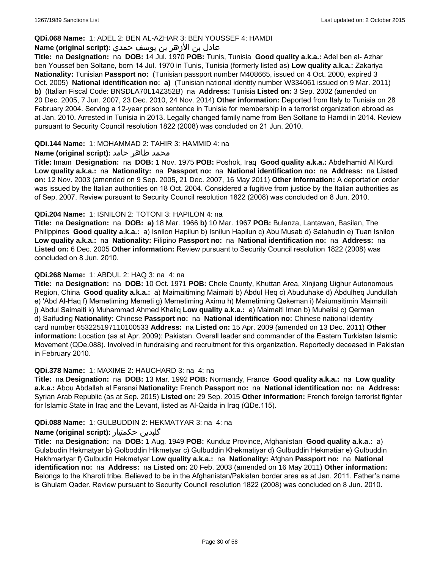### **QDi.068 Name:** 1: ADEL 2: BEN AL-AZHAR 3: BEN YOUSSEF 4: HAMDI

# عادل بن الأزهر بن يوسف حمدي **:(script original (Name**

**Title:** na **Designation:** na **DOB:** 14 Jul. 1970 **POB:** Tunis, Tunisia **Good quality a.k.a.:** Adel ben al- Azhar ben Youssef ben Soltane, born 14 Jul. 1970 in Tunis, Tunisia (formerly listed as) **Low quality a.k.a.:** Zakariya **Nationality:** Tunisian **Passport no:** (Tunisian passport number M408665, issued on 4 Oct. 2000, expired 3 Oct. 2005) **National identification no: a)** (Tunisian national identity number W334061 issued on 9 Mar. 2011) **b)** (Italian Fiscal Code: BNSDLA70L14Z352B) na **Address:** Tunisia **Listed on:** 3 Sep. 2002 (amended on 20 Dec. 2005, 7 Jun. 2007, 23 Dec. 2010, 24 Nov. 2014) **Other information:** Deported from Italy to Tunisia on 28 February 2004. Serving a 12-year prison sentence in Tunisia for membership in a terrorist organization abroad as at Jan. 2010. Arrested in Tunisia in 2013. Legally changed family name from Ben Soltane to Hamdi in 2014. Review pursuant to Security Council resolution 1822 (2008) was concluded on 21 Jun. 2010.

#### **QDi.144 Name:** 1: MOHAMMAD 2: TAHIR 3: HAMMID 4: na

### **محمد طاهر حامد :(Name (original script**

**Title:** Imam **Designation:** na **DOB:** 1 Nov. 1975 **POB:** Poshok, Iraq **Good quality a.k.a.:** Abdelhamid Al Kurdi **Low quality a.k.a.:** na **Nationality:** na **Passport no:** na **National identification no:** na **Address:** na **Listed on:** 12 Nov. 2003 (amended on 9 Sep. 2005, 21 Dec. 2007, 16 May 2011) **Other information:** A deportation order was issued by the Italian authorities on 18 Oct. 2004. Considered a fugitive from justice by the Italian authorities as of Sep. 2007. Review pursuant to Security Council resolution 1822 (2008) was concluded on 8 Jun. 2010.

#### **QDi.204 Name:** 1: ISNILON 2: TOTONI 3: HAPILON 4: na

**Title:** na **Designation:** na **DOB: a)** 18 Mar. 1966 **b)** 10 Mar. 1967 **POB:** Bulanza, Lantawan, Basilan, The Philippines **Good quality a.k.a.:** a) Isnilon Hapilun b) Isnilun Hapilun c) Abu Musab d) Salahudin e) Tuan Isnilon **Low quality a.k.a.:** na **Nationality:** Filipino **Passport no:** na **National identification no:** na **Address:** na **Listed on:** 6 Dec. 2005 **Other information:** Review pursuant to Security Council resolution 1822 (2008) was concluded on 8 Jun. 2010.

### **QDi.268 Name:** 1: ABDUL 2: HAQ 3: na 4: na

**Title:** na **Designation:** na **DOB:** 10 Oct. 1971 **POB:** Chele County, Khuttan Area, Xinjiang Uighur Autonomous Region, China **Good quality a.k.a.:** a) Maimaitiming Maimaiti b) Abdul Heq c) Abuduhake d) Abdulheq Jundullah e) 'Abd Al-Haq f) Memetiming Memeti g) Memetiming Aximu h) Memetiming Qekeman i) Maiumaitimin Maimaiti j) Abdul Saimaiti k) Muhammad Ahmed Khaliq **Low quality a.k.a.:** a) Maimaiti Iman b) Muhelisi c) Qerman d) Saifuding **Nationality:** Chinese **Passport no:** na **National identification no:** Chinese national identity card number 653225197110100533 **Address:** na **Listed on:** 15 Apr. 2009 (amended on 13 Dec. 2011) **Other information:** Location (as at Apr. 2009): Pakistan. Overall leader and commander of the Eastern Turkistan Islamic Movement (QDe.088). Involved in fundraising and recruitment for this organization. Reportedly deceased in Pakistan in February 2010.

#### **QDi.378 Name:** 1: MAXIME 2: HAUCHARD 3: na 4: na

**Title:** na **Designation:** na **DOB:** 13 Mar. 1992 **POB:** Normandy, France **Good quality a.k.a.:** na **Low quality a.k.a.:** Abou Abdallah al Faransi **Nationality:** French **Passport no:** na **National identification no:** na **Address:** Syrian Arab Republic (as at Sep. 2015) **Listed on:** 29 Sep. 2015 **Other information:** French foreign terrorist fighter for Islamic State in Iraq and the Levant, listed as Al-Qaida in Iraq (QDe.115).

#### **QDi.088 Name:** 1: GULBUDDIN 2: HEKMATYAR 3: na 4: na

#### **Name (original script):** حکمتیار گلبدین

**Title:** na **Designation:** na **DOB:** 1 Aug. 1949 **POB:** Kunduz Province, Afghanistan **Good quality a.k.a.:** a) Gulabudin Hekmatyar b) Golboddin Hikmetyar c) Gulbuddin Khekmatiyar d) Gulbuddin Hekmatiar e) Gulbuddin Hekhmartyar f) Gulbudin Hekmetyar **Low quality a.k.a.:** na **Nationality:** Afghan **Passport no:** na **National identification no:** na **Address:** na **Listed on:** 20 Feb. 2003 (amended on 16 May 2011) **Other information:** Belongs to the Kharoti tribe. Believed to be in the Afghanistan/Pakistan border area as at Jan. 2011. Father's name is Ghulam Qader. Review pursuant to Security Council resolution 1822 (2008) was concluded on 8 Jun. 2010.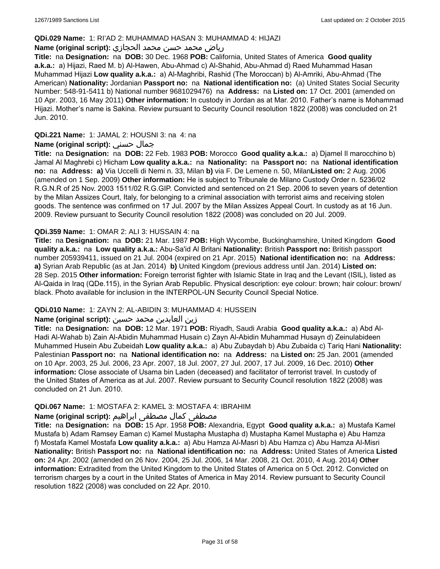### **QDi.029 Name:** 1: RI'AD 2: MUHAMMAD HASAN 3: MUHAMMAD 4: HIJAZI

# رياض محمد حسن محمد الحجازي **:(script original (Name**

**Title:** na **Designation:** na **DOB:** 30 Dec. 1968 **POB:** California, United States of America **Good quality a.k.a.:** a) Hijazi, Raed M. b) Al-Hawen, Abu-Ahmad c) Al-Shahid, Abu-Ahmad d) Raed Muhammad Hasan Muhammad Hijazi **Low quality a.k.a.:** a) Al-Maghribi, Rashid (The Moroccan) b) Al-Amriki, Abu-Ahmad (The American) **Nationality:** Jordanian **Passport no:** na **National identification no:** (a) United States Social Security Number: 548-91-5411 b) National number 9681029476) na **Address:** na **Listed on:** 17 Oct. 2001 (amended on 10 Apr. 2003, 16 May 2011) **Other information:** In custody in Jordan as at Mar. 2010. Father's name is Mohammad Hijazi. Mother's name is Sakina. Review pursuant to Security Council resolution 1822 (2008) was concluded on 21 Jun. 2010.

## **QDi.221 Name:** 1: JAMAL 2: HOUSNI 3: na 4: na

## **Name (original script):** حسني جمال

**Title:** na **Designation:** na **DOB:** 22 Feb. 1983 **POB:** Morocco **Good quality a.k.a.:** a) Djamel Il marocchino b) Jamal Al Maghrebi c) Hicham **Low quality a.k.a.:** na **Nationality:** na **Passport no:** na **National identification no:** na **Address: a)** Via Uccelli di Nemi n. 33, Milan **b)** via F. De Lemene n. 50, Milan**Listed on:** 2 Aug. 2006 (amended on 1 Sep. 2009) **Other information:** He is subject to Tribunale de Milano Custody Order n. 5236/02 R.G.N.R of 25 Nov. 2003 1511/02 R.G.GIP. Convicted and sentenced on 21 Sep. 2006 to seven years of detention by the Milan Assizes Court, Italy, for belonging to a criminal association with terrorist aims and receiving stolen goods. The sentence was confirmed on 17 Jul. 2007 by the Milan Assizes Appeal Court. In custody as at 16 Jun. 2009. Review pursuant to Security Council resolution 1822 (2008) was concluded on 20 Jul. 2009.

### **QDi.359 Name:** 1: OMAR 2: ALI 3: HUSSAIN 4: na

**Title:** na **Designation:** na **DOB:** 21 Mar. 1987 **POB:** High Wycombe, Buckinghamshire, United Kingdom **Good quality a.k.a.:** na **Low quality a.k.a.:** Abu-Sa'id Al Britani **Nationality:** British **Passport no:** British passport number 205939411, issued on 21 Jul. 2004 (expired on 21 Apr. 2015) **National identification no:** na **Address: a)** Syrian Arab Republic (as at Jan. 2014) **b)** United Kingdom (previous address until Jan. 2014) **Listed on:** 28 Sep. 2015 **Other information:** Foreign terrorist fighter with Islamic State in Iraq and the Levant (ISIL), listed as Al-Qaida in Iraq (QDe.115), in the Syrian Arab Republic. Physical description: eye colour: brown; hair colour: brown/ black. Photo available for inclusion in the INTERPOL-UN Security Council Special Notice.

# **QDi.010 Name:** 1: ZAYN 2: AL-ABIDIN 3: MUHAMMAD 4: HUSSEIN

#### زين العابدين محمد حسين **:(script original (Name**

**Title:** na **Designation:** na **DOB:** 12 Mar. 1971 **POB:** Riyadh, Saudi Arabia **Good quality a.k.a.:** a) Abd Al-Hadi Al-Wahab b) Zain Al-Abidin Muhammad Husain c) Zayn Al-Abidin Muhammad Husayn d) Zeinulabideen Muhammed Husein Abu Zubeidah **Low quality a.k.a.:** a) Abu Zubaydah b) Abu Zubaida c) Tariq Hani **Nationality:** Palestinian **Passport no:** na **National identification no:** na **Address:** na **Listed on:** 25 Jan. 2001 (amended on 10 Apr. 2003, 25 Jul. 2006, 23 Apr. 2007, 18 Jul. 2007, 27 Jul. 2007, 17 Jul. 2009, 16 Dec. 2010) **Other information:** Close associate of Usama bin Laden (deceased) and facilitator of terrorist travel. In custody of the United States of America as at Jul. 2007. Review pursuant to Security Council resolution 1822 (2008) was concluded on 21 Jun. 2010.

#### **QDi.067 Name:** 1: MOSTAFA 2: KAMEL 3: MOSTAFA 4: IBRAHIM

# مصطفى كمال مصطفى ابراهيم **:Name (original script**)

**Title:** na **Designation:** na **DOB:** 15 Apr. 1958 **POB:** Alexandria, Egypt **Good quality a.k.a.:** a) Mustafa Kamel Mustafa b) Adam Ramsey Eaman c) Kamel Mustapha Mustapha d) Mustapha Kamel Mustapha e) Abu Hamza f) Mostafa Kamel Mostafa **Low quality a.k.a.:** a) Abu Hamza Al-Masri b) Abu Hamza c) Abu Hamza Al-Misri **Nationality:** British **Passport no:** na **National identification no:** na **Address:** United States of America **Listed on:** 24 Apr. 2002 (amended on 26 Nov. 2004, 25 Jul. 2006, 14 Mar. 2008, 21 Oct. 2010, 4 Aug. 2014) **Other information:** Extradited from the United Kingdom to the United States of America on 5 Oct. 2012. Convicted on terrorism charges by a court in the United States of America in May 2014. Review pursuant to Security Council resolution 1822 (2008) was concluded on 22 Apr. 2010.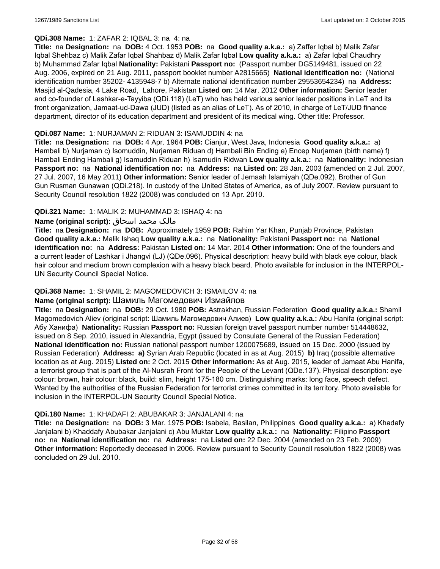# **QDi.308 Name:** 1: ZAFAR 2: IQBAL 3: na 4: na

**Title:** na **Designation:** na **DOB:** 4 Oct. 1953 **POB:** na **Good quality a.k.a.:** a) Zaffer Iqbal b) Malik Zafar Iqbal Shehbaz c) Malik Zafar Iqbal Shahbaz d) Malik Zafar Iqbal **Low quality a.k.a.:** a) Zafar Iqbal Chaudhry b) Muhammad Zafar Iqbal **Nationality:** Pakistani **Passport no:** (Passport number DG5149481, issued on 22 Aug. 2006, expired on 21 Aug. 2011, passport booklet number A2815665) **National identification no:** (National identification number 35202- 4135948-7 b) Alternate national identification number 29553654234) na **Address:** Masjid al-Qadesia, 4 Lake Road, Lahore, Pakistan **Listed on:** 14 Mar. 2012 **Other information:** Senior leader and co-founder of Lashkar-e-Tayyiba (QDi.118) (LeT) who has held various senior leader positions in LeT and its front organization, Jamaat-ud-Dawa (JUD) (listed as an alias of LeT). As of 2010, in charge of LeT/JUD finance department, director of its education department and president of its medical wing. Other title: Professor.

#### **QDi.087 Name:** 1: NURJAMAN 2: RIDUAN 3: ISAMUDDIN 4: na

**Title:** na **Designation:** na **DOB:** 4 Apr. 1964 **POB:** Cianjur, West Java, Indonesia **Good quality a.k.a.:** a) Hambali b) Nurjaman c) Isomuddin, Nurjaman Riduan d) Hambali Bin Ending e) Encep Nurjaman (birth name) f) Hambali Ending Hambali g) Isamuddin Riduan h) Isamudin Ridwan **Low quality a.k.a.:** na **Nationality:** Indonesian **Passport no:** na **National identification no:** na **Address:** na **Listed on:** 28 Jan. 2003 (amended on 2 Jul. 2007, 27 Jul. 2007, 16 May 2011) **Other information:** Senior leader of Jemaah Islamiyah (QDe.092). Brother of Gun Gun Rusman Gunawan (QDi.218). In custody of the United States of America, as of July 2007. Review pursuant to Security Council resolution 1822 (2008) was concluded on 13 Apr. 2010.

# **QDi.321 Name:** 1: MALIK 2: MUHAMMAD 3: ISHAQ 4: na

### مالک محمد اسحاق **:(script original (Name**

**Title:** na **Designation:** na **DOB:** Approximately 1959 **POB:** Rahim Yar Khan, Punjab Province, Pakistan **Good quality a.k.a.:** Malik Ishaq **Low quality a.k.a.:** na **Nationality:** Pakistani **Passport no:** na **National identification no:** na **Address:** Pakistan **Listed on:** 14 Mar. 2014 **Other information:** One of the founders and a current leader of Lashkar i Jhangvi (LJ) (QDe.096). Physical description: heavy build with black eye colour, black hair colour and medium brown complexion with a heavy black beard. Photo available for inclusion in the INTERPOL-UN Security Council Special Notice.

# **QDi.368 Name:** 1: SHAMIL 2: MAGOMEDOVICH 3: ISMAILOV 4: na

# **Name (original script):** Шамиль Магомедович Измайлов

**Title:** na **Designation:** na **DOB:** 29 Oct. 1980 **POB:** Astrakhan, Russian Federation **Good quality a.k.a.:** Shamil Magomedovich Aliev (original script: Шамиль Магомедович Алиев) **Low quality a.k.a.:** Abu Hanifa (original script: Абу Ханифа) **Nationality:** Russian **Passport no:** Russian foreign travel passport number number 514448632, issued on 8 Sep. 2010, issued in Alexandria, Egypt (issued by Consulate General of the Russian Federation) **National identification no:** Russian national passport number 1200075689, issued on 15 Dec. 2000 (issued by Russian Federation) **Address: a)** Syrian Arab Republic (located in as at Aug. 2015) **b)** Iraq (possible alternative location as at Aug. 2015) **Listed on:** 2 Oct. 2015 **Other information:** As at Aug. 2015, leader of Jamaat Abu Hanifa, a terrorist group that is part of the Al-Nusrah Front for the People of the Levant (QDe.137). Physical description: eye colour: brown, hair colour: black, build: slim, height 175-180 cm. Distinguishing marks: long face, speech defect. Wanted by the authorities of the Russian Federation for terrorist crimes committed in its territory. Photo available for inclusion in the INTERPOL-UN Security Council Special Notice.

#### **QDi.180 Name:** 1: KHADAFI 2: ABUBAKAR 3: JANJALANI 4: na

**Title:** na **Designation:** na **DOB:** 3 Mar. 1975 **POB:** Isabela, Basilan, Philippines **Good quality a.k.a.:** a) Khadafy Janjalani b) Khaddafy Abubakar Janjalani c) Abu Muktar **Low quality a.k.a.:** na **Nationality:** Filipino **Passport no:** na **National identification no:** na **Address:** na **Listed on:** 22 Dec. 2004 (amended on 23 Feb. 2009) **Other information:** Reportedly deceased in 2006. Review pursuant to Security Council resolution 1822 (2008) was concluded on 29 Jul. 2010.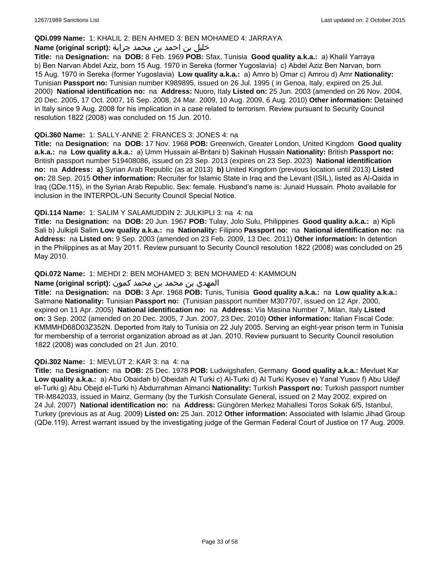### **QDi.099 Name:** 1: KHALIL 2: BEN AHMED 3: BEN MOHAMED 4: JARRAYA

### خليل بن احمد بن محمد جراية **:(script original (Name**

**Title:** na **Designation:** na **DOB:** 8 Feb. 1969 **POB:** Sfax, Tunisia **Good quality a.k.a.:** a) Khalil Yarraya b) Ben Narvan Abdel Aziz, born 15 Aug. 1970 in Sereka (former Yugoslavia) c) Abdel Aziz Ben Narvan, born 15 Aug. 1970 in Sereka (former Yugoslavia) **Low quality a.k.a.:** a) Amro b) Omar c) Amrou d) Amr **Nationality:** Tunisian **Passport no:** Tunisian number K989895, issued on 26 Jul. 1995 ( in Genoa, Italy, expired on 25 Jul. 2000) **National identification no:** na **Address:** Nuoro, Italy **Listed on:** 25 Jun. 2003 (amended on 26 Nov. 2004, 20 Dec. 2005, 17 Oct. 2007, 16 Sep. 2008, 24 Mar. 2009, 10 Aug. 2009, 6 Aug. 2010) **Other information:** Detained in Italy since 9 Aug. 2008 for his implication in a case related to terrorism. Review pursuant to Security Council resolution 1822 (2008) was concluded on 15 Jun. 2010.

### **QDi.360 Name:** 1: SALLY-ANNE 2: FRANCES 3: JONES 4: na

**Title:** na **Designation:** na **DOB:** 17 Nov. 1968 **POB:** Greenwich, Greater London, United Kingdom **Good quality a.k.a.:** na **Low quality a.k.a.:** a) Umm Hussain al-Britani b) Sakinah Hussain **Nationality:** British **Passport no:** British passport number 519408086, issued on 23 Sep. 2013 (expires on 23 Sep. 2023) **National identification no:** na **Address: a)** Syrian Arab Republic (as at 2013) **b)** United Kingdom (previous location until 2013) **Listed on:** 28 Sep. 2015 **Other information:** Recruiter for Islamic State in Iraq and the Levant (ISIL), listed as Al-Qaida in Iraq (QDe.115), in the Syrian Arab Republic. Sex: female. Husband's name is: Junaid Hussain. Photo available for inclusion in the INTERPOL-UN Security Council Special Notice.

### **QDi.114 Name:** 1: SALIM Y SALAMUDDIN 2: JULKIPLI 3: na 4: na

**Title:** na **Designation:** na **DOB:** 20 Jun. 1967 **POB:** Tulay, Jolo Sulu, Philippines **Good quality a.k.a.:** a) Kipli Sali b) Julkipli Salim **Low quality a.k.a.:** na **Nationality:** Filipino **Passport no:** na **National identification no:** na **Address:** na **Listed on:** 9 Sep. 2003 (amended on 23 Feb. 2009, 13 Dec. 2011) **Other information:** In detention in the Philippines as at May 2011. Review pursuant to Security Council resolution 1822 (2008) was concluded on 25 May 2010.

### **QDi.072 Name:** 1: MEHDI 2: BEN MOHAMED 3: BEN MOHAMED 4: KAMMOUN

#### المهدي بن محمد بن محمد كمون **:(script original (Name**

**Title:** na **Designation:** na **DOB:** 3 Apr. 1968 **POB:** Tunis, Tunisia **Good quality a.k.a.:** na **Low quality a.k.a.:** Salmane **Nationality:** Tunisian **Passport no:** (Tunisian passport number M307707, issued on 12 Apr. 2000, expired on 11 Apr. 2005) **National identification no:** na **Address:** Via Masina Number 7, Milan, Italy **Listed on:** 3 Sep. 2002 (amended on 20 Dec. 2005, 7 Jun. 2007, 23 Dec. 2010) **Other information:** Italian Fiscal Code: KMMMHD68D03Z352N. Deported from Italy to Tunisia on 22 July 2005. Serving an eight-year prison term in Tunisia for membership of a terrorist organization abroad as at Jan. 2010. Review pursuant to Security Council resolution 1822 (2008) was concluded on 21 Jun. 2010.

#### **QDi.302 Name:** 1: MEVLÜT 2: KAR 3: na 4: na

**Title:** na **Designation:** na **DOB:** 25 Dec. 1978 **POB:** Ludwigshafen, Germany **Good quality a.k.a.:** Mevluet Kar **Low quality a.k.a.:** a) Abu Obaidah b) Obeidah Al Turki c) Al-Turki d) Al Turki Kyosev e) Yanal Yusov f) Abu Udejf el-Turki g) Abu Obejd el-Turki h) Abdurrahman Almanci **Nationality:** Turkish **Passport no:** Turkish passport number TR-M842033, issued in Mainz, Germany (by the Turkish Consulate General, issued on 2 May 2002, expired on 24 Jul. 2007) **National identification no:** na **Address:** Güngören Merkez Mahallesi Toros Sokak 6/5, Istanbul, Turkey (previous as at Aug. 2009) **Listed on:** 25 Jan. 2012 **Other information:** Associated with Islamic Jihad Group (QDe.119). Arrest warrant issued by the investigating judge of the German Federal Court of Justice on 17 Aug. 2009.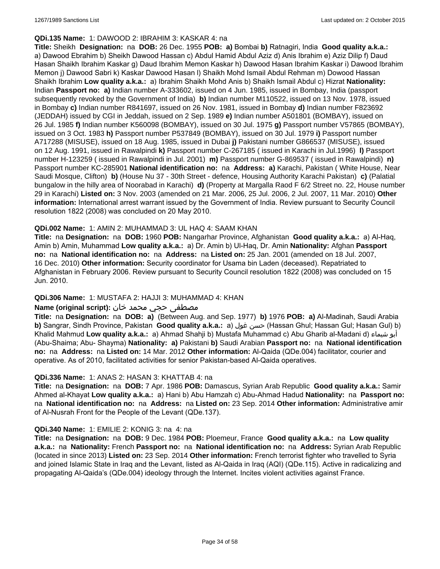### **QDi.135 Name:** 1: DAWOOD 2: IBRAHIM 3: KASKAR 4: na

**Title:** Sheikh **Designation:** na **DOB:** 26 Dec. 1955 **POB: a)** Bombai **b)** Ratnagiri, India **Good quality a.k.a.:**  a) Dawood Ebrahim b) Sheikh Dawood Hassan c) Abdul Hamid Abdul Aziz d) Anis Ibrahim e) Aziz Dilip f) Daud Hasan Shaikh Ibrahim Kaskar g) Daud Ibrahim Memon Kaskar h) Dawood Hasan Ibrahim Kaskar i) Dawood Ibrahim Memon j) Dawood Sabri k) Kaskar Dawood Hasan l) Shaikh Mohd Ismail Abdul Rehman m) Dowood Hassan Shaikh Ibrahim **Low quality a.k.a.:** a) Ibrahim Shaikh Mohd Anis b) Shaikh Ismail Abdul c) Hizrat **Nationality:** Indian **Passport no: a)** Indian number A-333602, issued on 4 Jun. 1985, issued in Bombay, India (passport subsequently revoked by the Government of India) **b)** Indian number M110522, issued on 13 Nov. 1978, issued in Bombay **c)** Indian number R841697, issued on 26 Nov. 1981, issued in Bombay **d)** Indian number F823692 (JEDDAH) issued by CGI in Jeddah, issued on 2 Sep. 1989 **e)** Indian number A501801 (BOMBAY), issued on 26 Jul. 1985 **f)** Indian number K560098 (BOMBAY), issued on 30 Jul. 1975 **g)** Passport number V57865 (BOMBAY), issued on 3 Oct. 1983 **h)** Passport number P537849 (BOMBAY), issued on 30 Jul. 1979 **i)** Passport number A717288 (MISUSE), issued on 18 Aug. 1985, issued in Dubai **j)** Pakistani number G866537 (MISUSE), issued on 12 Aug. 1991, issued in Rawalpindi **k)** Passport number C-267185 ( issued in Karachi in Jul.1996) **l)** Passport number H-123259 ( issued in Rawalpindi in Jul. 2001) **m)** Passport number G-869537 ( issued in Rawalpindi) **n)** Passport number KC-285901 **National identification no:** na **Address: a)** Karachi, Pakistan ( White House, Near Saudi Mosque, Clifton) **b)** (House Nu 37 - 30th Street - defence, Housing Authority Karachi Pakistan) **c)** (Palatial bungalow in the hilly area of Noorabad in Karachi) **d)** (Property at Margalla Raod F 6/2 Street no. 22, House number 29 in Karachi) **Listed on:** 3 Nov. 2003 (amended on 21 Mar. 2006, 25 Jul. 2006, 2 Jul. 2007, 11 Mar. 2010) **Other information:** International arrest warrant issued by the Government of India. Review pursuant to Security Council resolution 1822 (2008) was concluded on 20 May 2010.

### **QDi.002 Name:** 1: AMIN 2: MUHAMMAD 3: UL HAQ 4: SAAM KHAN

**Title:** na **Designation:** na **DOB:** 1960 **POB:** Nangarhar Province, Afghanistan **Good quality a.k.a.:** a) Al-Haq, Amin b) Amin, Muhammad **Low quality a.k.a.:** a) Dr. Amin b) Ul-Haq, Dr. Amin **Nationality:** Afghan **Passport no:** na **National identification no:** na **Address:** na **Listed on:** 25 Jan. 2001 (amended on 18 Jul. 2007, 16 Dec. 2010) **Other information:** Security coordinator for Usama bin Laden (deceased). Repatriated to Afghanistan in February 2006. Review pursuant to Security Council resolution 1822 (2008) was concluded on 15 Jun. 2010.

# **QDi.306 Name:** 1: MUSTAFA 2: HAJJI 3: MUHAMMAD 4: KHAN

### مصطفى حجي محمد خان **:**Name (original script)

**Title:** na **Designation:** na **DOB: a)** (Between Aug. and Sep. 1977) **b)** 1976 **POB: a)** Al-Madinah, Saudi Arabia **b)** Sangrar, Sindh Province, Pakistan Good quality a.k.a.: a) حسن غول (Hassan Ghul; Hassan Gul; Hasan Gul) b) Khalid Mahmud **Low quality a.k.a.:** a) Ahmad Shahji b) Mustafa Muhammad c) Abu Gharib al-Madani d) شيماء أبو (Abu-Shaima; Abu- Shayma) **Nationality: a)** Pakistani **b)** Saudi Arabian **Passport no:** na **National identification no:** na **Address:** na **Listed on:** 14 Mar. 2012 **Other information:** Al-Qaida (QDe.004) facilitator, courier and operative. As of 2010, facilitated activities for senior Pakistan-based Al-Qaida operatives.

#### **QDi.336 Name:** 1: ANAS 2: HASAN 3: KHATTAB 4: na

**Title:** na **Designation:** na **DOB:** 7 Apr. 1986 **POB:** Damascus, Syrian Arab Republic **Good quality a.k.a.:** Samir Ahmed al-Khayat **Low quality a.k.a.:** a) Hani b) Abu Hamzah c) Abu-Ahmad Hadud **Nationality:** na **Passport no:** na **National identification no:** na **Address:** na **Listed on:** 23 Sep. 2014 **Other information:** Administrative amir of Al-Nusrah Front for the People of the Levant (QDe.137).

#### **QDi.340 Name:** 1: EMILIE 2: KONIG 3: na 4: na

**Title:** na **Designation:** na **DOB:** 9 Dec. 1984 **POB:** Ploemeur, France **Good quality a.k.a.:** na **Low quality a.k.a.:** na **Nationality:** French **Passport no:** na **National identification no:** na **Address:** Syrian Arab Republic (located in since 2013) **Listed on:** 23 Sep. 2014 **Other information:** French terrorist fighter who travelled to Syria and joined Islamic State in Iraq and the Levant, listed as Al-Qaida in Iraq (AQI) (QDe.115). Active in radicalizing and propagating Al-Qaida's (QDe.004) ideology through the Internet. Incites violent activities against France.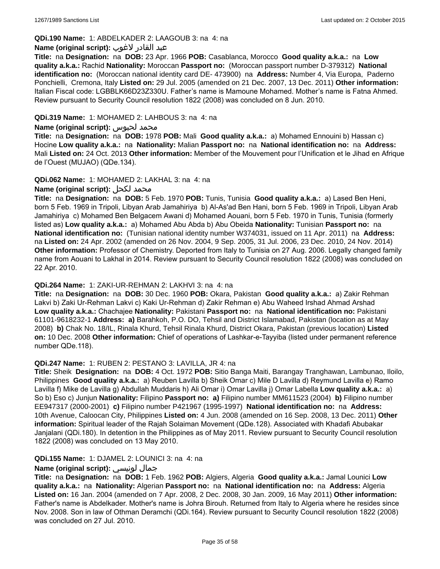# **QDi.190 Name:** 1: ABDELKADER 2: LAAGOUB 3: na 4: na

## عبد القادر لاغوب **:(script original (Name**

**Title:** na **Designation:** na **DOB:** 23 Apr. 1966 **POB:** Casablanca, Morocco **Good quality a.k.a.:** na **Low quality a.k.a.:** Rachid **Nationality:** Moroccan **Passport no:** (Moroccan passport number D-379312) **National identification no:** (Moroccan national identity card DE- 473900) na **Address:** Number 4, Via Europa, Paderno Ponchielli, Cremona, Italy **Listed on:** 29 Jul. 2005 (amended on 21 Dec. 2007, 13 Dec. 2011) **Other information:** Italian Fiscal code: LGBBLK66D23Z330U. Father's name is Mamoune Mohamed. Mother's name is Fatna Ahmed. Review pursuant to Security Council resolution 1822 (2008) was concluded on 8 Jun. 2010.

### **QDi.319 Name:** 1: MOHAMED 2: LAHBOUS 3: na 4: na

#### **Name (original script):** لحبوس محمد

**Title:** na **Designation:** na **DOB:** 1978 **POB:** Mali **Good quality a.k.a.:** a) Mohamed Ennouini b) Hassan c) Hocine **Low quality a.k.a.:** na **Nationality:** Malian **Passport no:** na **National identification no:** na **Address:** Mali **Listed on:** 24 Oct. 2013 **Other information:** Member of the Mouvement pour l'Unification et le Jihad en Afrique de l'Ouest (MUJAO) (QDe.134).

### **QDi.062 Name:** 1: MOHAMED 2: LAKHAL 3: na 4: na

# **Name (original script):** لكحل محمد

**Title:** na **Designation:** na **DOB:** 5 Feb. 1970 **POB:** Tunis, Tunisia **Good quality a.k.a.:** a) Lased Ben Heni, born 5 Feb. 1969 in Tripoli, Libyan Arab Jamahiriya b) Al-As'ad Ben Hani, born 5 Feb. 1969 in Tripoli, Libyan Arab Jamahiriya c) Mohamed Ben Belgacem Awani d) Mohamed Aouani, born 5 Feb. 1970 in Tunis, Tunisia (formerly listed as) **Low quality a.k.a.:** a) Mohamed Abu Abda b) Abu Obeida **Nationality:** Tunisian **Passport no:** na **National identification no:** (Tunisian national identity number W374031, issued on 11 Apr. 2011) na **Address:**  na **Listed on:** 24 Apr. 2002 (amended on 26 Nov. 2004, 9 Sep. 2005, 31 Jul. 2006, 23 Dec. 2010, 24 Nov. 2014) **Other information:** Professor of Chemistry. Deported from Italy to Tunisia on 27 Aug. 2006. Legally changed family name from Aouani to Lakhal in 2014. Review pursuant to Security Council resolution 1822 (2008) was concluded on 22 Apr. 2010.

#### **QDi.264 Name:** 1: ZAKI-UR-REHMAN 2: LAKHVI 3: na 4: na

**Title:** na **Designation:** na **DOB:** 30 Dec. 1960 **POB:** Okara, Pakistan **Good quality a.k.a.:** a) Zakir Rehman Lakvi b) Zaki Ur-Rehman Lakvi c) Kaki Ur-Rehman d) Zakir Rehman e) Abu Waheed Irshad Ahmad Arshad **Low quality a.k.a.:** Chachajee **Nationality:** Pakistani **Passport no:** na **National identification no:** Pakistani 61101-9618232-1 **Address: a)** Barahkoh, P.O. DO, Tehsil and District Islamabad, Pakistan (location as at May 2008) **b)** Chak No. 18/IL, Rinala Khurd, Tehsil Rinala Khurd, District Okara, Pakistan (previous location) **Listed on:** 10 Dec. 2008 **Other information:** Chief of operations of Lashkar-e-Tayyiba (listed under permanent reference number QDe.118).

#### **QDi.247 Name:** 1: RUBEN 2: PESTANO 3: LAVILLA, JR 4: na

**Title:** Sheik **Designation:** na **DOB:** 4 Oct. 1972 **POB:** Sitio Banga Maiti, Barangay Tranghawan, Lambunao, Iloilo, Philippines **Good quality a.k.a.:** a) Reuben Lavilla b) Sheik Omar c) Mile D Lavilla d) Reymund Lavilla e) Ramo Lavilla f) Mike de Lavilla g) Abdullah Muddaris h) Ali Omar i) Omar Lavilla j) Omar Labella **Low quality a.k.a.:** a) So b) Eso c) Junjun **Nationality:** Filipino **Passport no: a)** Filipino number MM611523 (2004) **b)** Filipino number EE947317 (2000-2001) **c)** Filipino number P421967 (1995-1997) **National identification no:** na **Address:** 10th Avenue, Caloocan City, Philippines **Listed on:** 4 Jun. 2008 (amended on 16 Sep. 2008, 13 Dec. 2011) **Other information:** Spiritual leader of the Rajah Solaiman Movement (QDe.128). Associated with Khadafi Abubakar Janjalani (QDi.180). In detention in the Philippines as of May 2011. Review pursuant to Security Council resolution 1822 (2008) was concluded on 13 May 2010.

# **QDi.155 Name:** 1: DJAMEL 2: LOUNICI 3: na 4: na

# **Name (original script):** لونيسي جمال

**Title:** na **Designation:** na **DOB:** 1 Feb. 1962 **POB:** Algiers, Algeria **Good quality a.k.a.:** Jamal Lounici **Low quality a.k.a.:** na **Nationality:** Algerian **Passport no:** na **National identification no:** na **Address:** Algeria **Listed on:** 16 Jan. 2004 (amended on 7 Apr. 2008, 2 Dec. 2008, 30 Jan. 2009, 16 May 2011) **Other information:** Father's name is Abdelkader. Mother's name is Johra Birouh. Returned from Italy to Algeria where he resides since Nov. 2008. Son in law of Othman Deramchi (QDi.164). Review pursuant to Security Council resolution 1822 (2008) was concluded on 27 Jul. 2010.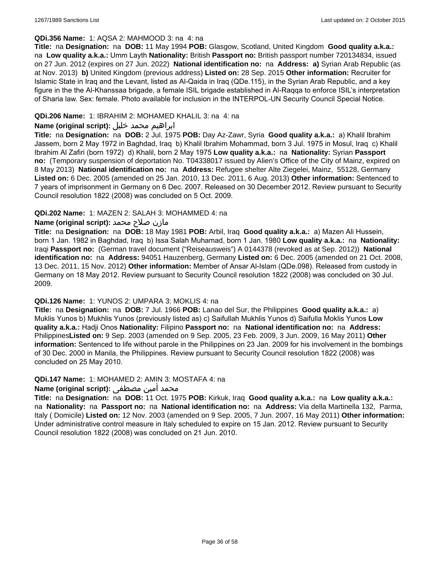#### **QDi.356 Name:** 1: AQSA 2: MAHMOOD 3: na 4: na

**Title:** na **Designation:** na **DOB:** 11 May 1994 **POB:** Glasgow, Scotland, United Kingdom **Good quality a.k.a.:**  na **Low quality a.k.a.:** Umm Layth **Nationality:** British **Passport no:** British passport number 720134834, issued on 27 Jun. 2012 (expires on 27 Jun. 2022) **National identification no:** na **Address: a)** Syrian Arab Republic (as at Nov. 2013) **b)** United Kingdom (previous address) **Listed on:** 28 Sep. 2015 **Other information:** Recruiter for Islamic State in Iraq and the Levant, listed as Al-Qaida in Iraq (QDe.115), in the Syrian Arab Republic, and a key figure in the the Al-Khanssaa brigade, a female ISIL brigade established in Al-Raqqa to enforce ISIL's interpretation of Sharia law. Sex: female. Photo available for inclusion in the INTERPOL-UN Security Council Special Notice.

### **QDi.206 Name:** 1: IBRAHIM 2: MOHAMED KHALIL 3: na 4: na

## ابراهيم محمد خليل **:(script original (Name**

**Title:** na **Designation:** na **DOB:** 2 Jul. 1975 **POB:** Day Az-Zawr, Syria **Good quality a.k.a.:** a) Khalil Ibrahim Jassem, born 2 May 1972 in Baghdad, Iraq b) Khalil Ibrahim Mohammad, born 3 Jul. 1975 in Mosul, Iraq c) Khalil Ibrahim Al Zafiri (born 1972) d) Khalil, born 2 May 1975 **Low quality a.k.a.:** na **Nationality:** Syrian **Passport no:** (Temporary suspension of deportation No. T04338017 issued by Alien's Office of the City of Mainz, expired on 8 May 2013) **National identification no:** na **Address:** Refugee shelter Alte Ziegelei, Mainz, 55128, Germany **Listed on:** 6 Dec. 2005 (amended on 25 Jan. 2010, 13 Dec. 2011, 6 Aug. 2013) **Other information:** Sentenced to 7 years of imprisonment in Germany on 6 Dec. 2007. Released on 30 December 2012. Review pursuant to Security Council resolution 1822 (2008) was concluded on 5 Oct. 2009.

### **QDi.202 Name:** 1: MAZEN 2: SALAH 3: MOHAMMED 4: na

### مازن صلاح محمد **:(script original (Name**

**Title:** na **Designation:** na **DOB:** 18 May 1981 **POB:** Arbil, Iraq **Good quality a.k.a.:** a) Mazen Ali Hussein, born 1 Jan. 1982 in Baghdad, Iraq b) Issa Salah Muhamad, born 1 Jan. 1980 **Low quality a.k.a.:** na **Nationality:** Iraqi **Passport no:** (German travel document ("Reiseausweis") A 0144378 (revoked as at Sep. 2012)) **National identification no:** na **Address:** 94051 Hauzenberg, Germany **Listed on:** 6 Dec. 2005 (amended on 21 Oct. 2008, 13 Dec. 2011, 15 Nov. 2012) **Other information:** Member of Ansar Al-Islam (QDe.098). Released from custody in Germany on 18 May 2012. Review pursuant to Security Council resolution 1822 (2008) was concluded on 30 Jul. 2009.

## **QDi.126 Name:** 1: YUNOS 2: UMPARA 3: MOKLIS 4: na

**Title:** na **Designation:** na **DOB:** 7 Jul. 1966 **POB:** Lanao del Sur, the Philippines **Good quality a.k.a.:** a) Muklis Yunos b) Mukhlis Yunos (previously listed as) c) Saifullah Mukhlis Yunos d) Saifulla Moklis Yunos **Low quality a.k.a.:** Hadji Onos **Nationality:** Filipino **Passport no:** na **National identification no:** na **Address:** Philippines**Listed on:** 9 Sep. 2003 (amended on 9 Sep. 2005, 23 Feb. 2009, 3 Jun. 2009, 16 May 2011) **Other information:** Sentenced to life without parole in the Philippines on 23 Jan. 2009 for his involvement in the bombings of 30 Dec. 2000 in Manila, the Philippines. Review pursuant to Security Council resolution 1822 (2008) was concluded on 25 May 2010.

#### **QDi.147 Name:** 1: MOHAMED 2: AMIN 3: MOSTAFA 4: na

# محمد أمين مصطفى :**(Name (original script**

**Title:** na **Designation:** na **DOB:** 11 Oct. 1975 **POB:** Kirkuk, Iraq **Good quality a.k.a.:** na **Low quality a.k.a.:**  na **Nationality:** na **Passport no:** na **National identification no:** na **Address:** Via della Martinella 132, Parma, Italy ( Domicile) **Listed on:** 12 Nov. 2003 (amended on 9 Sep. 2005, 7 Jun. 2007, 16 May 2011) **Other information:** Under administrative control measure in Italy scheduled to expire on 15 Jan. 2012. Review pursuant to Security Council resolution 1822 (2008) was concluded on 21 Jun. 2010.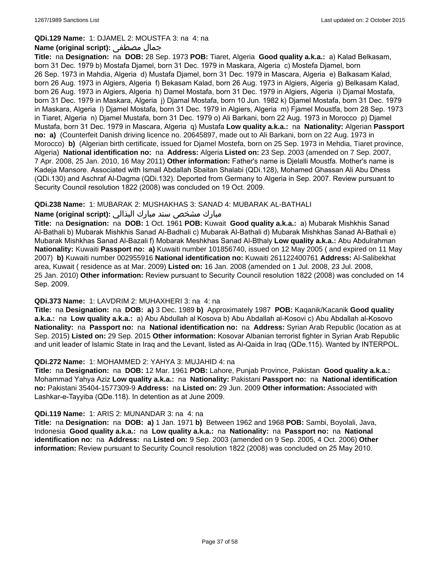#### **QDi.129 Name:** 1: DJAMEL 2: MOUSTFA 3: na 4: na

### **Name (original script):** مصطفى جمال

**Title:** na **Designation:** na **DOB:** 28 Sep. 1973 **POB:** Tiaret, Algeria **Good quality a.k.a.:** a) Kalad Belkasam, born 31 Dec. 1979 b) Mostafa Djamel, born 31 Dec. 1979 in Maskara, Algeria c) Mostefa Djamel, born 26 Sep. 1973 in Mahdia, Algeria d) Mustafa Djamel, born 31 Dec. 1979 in Mascara, Algeria e) Balkasam Kalad, born 26 Aug. 1973 in Algiers, Algeria f) Bekasam Kalad, born 26 Aug. 1973 in Algiers, Algeria g) Belkasam Kalad, born 26 Aug. 1973 in Algiers, Algeria h) Damel Mostafa, born 31 Dec. 1979 in Algiers, Algeria i) Djamal Mostafa, born 31 Dec. 1979 in Maskara, Algeria j) Djamal Mostafa, born 10 Jun. 1982 k) Djamel Mostafa, born 31 Dec. 1979 in Maskara, Algeria l) Djamel Mostafa, born 31 Dec. 1979 in Algiers, Algeria m) Fjamel Moustfa, born 28 Sep. 1973 in Tiaret, Algeria n) Djamel Mustafa, born 31 Dec. 1979 o) Ali Barkani, born 22 Aug. 1973 in Morocco p) Djamel Mustafa, born 31 Dec. 1979 in Mascara, Algeria q) Mustafa **Low quality a.k.a.:** na **Nationality:** Algerian **Passport no: a)** (Counterfeit Danish driving licence no. 20645897, made out to Ali Barkani, born on 22 Aug. 1973 in Morocco) **b)** (Algerian birth certificate, issued for Djamel Mostefa, born on 25 Sep. 1973 in Mehdia, Tiaret province, Algeria) **National identification no:** na **Address:** Algeria **Listed on:** 23 Sep. 2003 (amended on 7 Sep. 2007, 7 Apr. 2008, 25 Jan. 2010, 16 May 2011) **Other information:** Father's name is Djelalli Moustfa. Mother's name is Kadeja Mansore. Associated with Ismail Abdallah Sbaitan Shalabi (QDi.128), Mohamed Ghassan Ali Abu Dhess (QDi.130) and Aschraf Al-Dagma (QDi.132). Deported from Germany to Algeria in Sep. 2007. Review pursuant to Security Council resolution 1822 (2008) was concluded on 19 Oct. 2009.

### **QDi.238 Name:** 1: MUBARAK 2: MUSHAKHAS 3: SANAD 4: MUBARAK AL-BATHALI

# مبارك مشخص سند مبارك البذالي **:Name (original script)**

**Title:** na **Designation:** na **DOB:** 1 Oct. 1961 **POB:** Kuwait **Good quality a.k.a.:** a) Mubarak Mishkhis Sanad Al-Bathali b) Mubarak Mishkhis Sanad Al-Badhali c) Mubarak Al-Bathali d) Mubarak Mishkhas Sanad Al-Bathali e) Mubarak Mishkhas Sanad Al-Bazali f) Mobarak Meshkhas Sanad Al-Bthaly **Low quality a.k.a.:** Abu Abdulrahman **Nationality:** Kuwaiti **Passport no: a)** Kuwaiti number 101856740, issued on 12 May 2005 ( and expired on 11 May 2007) **b)** Kuwaiti number 002955916 **National identification no:** Kuwaiti 261122400761 **Address:** Al-Salibekhat area, Kuwait ( residence as at Mar. 2009) **Listed on:** 16 Jan. 2008 (amended on 1 Jul. 2008, 23 Jul. 2008, 25 Jan. 2010) **Other information:** Review pursuant to Security Council resolution 1822 (2008) was concluded on 14 Sep. 2009.

#### **QDi.373 Name:** 1: LAVDRIM 2: MUHAXHERI 3: na 4: na

**Title:** na **Designation:** na **DOB: a)** 3 Dec. 1989 **b)** Approximately 1987 **POB:** Kaqanik/Kacanik **Good quality a.k.a.:** na **Low quality a.k.a.:** a) Abu Abdullah al Kosova b) Abu Abdallah al-Kosovi c) Abu Abdallah al-Kosovo **Nationality:** na **Passport no:** na **National identification no:** na **Address:** Syrian Arab Republic (location as at Sep. 2015) **Listed on:** 29 Sep. 2015 **Other information:** Kosovar Albanian terrorist fighter in Syrian Arab Republic and unit leader of Islamic State in Iraq and the Levant, listed as Al-Qaida in Iraq (QDe.115). Wanted by INTERPOL.

#### **QDi.272 Name:** 1: MOHAMMED 2: YAHYA 3: MUJAHID 4: na

**Title:** na **Designation:** na **DOB:** 12 Mar. 1961 **POB:** Lahore, Punjab Province, Pakistan **Good quality a.k.a.:** Mohammad Yahya Aziz **Low quality a.k.a.:** na **Nationality:** Pakistani **Passport no:** na **National identification no:** Pakistani 35404-1577309-9 **Address:** na **Listed on:** 29 Jun. 2009 **Other information:** Associated with Lashkar-e-Tayyiba (QDe.118). In detention as at June 2009.

#### **QDi.119 Name:** 1: ARIS 2: MUNANDAR 3: na 4: na

**Title:** na **Designation:** na **DOB: a)** 1 Jan. 1971 **b)** Between 1962 and 1968 **POB:** Sambi, Boyolali, Java, Indonesia **Good quality a.k.a.:** na **Low quality a.k.a.:** na **Nationality:** na **Passport no:** na **National identification no:** na **Address:** na **Listed on:** 9 Sep. 2003 (amended on 9 Sep. 2005, 4 Oct. 2006) **Other information:** Review pursuant to Security Council resolution 1822 (2008) was concluded on 25 May 2010.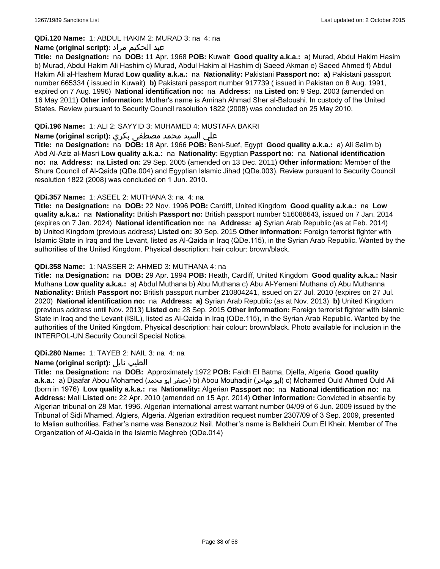# **QDi.120 Name:** 1: ABDUL HAKIM 2: MURAD 3: na 4: na

# عبد الحكيم مراد **:(script original (Name**

**Title:** na **Designation:** na **DOB:** 11 Apr. 1968 **POB:** Kuwait **Good quality a.k.a.:** a) Murad, Abdul Hakim Hasim b) Murad, Abdul Hakim Ali Hashim c) Murad, Abdul Hakim al Hashim d) Saeed Akman e) Saeed Ahmed f) Abdul Hakim Ali al-Hashem Murad **Low quality a.k.a.:** na **Nationality:** Pakistani **Passport no: a)** Pakistani passport number 665334 ( issued in Kuwait) **b)** Pakistani passport number 917739 ( issued in Pakistan on 8 Aug. 1991, expired on 7 Aug. 1996) **National identification no:** na **Address:** na **Listed on:** 9 Sep. 2003 (amended on 16 May 2011) **Other information:** Mother's name is Aminah Ahmad Sher al-Baloushi. In custody of the United States. Review pursuant to Security Council resolution 1822 (2008) was concluded on 25 May 2010.

# **QDi.196 Name:** 1: ALI 2: SAYYID 3: MUHAMED 4: MUSTAFA BAKRI

## علي السيد محمد مصطفى بكري **:(script original (Name**

**Title:** na **Designation:** na **DOB:** 18 Apr. 1966 **POB:** Beni-Suef, Egypt **Good quality a.k.a.:** a) Ali Salim b) Abd Al-Aziz al-Masri **Low quality a.k.a.:** na **Nationality:** Egyptian **Passport no:** na **National identification no:** na **Address:** na **Listed on:** 29 Sep. 2005 (amended on 13 Dec. 2011) **Other information:** Member of the Shura Council of Al-Qaida (QDe.004) and Egyptian Islamic Jihad (QDe.003). Review pursuant to Security Council resolution 1822 (2008) was concluded on 1 Jun. 2010.

### **QDi.357 Name:** 1: ASEEL 2: MUTHANA 3: na 4: na

**Title:** na **Designation:** na **DOB:** 22 Nov. 1996 **POB:** Cardiff, United Kingdom **Good quality a.k.a.:** na **Low quality a.k.a.:** na **Nationality:** British **Passport no:** British passport number 516088643, issued on 7 Jan. 2014 (expires on 7 Jan. 2024) **National identification no:** na **Address: a)** Syrian Arab Republic (as at Feb. 2014) **b)** United Kingdom (previous address) **Listed on:** 30 Sep. 2015 **Other information:** Foreign terrorist fighter with Islamic State in Iraq and the Levant, listed as Al-Qaida in Iraq (QDe.115), in the Syrian Arab Republic. Wanted by the authorities of the United Kingdom. Physical description: hair colour: brown/black.

### **QDi.358 Name:** 1: NASSER 2: AHMED 3: MUTHANA 4: na

**Title:** na **Designation:** na **DOB:** 29 Apr. 1994 **POB:** Heath, Cardiff, United Kingdom **Good quality a.k.a.:** Nasir Muthana **Low quality a.k.a.:** a) Abdul Muthana b) Abu Muthana c) Abu Al-Yemeni Muthana d) Abu Muthanna **Nationality:** British **Passport no:** British passport number 210804241, issued on 27 Jul. 2010 (expires on 27 Jul. 2020) **National identification no:** na **Address: a)** Syrian Arab Republic (as at Nov. 2013) **b)** United Kingdom (previous address until Nov. 2013) **Listed on:** 28 Sep. 2015 **Other information:** Foreign terrorist fighter with Islamic State in Iraq and the Levant (ISIL), listed as Al-Qaida in Iraq (QDe.115), in the Syrian Arab Republic. Wanted by the authorities of the United Kingdom. Physical description: hair colour: brown/black. Photo available for inclusion in the INTERPOL-UN Security Council Special Notice.

#### **QDi.280 Name:** 1: TAYEB 2: NAIL 3: na 4: na

#### **Name (original script):** نايل الطيب

**Title:** na **Designation:** na **DOB:** Approximately 1972 **POB:** Faidh El Batma, Djelfa, Algeria **Good quality a.k.a.:** a) Djaafar Abou Mohamed (محمد ابو جعفر (b) Abou Mouhadjir (مهاجر ابو (c) Mohamed Ould Ahmed Ould Ali (born in 1976) **Low quality a.k.a.:** na **Nationality:** Algerian **Passport no:** na **National identification no:** na **Address:** Mali **Listed on:** 22 Apr. 2010 (amended on 15 Apr. 2014) **Other information:** Convicted in absentia by Algerian tribunal on 28 Mar. 1996. Algerian international arrest warrant number 04/09 of 6 Jun. 2009 issued by the Tribunal of Sidi Mhamed, Algiers, Algeria. Algerian extradition request number 2307/09 of 3 Sep. 2009, presented to Malian authorities. Father's name was Benazouz Nail. Mother's name is Belkheiri Oum El Kheir. Member of The Organization of Al-Qaida in the Islamic Maghreb (QDe.014)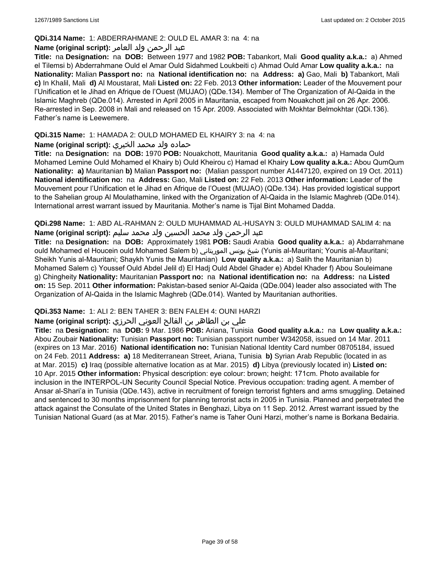## **QDi.314 Name:** 1: ABDERRAHMANE 2: OULD EL AMAR 3: na 4: na

# عبد الرحمن ولد العامر **:(script original (Name**

**Title:** na **Designation:** na **DOB:** Between 1977 and 1982 **POB:** Tabankort, Mali **Good quality a.k.a.:** a) Ahmed el Tilemsi b) Abderrahmane Ould el Amar Ould Sidahmed Loukbeiti c) Ahmad Ould Amar **Low quality a.k.a.:** na **Nationality:** Malian **Passport no:** na **National identification no:** na **Address: a)** Gao, Mali **b)** Tabankort, Mali **c)** In Khalil, Mali **d)** Al Moustarat, Mali **Listed on:** 22 Feb. 2013 **Other information:** Leader of the Mouvement pour l'Unification et le Jihad en Afrique de l'Ouest (MUJAO) (QDe.134). Member of The Organization of Al-Qaida in the Islamic Maghreb (QDe.014). Arrested in April 2005 in Mauritania, escaped from Nouakchott jail on 26 Apr. 2006. Re-arrested in Sep. 2008 in Mali and released on 15 Apr. 2009. Associated with Mokhtar Belmokhtar (QDi.136). Father's name is Leewemere.

# **QDi.315 Name:** 1: HAMADA 2: OULD MOHAMED EL KHAIRY 3: na 4: na

# حماده ولد محمد الخيري **:(script original (Name**

**Title:** na **Designation:** na **DOB:** 1970 **POB:** Nouakchott, Mauritania **Good quality a.k.a.:** a) Hamada Ould Mohamed Lemine Ould Mohamed el Khairy b) Ould Kheirou c) Hamad el Khairy **Low quality a.k.a.:** Abou QumQum **Nationality: a)** Mauritanian **b)** Malian **Passport no:** (Malian passport number A1447120, expired on 19 Oct. 2011) **National identification no:** na **Address:** Gao, Mali **Listed on:** 22 Feb. 2013 **Other information:** Leader of the Mouvement pour l'Unification et le Jihad en Afrique de l'Ouest (MUJAO) (QDe.134). Has provided logistical support to the Sahelian group Al Moulathamine, linked with the Organization of Al-Qaida in the Islamic Maghreb (QDe.014). International arrest warrant issued by Mauritania. Mother's name is Tijal Bint Mohamed Dadda.

**QDi.298 Name:** 1: ABD AL-RAHMAN 2: OULD MUHAMMAD AL-HUSAYN 3: OULD MUHAMMAD SALIM 4: na عبد الرحمن ولد محمد الحسين ولد محمد سليم **:Name (original script)** 

**Title:** na **Designation:** na **DOB:** Approximately 1981 **POB:** Saudi Arabia **Good quality a.k.a.:** a) Abdarrahmane ould Mohamed el Houcein ould Mohamed Salem b) الموريتاني يونس شيخ) Yunis al-Mauritani; Younis al-Mauritani; Sheikh Yunis al-Mauritani; Shaykh Yunis the Mauritanian) **Low quality a.k.a.:** a) Salih the Mauritanian b) Mohamed Salem c) Youssef Ould Abdel Jelil d) El Hadj Ould Abdel Ghader e) Abdel Khader f) Abou Souleimane g) Chingheity **Nationality:** Mauritanian **Passport no:** na **National identification no:** na **Address:** na **Listed on:** 15 Sep. 2011 **Other information:** Pakistan-based senior Al-Qaida (QDe.004) leader also associated with The Organization of Al-Qaida in the Islamic Maghreb (QDe.014). Wanted by Mauritanian authorities.

# **QDi.353 Name:** 1: ALI 2: BEN TAHER 3: BEN FALEH 4: OUNI HARZI

# علي بن الطاھر بن الفالح العوني الحرزي **:(script original (Name**

**Title:** na **Designation:** na **DOB:** 9 Mar. 1986 **POB:** Ariana, Tunisia **Good quality a.k.a.:** na **Low quality a.k.a.:** Abou Zoubair **Nationality:** Tunisian **Passport no:** Tunisian passport number W342058, issued on 14 Mar. 2011 (expires on 13 Mar. 2016) **National identification no:** Tunisian National Identity Card number 08705184, issued on 24 Feb. 2011 **Address: a)** 18 Mediterranean Street, Ariana, Tunisia **b)** Syrian Arab Republic (located in as at Mar. 2015) **c)** Iraq (possible alternative location as at Mar. 2015) **d)** Libya (previously located in) **Listed on:** 10 Apr. 2015 **Other information:** Physical description: eye colour: brown; height: 171cm. Photo available for inclusion in the INTERPOL-UN Security Council Special Notice. Previous occupation: trading agent. A member of Ansar al-Shari'a in Tunisia (QDe.143), active in recruitment of foreign terrorist fighters and arms smuggling. Detained and sentenced to 30 months imprisonment for planning terrorist acts in 2005 in Tunisia. Planned and perpetrated the attack against the Consulate of the United States in Benghazi, Libya on 11 Sep. 2012. Arrest warrant issued by the Tunisian National Guard (as at Mar. 2015). Father's name is Taher Ouni Harzi, mother's name is Borkana Bedairia.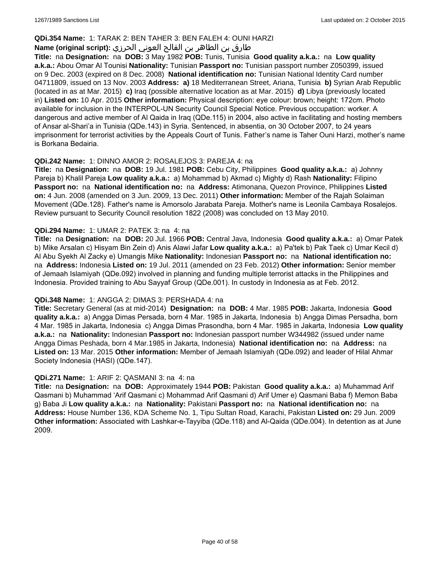### **QDi.354 Name:** 1: TARAK 2: BEN TAHER 3: BEN FALEH 4: OUNI HARZI

# طارق بن الطاھر بن الفالح العوني الحرزي **:(script original (Name**

**Title:** na **Designation:** na **DOB:** 3 May 1982 **POB:** Tunis, Tunisia **Good quality a.k.a.:** na **Low quality a.k.a.:** Abou Omar Al Tounisi **Nationality:** Tunisian **Passport no:** Tunisian passport number Z050399, issued on 9 Dec. 2003 (expired on 8 Dec. 2008) **National identification no:** Tunisian National Identity Card number 04711809, issued on 13 Nov. 2003 **Address: a)** 18 Mediterranean Street, Ariana, Tunisia **b)** Syrian Arab Republic (located in as at Mar. 2015) **c)** Iraq (possible alternative location as at Mar. 2015) **d)** Libya (previously located in) **Listed on:** 10 Apr. 2015 **Other information:** Physical description: eye colour: brown; height: 172cm. Photo available for inclusion in the INTERPOL-UN Security Council Special Notice. Previous occupation: worker. A dangerous and active member of Al Qaida in Iraq (QDe.115) in 2004, also active in facilitating and hosting members of Ansar al-Shari'a in Tunisia (QDe.143) in Syria. Sentenced, in absentia, on 30 October 2007, to 24 years imprisonment for terrorist activities by the Appeals Court of Tunis. Father's name is Taher Ouni Harzi, mother's name is Borkana Bedairia.

#### **QDi.242 Name:** 1: DINNO AMOR 2: ROSALEJOS 3: PAREJA 4: na

**Title:** na **Designation:** na **DOB:** 19 Jul. 1981 **POB:** Cebu City, Philippines **Good quality a.k.a.:** a) Johnny Pareja b) Khalil Pareja **Low quality a.k.a.:** a) Mohammad b) Akmad c) Mighty d) Rash **Nationality:** Filipino **Passport no:** na **National identification no:** na **Address:** Atimonana, Quezon Province, Philippines **Listed on:** 4 Jun. 2008 (amended on 3 Jun. 2009, 13 Dec. 2011) **Other information:** Member of the Rajah Solaiman Movement (QDe.128). Father's name is Amorsolo Jarabata Pareja. Mother's name is Leonila Cambaya Rosalejos. Review pursuant to Security Council resolution 1822 (2008) was concluded on 13 May 2010.

#### **QDi.294 Name:** 1: UMAR 2: PATEK 3: na 4: na

**Title:** na **Designation:** na **DOB:** 20 Jul. 1966 **POB:** Central Java, Indonesia **Good quality a.k.a.:** a) Omar Patek b) Mike Arsalan c) Hisyam Bin Zein d) Anis Alawi Jafar **Low quality a.k.a.:** a) Pa'tek b) Pak Taek c) Umar Kecil d) Al Abu Syekh Al Zacky e) Umangis Mike **Nationality:** Indonesian **Passport no:** na **National identification no:**  na **Address:** Indonesia **Listed on:** 19 Jul. 2011 (amended on 23 Feb. 2012) **Other information:** Senior member of Jemaah Islamiyah (QDe.092) involved in planning and funding multiple terrorist attacks in the Philippines and Indonesia. Provided training to Abu Sayyaf Group (QDe.001). In custody in Indonesia as at Feb. 2012.

#### **QDi.348 Name:** 1: ANGGA 2: DIMAS 3: PERSHADA 4: na

**Title:** Secretary General (as at mid-2014) **Designation:** na **DOB:** 4 Mar. 1985 **POB:** Jakarta, Indonesia **Good quality a.k.a.:** a) Angga Dimas Persada, born 4 Mar. 1985 in Jakarta, Indonesia b) Angga Dimas Persadha, born 4 Mar. 1985 in Jakarta, Indonesia c) Angga Dimas Prasondha, born 4 Mar. 1985 in Jakarta, Indonesia **Low quality a.k.a.:** na **Nationality:** Indonesian **Passport no:** Indonesian passport number W344982 (issued under name Angga Dimas Peshada, born 4 Mar.1985 in Jakarta, Indonesia) **National identification no:** na **Address:** na **Listed on:** 13 Mar. 2015 **Other information:** Member of Jemaah Islamiyah (QDe.092) and leader of Hilal Ahmar Society Indonesia (HASI) (QDe.147).

#### **QDi.271 Name:** 1: ARIF 2: QASMANI 3: na 4: na

**Title:** na **Designation:** na **DOB:** Approximately 1944 **POB:** Pakistan **Good quality a.k.a.:** a) Muhammad Arif Qasmani b) Muhammad 'Arif Qasmani c) Mohammad Arif Qasmani d) Arif Umer e) Qasmani Baba f) Memon Baba g) Baba Ji **Low quality a.k.a.:** na **Nationality:** Pakistani **Passport no:** na **National identification no:** na **Address:** House Number 136, KDA Scheme No. 1, Tipu Sultan Road, Karachi, Pakistan **Listed on:** 29 Jun. 2009 **Other information:** Associated with Lashkar-e-Tayyiba (QDe.118) and Al-Qaida (QDe.004). In detention as at June 2009.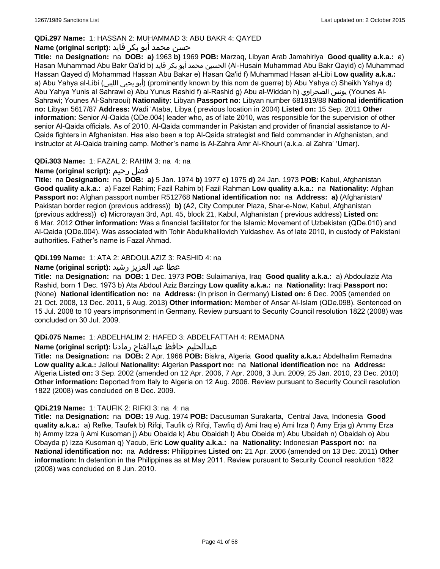# **QDi.297 Name:** 1: HASSAN 2: MUHAMMAD 3: ABU BAKR 4: QAYED

# حسن محمد أبو بكر قايد **:(script original (Name**

**Title:** na **Designation:** na **DOB: a)** 1963 **b)** 1969 **POB:** Marzaq, Libyan Arab Jamahiriya **Good quality a.k.a.:** a) Hasan Muhammad Abu Bakr Qa'id b) قايد بكر أبو محمد الحسين) Al-Husain Muhammad Abu Bakr Qayid) c) Muhammad Hassan Qayed d) Mohammad Hassan Abu Bakar e) Hasan Qa'id f) Muhammad Hasan al-Libi **Low quality a.k.a.:**  a) Abu Yahya al-Libi (الليبي يحيى أبو) (prominently known by this nom de guerre) b) Abu Yahya c) Sheikh Yahya d) Abu Yahya Yunis al Sahrawi e) Abu Yunus Rashid f) al-Rashid g) Abu al-Widdan h) الصحراوي يونس) Younes Al-Sahrawi; Younes Al-Sahraoui) **Nationality:** Libyan **Passport no:** Libyan number 681819/88 **National identification no:** Libyan 5617/87 **Address:** Wadi 'Ataba, Libya ( previous location in 2004) **Listed on:** 15 Sep. 2011 **Other information:** Senior Al-Qaida (QDe.004) leader who, as of late 2010, was responsible for the supervision of other senior Al-Qaida officials. As of 2010, Al-Qaida commander in Pakistan and provider of financial assistance to Al-Qaida fighters in Afghanistan. Has also been a top Al-Qaida strategist and field commander in Afghanistan, and instructor at Al-Qaida training camp. Mother's name is Al-Zahra Amr Al-Khouri (a.k.a. al Zahra' 'Umar).

# **QDi.303 Name:** 1: FAZAL 2: RAHIM 3: na 4: na

# **Name (original script):** رحيم فضل

**Title:** na **Designation:** na **DOB: a)** 5 Jan. 1974 **b)** 1977 **c)** 1975 **d)** 24 Jan. 1973 **POB:** Kabul, Afghanistan **Good quality a.k.a.:** a) Fazel Rahim; Fazil Rahim b) Fazil Rahman **Low quality a.k.a.:** na **Nationality:** Afghan **Passport no:** Afghan passport number R512768 **National identification no:** na **Address: a)** (Afghanistan/ Pakistan border region (previous address)) **b)** (A2, City Computer Plaza, Shar-e-Now, Kabul, Afghanistan (previous address)) **c)** Microrayan 3rd, Apt. 45, block 21, Kabul, Afghanistan ( previous address) **Listed on:** 6 Mar. 2012 **Other information:** Was a financial facilitator for the Islamic Movement of Uzbekistan (QDe.010) and Al-Qaida (QDe.004). Was associated with Tohir Abdulkhalilovich Yuldashev. As of late 2010, in custody of Pakistani authorities. Father's name is Fazal Ahmad.

# **QDi.199 Name:** 1: ATA 2: ABDOULAZIZ 3: RASHID 4: na

# عطا عبد العزيز رشيد **:(script original (Name**

**Title:** na **Designation:** na **DOB:** 1 Dec. 1973 **POB:** Sulaimaniya, Iraq **Good quality a.k.a.:** a) Abdoulaziz Ata Rashid, born 1 Dec. 1973 b) Ata Abdoul Aziz Barzingy **Low quality a.k.a.:** na **Nationality:** Iraqi **Passport no:**  (None) **National identification no:** na **Address:** (In prison in Germany) **Listed on:** 6 Dec. 2005 (amended on 21 Oct. 2008, 13 Dec. 2011, 6 Aug. 2013) **Other information:** Member of Ansar Al-Islam (QDe.098). Sentenced on 15 Jul. 2008 to 10 years imprisonment in Germany. Review pursuant to Security Council resolution 1822 (2008) was concluded on 30 Jul. 2009.

# **QDi.075 Name:** 1: ABDELHALIM 2: HAFED 3: ABDELFATTAH 4: REMADNA

عبدالحليم حافظ عبدالفتاح رمادنا **:(script original (Name**

**Title:** na **Designation:** na **DOB:** 2 Apr. 1966 **POB:** Biskra, Algeria **Good quality a.k.a.:** Abdelhalim Remadna **Low quality a.k.a.:** Jalloul **Nationality:** Algerian **Passport no:** na **National identification no:** na **Address:** Algeria **Listed on:** 3 Sep. 2002 (amended on 12 Apr. 2006, 7 Apr. 2008, 3 Jun. 2009, 25 Jan. 2010, 23 Dec. 2010) **Other information:** Deported from Italy to Algeria on 12 Aug. 2006. Review pursuant to Security Council resolution 1822 (2008) was concluded on 8 Dec. 2009.

# **QDi.219 Name:** 1: TAUFIK 2: RIFKI 3: na 4: na

**Title:** na **Designation:** na **DOB:** 19 Aug. 1974 **POB:** Dacusuman Surakarta, Central Java, Indonesia **Good quality a.k.a.:** a) Refke, Taufek b) Rifqi, Taufik c) Rifqi, Tawfiq d) Ami Iraq e) Ami Irza f) Amy Erja g) Ammy Erza h) Ammy Izza i) Ami Kusoman j) Abu Obaida k) Abu Obaidah l) Abu Obeida m) Abu Ubaidah n) Obaidah o) Abu Obayda p) Izza Kusoman q) Yacub, Eric **Low quality a.k.a.:** na **Nationality:** Indonesian **Passport no:** na **National identification no:** na **Address:** Philippines **Listed on:** 21 Apr. 2006 (amended on 13 Dec. 2011) **Other information:** In detention in the Philippines as at May 2011. Review pursuant to Security Council resolution 1822 (2008) was concluded on 8 Jun. 2010.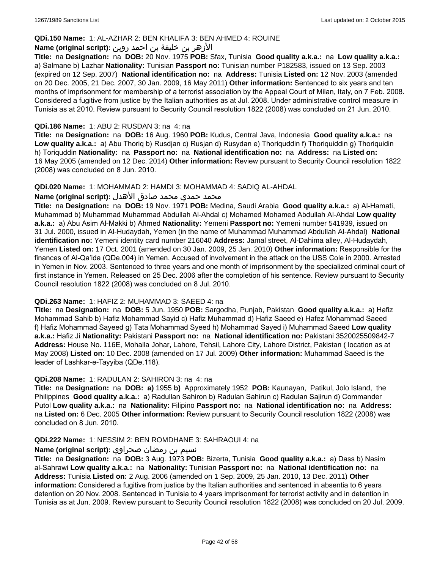#### **QDi.150 Name:** 1: AL-AZHAR 2: BEN KHALIFA 3: BEN AHMED 4: ROUINE

# الأزهر بن خليفة بن احمد روين **:(script original (Name**

**Title:** na **Designation:** na **DOB:** 20 Nov. 1975 **POB:** Sfax, Tunisia **Good quality a.k.a.:** na **Low quality a.k.a.:**  a) Salmane b) Lazhar **Nationality:** Tunisian **Passport no:** Tunisian number P182583, issued on 13 Sep. 2003 (expired on 12 Sep. 2007) **National identification no:** na **Address:** Tunisia **Listed on:** 12 Nov. 2003 (amended on 20 Dec. 2005, 21 Dec. 2007, 30 Jan. 2009, 16 May 2011) **Other information:** Sentenced to six years and ten months of imprisonment for membership of a terrorist association by the Appeal Court of Milan, Italy, on 7 Feb. 2008. Considered a fugitive from justice by the Italian authorities as at Jul. 2008. Under administrative control measure in Tunisia as at 2010. Review pursuant to Security Council resolution 1822 (2008) was concluded on 21 Jun. 2010.

#### **QDi.186 Name:** 1: ABU 2: RUSDAN 3: na 4: na

**Title:** na **Designation:** na **DOB:** 16 Aug. 1960 **POB:** Kudus, Central Java, Indonesia **Good quality a.k.a.:** na **Low quality a.k.a.:** a) Abu Thoriq b) Rusdjan c) Rusjan d) Rusydan e) Thoriquddin f) Thoriquiddin g) Thoriquidin h) Toriquddin **Nationality:** na **Passport no:** na **National identification no:** na **Address:** na **Listed on:** 16 May 2005 (amended on 12 Dec. 2014) **Other information:** Review pursuant to Security Council resolution 1822 (2008) was concluded on 8 Jun. 2010.

#### **QDi.020 Name:** 1: MOHAMMAD 2: HAMDI 3: MOHAMMAD 4: SADIQ AL-AHDAL

#### محمد حمدي محمد صادق الأهدل **:Name (original script)**

**Title:** na **Designation:** na **DOB:** 19 Nov. 1971 **POB:** Medina, Saudi Arabia **Good quality a.k.a.:** a) Al-Hamati, Muhammad b) Muhammad Muhammad Abdullah Al-Ahdal c) Mohamed Mohamed Abdullah Al-Ahdal **Low quality a.k.a.:** a) Abu Asim Al-Makki b) Ahmed **Nationality:** Yemeni **Passport no:** Yemeni number 541939, issued on 31 Jul. 2000, issued in Al-Hudaydah, Yemen (in the name of Muhammad Muhammad Abdullah Al-Ahdal) **National identification no:** Yemeni identity card number 216040 **Address:** Jamal street, Al-Dahima alley, Al-Hudaydah, Yemen **Listed on:** 17 Oct. 2001 (amended on 30 Jan. 2009, 25 Jan. 2010) **Other information:** Responsible for the finances of Al-Qa'ida (QDe.004) in Yemen. Accused of involvement in the attack on the USS Cole in 2000. Arrested in Yemen in Nov. 2003. Sentenced to three years and one month of imprisonment by the specialized criminal court of first instance in Yemen. Released on 25 Dec. 2006 after the completion of his sentence. Review pursuant to Security Council resolution 1822 (2008) was concluded on 8 Jul. 2010.

#### **QDi.263 Name:** 1: HAFIZ 2: MUHAMMAD 3: SAEED 4: na

**Title:** na **Designation:** na **DOB:** 5 Jun. 1950 **POB:** Sargodha, Punjab, Pakistan **Good quality a.k.a.:** a) Hafiz Mohammad Sahib b) Hafiz Mohammad Sayid c) Hafiz Muhammad d) Hafiz Saeed e) Hafez Mohammad Saeed f) Hafiz Mohammad Sayeed g) Tata Mohammad Syeed h) Mohammad Sayed i) Muhammad Saeed **Low quality a.k.a.:** Hafiz Ji **Nationality:** Pakistani **Passport no:** na **National identification no:** Pakistani 3520025509842-7 **Address:** House No. 116E, Mohalla Johar, Lahore, Tehsil, Lahore City, Lahore District, Pakistan ( location as at May 2008) **Listed on:** 10 Dec. 2008 (amended on 17 Jul. 2009) **Other information:** Muhammad Saeed is the leader of Lashkar-e-Tayyiba (QDe.118).

#### **QDi.208 Name:** 1: RADULAN 2: SAHIRON 3: na 4: na

**Title:** na **Designation:** na **DOB: a)** 1955 **b)** Approximately 1952 **POB:** Kaunayan, Patikul, Jolo Island, the Philippines **Good quality a.k.a.:** a) Radullan Sahiron b) Radulan Sahirun c) Radulan Sajirun d) Commander Putol **Low quality a.k.a.:** na **Nationality:** Filipino **Passport no:** na **National identification no:** na **Address:**  na **Listed on:** 6 Dec. 2005 **Other information:** Review pursuant to Security Council resolution 1822 (2008) was concluded on 8 Jun. 2010.

#### **QDi.222 Name:** 1: NESSIM 2: BEN ROMDHANE 3: SAHRAOUI 4: na

### نسيم بن رمضان صحراوي **:(script original (Name**

**Title:** na **Designation:** na **DOB:** 3 Aug. 1973 **POB:** Bizerta, Tunisia **Good quality a.k.a.:** a) Dass b) Nasim al-Sahrawi **Low quality a.k.a.:** na **Nationality:** Tunisian **Passport no:** na **National identification no:** na **Address:** Tunisia **Listed on:** 2 Aug. 2006 (amended on 1 Sep. 2009, 25 Jan. 2010, 13 Dec. 2011) **Other information:** Considered a fugitive from justice by the Italian authorities and sentenced in absentia to 6 years detention on 20 Nov. 2008. Sentenced in Tunisia to 4 years imprisonment for terrorist activity and in detention in Tunisia as at Jun. 2009. Review pursuant to Security Council resolution 1822 (2008) was concluded on 20 Jul. 2009.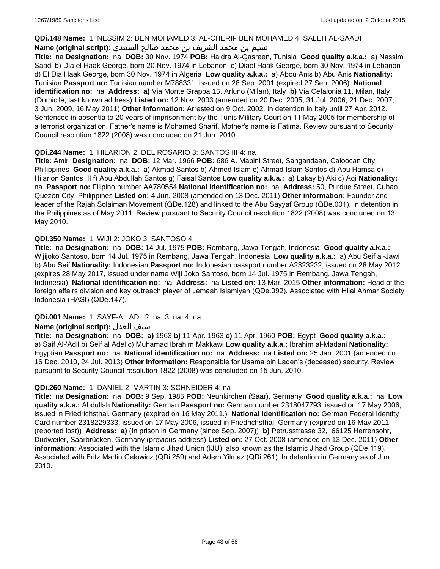### **QDi.148 Name:** 1: NESSIM 2: BEN MOHAMED 3: AL-CHERIF BEN MOHAMED 4: SALEH AL-SAADI

# نسيم بن محمد الشريف بن محمد صالح السعدي **:(script original (Name**

**Title:** na **Designation:** na **DOB:** 30 Nov. 1974 **POB:** Haidra Al-Qasreen, Tunisia **Good quality a.k.a.:** a) Nassim Saadi b) Dia el Haak George, born 20 Nov. 1974 in Lebanon c) Diael Haak George, born 30 Nov. 1974 in Lebanon d) El Dia Haak George, born 30 Nov. 1974 in Algeria **Low quality a.k.a.:** a) Abou Anis b) Abu Anis **Nationality:** Tunisian **Passport no:** Tunisian number M788331, issued on 28 Sep. 2001 (expired 27 Sep. 2006) **National identification no:** na **Address: a)** Via Monte Grappa 15, Arluno (Milan), Italy **b)** Via Cefalonia 11, Milan, Italy (Domicile, last known address) **Listed on:** 12 Nov. 2003 (amended on 20 Dec. 2005, 31 Jul. 2006, 21 Dec. 2007, 3 Jun. 2009, 16 May 2011) **Other information:** Arrested on 9 Oct. 2002. In detention in Italy until 27 Apr. 2012. Sentenced in absentia to 20 years of imprisonment by the Tunis Military Court on 11 May 2005 for membership of a terrorist organization. Father's name is Mohamed Sharif. Mother's name is Fatima. Review pursuant to Security Council resolution 1822 (2008) was concluded on 21 Jun. 2010.

# **QDi.244 Name:** 1: HILARION 2: DEL ROSARIO 3: SANTOS III 4: na

**Title:** Amir **Designation:** na **DOB:** 12 Mar. 1966 **POB:** 686 A. Mabini Street, Sangandaan, Caloocan City, Philippines **Good quality a.k.a.:** a) Akmad Santos b) Ahmed Islam c) Ahmad Islam Santos d) Abu Hamsa e) Hilarion Santos III f) Abu Abdullah Santos g) Faisal Santos **Low quality a.k.a.:** a) Lakay b) Aki c) Aqi **Nationality:**  na **Passport no:** Filipino number AA780554 **National identification no:** na **Address:** 50, Purdue Street, Cubao, Quezon City, Philippines **Listed on:** 4 Jun. 2008 (amended on 13 Dec. 2011) **Other information:** Founder and leader of the Rajah Solaiman Movement (QDe.128) and linked to the Abu Sayyaf Group (QDe.001). In detention in the Philippines as of May 2011. Review pursuant to Security Council resolution 1822 (2008) was concluded on 13 May 2010.

# **QDi.350 Name:** 1: WIJI 2: JOKO 3: SANTOSO 4:

**Title:** na **Designation:** na **DOB:** 14 Jul. 1975 **POB:** Rembang, Jawa Tengah, Indonesia **Good quality a.k.a.:** Wijijoko Santoso, born 14 Jul. 1975 in Rembang, Jawa Tengah, Indonesia **Low quality a.k.a.:** a) Abu Seif al-Jawi b) Abu Seif **Nationality:** Indonesian **Passport no:** Indonesian passport number A2823222, issued on 28 May 2012 (expires 28 May 2017, issued under name Wiji Joko Santoso, born 14 Jul. 1975 in Rembang, Jawa Tengah, Indonesia) **National identification no:** na **Address:** na **Listed on:** 13 Mar. 2015 **Other information:** Head of the foreign affairs division and key outreach player of Jemaah Islamiyah (QDe.092). Associated with Hilal Ahmar Society Indonesia (HASI) (QDe.147).

# **QDi.001 Name:** 1: SAYF-AL ADL 2: na 3: na 4: na

# **Name (original script):** العدل سيف

**Title:** na **Designation:** na **DOB: a)** 1963 **b)** 11 Apr. 1963 **c)** 11 Apr. 1960 **POB:** Egypt **Good quality a.k.a.:**  a) Saif Al-'Adil b) Seif al Adel c) Muhamad Ibrahim Makkawi **Low quality a.k.a.:** Ibrahim al-Madani **Nationality:** Egyptian **Passport no:** na **National identification no:** na **Address:** na **Listed on:** 25 Jan. 2001 (amended on 16 Dec. 2010, 24 Jul. 2013) **Other information:** Responsible for Usama bin Laden's (deceased) security. Review pursuant to Security Council resolution 1822 (2008) was concluded on 15 Jun. 2010.

# **QDi.260 Name:** 1: DANIEL 2: MARTIN 3: SCHNEIDER 4: na

**Title:** na **Designation:** na **DOB:** 9 Sep. 1985 **POB:** Neunkirchen (Saar), Germany **Good quality a.k.a.:** na **Low quality a.k.a.:** Abdullah **Nationality:** German **Passport no:** German number 2318047793, issued on 17 May 2006, issued in Friedrichsthal, Germany (expired on 16 May 2011.) **National identification no:** German Federal Identity Card number 2318229333, issued on 17 May 2006, issued in Friedrichsthal, Germany (expired on 16 May 2011 (reported lost)) **Address: a)** (In prison in Germany (since Sep. 2007)) **b)** Petrusstrasse 32, 66125 Herrensohr, Dudweiler, Saarbrücken, Germany (previous address) **Listed on:** 27 Oct. 2008 (amended on 13 Dec. 2011) **Other information:** Associated with the Islamic Jihad Union (IJU), also known as the Islamic Jihad Group (QDe.119). Associated with Fritz Martin Gelowicz (QDi.259) and Adem Yilmaz (QDi.261). In detention in Germany as of Jun. 2010.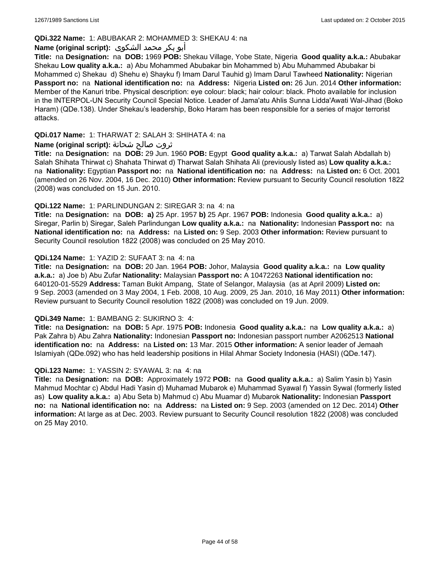# **QDi.322 Name:** 1: ABUBAKAR 2: MOHAMMED 3: SHEKAU 4: na

### أبو بكر محمد الشكوى **:(script original (Name**

**Title:** na **Designation:** na **DOB:** 1969 **POB:** Shekau Village, Yobe State, Nigeria **Good quality a.k.a.:** Abubakar Shekau **Low quality a.k.a.:** a) Abu Mohammed Abubakar bin Mohammed b) Abu Muhammed Abubakar bi Mohammed c) Shekau d) Shehu e) Shayku f) Imam Darul Tauhid g) Imam Darul Tawheed **Nationality:** Nigerian **Passport no:** na **National identification no:** na **Address:** Nigeria **Listed on:** 26 Jun. 2014 **Other information:** Member of the Kanuri tribe. Physical description: eye colour: black; hair colour: black. Photo available for inclusion in the INTERPOL-UN Security Council Special Notice. Leader of Jama'atu Ahlis Sunna Lidda'Awati Wal-Jihad (Boko Haram) (QDe.138). Under Shekau's leadership, Boko Haram has been responsible for a series of major terrorist attacks.

### **QDi.017 Name:** 1: THARWAT 2: SALAH 3: SHIHATA 4: na

### ثروت صالح شحاتة **:(script original (Name**

**Title:** na **Designation:** na **DOB:** 29 Jun. 1960 **POB:** Egypt **Good quality a.k.a.:** a) Tarwat Salah Abdallah b) Salah Shihata Thirwat c) Shahata Thirwat d) Tharwat Salah Shihata Ali (previously listed as) **Low quality a.k.a.:**  na **Nationality:** Egyptian **Passport no:** na **National identification no:** na **Address:** na **Listed on:** 6 Oct. 2001 (amended on 26 Nov. 2004, 16 Dec. 2010) **Other information:** Review pursuant to Security Council resolution 1822 (2008) was concluded on 15 Jun. 2010.

### **QDi.122 Name:** 1: PARLINDUNGAN 2: SIREGAR 3: na 4: na

**Title:** na **Designation:** na **DOB: a)** 25 Apr. 1957 **b)** 25 Apr. 1967 **POB:** Indonesia **Good quality a.k.a.:** a) Siregar, Parlin b) Siregar, Saleh Parlindungan **Low quality a.k.a.:** na **Nationality:** Indonesian **Passport no:** na **National identification no:** na **Address:** na **Listed on:** 9 Sep. 2003 **Other information:** Review pursuant to Security Council resolution 1822 (2008) was concluded on 25 May 2010.

### **QDi.124 Name:** 1: YAZID 2: SUFAAT 3: na 4: na

**Title:** na **Designation:** na **DOB:** 20 Jan. 1964 **POB:** Johor, Malaysia **Good quality a.k.a.:** na **Low quality a.k.a.:** a) Joe b) Abu Zufar **Nationality:** Malaysian **Passport no:** A 10472263 **National identification no:** 640120-01-5529 **Address:** Taman Bukit Ampang, State of Selangor, Malaysia (as at April 2009) **Listed on:** 9 Sep. 2003 (amended on 3 May 2004, 1 Feb. 2008, 10 Aug. 2009, 25 Jan. 2010, 16 May 2011) **Other information:** Review pursuant to Security Council resolution 1822 (2008) was concluded on 19 Jun. 2009.

#### **QDi.349 Name:** 1: BAMBANG 2: SUKIRNO 3: 4:

**Title:** na **Designation:** na **DOB:** 5 Apr. 1975 **POB:** Indonesia **Good quality a.k.a.:** na **Low quality a.k.a.:** a) Pak Zahra b) Abu Zahra **Nationality:** Indonesian **Passport no:** Indonesian passport number A2062513 **National identification no:** na **Address:** na **Listed on:** 13 Mar. 2015 **Other information:** A senior leader of Jemaah Islamiyah (QDe.092) who has held leadership positions in Hilal Ahmar Society Indonesia (HASI) (QDe.147).

#### **QDi.123 Name:** 1: YASSIN 2: SYAWAL 3: na 4: na

**Title:** na **Designation:** na **DOB:** Approximately 1972 **POB:** na **Good quality a.k.a.:** a) Salim Yasin b) Yasin Mahmud Mochtar c) Abdul Hadi Yasin d) Muhamad Mubarok e) Muhammad Syawal f) Yassin Sywal (formerly listed as) **Low quality a.k.a.:** a) Abu Seta b) Mahmud c) Abu Muamar d) Mubarok **Nationality:** Indonesian **Passport no:** na **National identification no:** na **Address:** na **Listed on:** 9 Sep. 2003 (amended on 12 Dec. 2014) **Other information:** At large as at Dec. 2003. Review pursuant to Security Council resolution 1822 (2008) was concluded on 25 May 2010.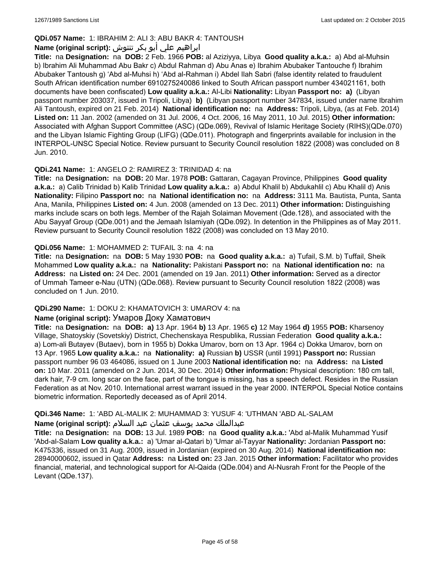# **QDi.057 Name:** 1: IBRAHIM 2: ALI 3: ABU BAKR 4: TANTOUSH

# ابراهيم علي أبو بكر تنتوش **:(script original (Name**

**Title:** na **Designation:** na **DOB:** 2 Feb. 1966 **POB:** al Aziziyya, Libya **Good quality a.k.a.:** a) Abd al-Muhsin b) Ibrahim Ali Muhammad Abu Bakr c) Abdul Rahman d) Abu Anas e) Ibrahim Abubaker Tantouche f) Ibrahim Abubaker Tantoush g) 'Abd al-Muhsi h) 'Abd al-Rahman i) Abdel Ilah Sabri (false identity related to fraudulent South African identification number 6910275240086 linked to South African passport number 434021161, both documents have been confiscated) **Low quality a.k.a.:** Al-Libi **Nationality:** Libyan **Passport no: a)** (Libyan passport number 203037, issued in Tripoli, Libya) **b)** (Libyan passport number 347834, issued under name Ibrahim Ali Tantoush, expired on 21 Feb. 2014) **National identification no:** na **Address:** Tripoli, Libya, (as at Feb. 2014) **Listed on:** 11 Jan. 2002 (amended on 31 Jul. 2006, 4 Oct. 2006, 16 May 2011, 10 Jul. 2015) **Other information:** Associated with Afghan Support Committee (ASC) (QDe.069), Revival of Islamic Heritage Society (RIHS)(QDe.070) and the Libyan Islamic Fighting Group (LIFG) (QDe.011). Photograph and fingerprints available for inclusion in the INTERPOL-UNSC Special Notice. Review pursuant to Security Council resolution 1822 (2008) was concluded on 8 Jun. 2010.

# **QDi.241 Name:** 1: ANGELO 2: RAMIREZ 3: TRINIDAD 4: na

**Title:** na **Designation:** na **DOB:** 20 Mar. 1978 **POB:** Gattaran, Cagayan Province, Philippines **Good quality a.k.a.:** a) Calib Trinidad b) Kalib Trinidad **Low quality a.k.a.:** a) Abdul Khalil b) Abdukahlil c) Abu Khalil d) Anis **Nationality:** Filipino **Passport no:** na **National identification no:** na **Address:** 3111 Ma. Bautista, Punta, Santa Ana, Manila, Philippines **Listed on:** 4 Jun. 2008 (amended on 13 Dec. 2011) **Other information:** Distinguishing marks include scars on both legs. Member of the Rajah Solaiman Movement (Qde.128), and associated with the Abu Sayyaf Group (QDe.001) and the Jemaah Islamiyah (QDe.092). In detention in the Philippines as of May 2011. Review pursuant to Security Council resolution 1822 (2008) was concluded on 13 May 2010.

# **QDi.056 Name:** 1: MOHAMMED 2: TUFAIL 3: na 4: na

**Title:** na **Designation:** na **DOB:** 5 May 1930 **POB:** na **Good quality a.k.a.:** a) Tufail, S.M. b) Tuffail, Sheik Mohammed **Low quality a.k.a.:** na **Nationality:** Pakistani **Passport no:** na **National identification no:** na **Address:** na **Listed on:** 24 Dec. 2001 (amended on 19 Jan. 2011) **Other information:** Served as a director of Ummah Tameer e-Nau (UTN) (QDe.068). Review pursuant to Security Council resolution 1822 (2008) was concluded on 1 Jun. 2010.

# **QDi.290 Name:** 1: DOKU 2: KHAMATOVICH 3: UMAROV 4: na

#### **Name (original script):** Умаров Доку Хаматович

**Title:** na **Designation:** na **DOB: a)** 13 Apr. 1964 **b)** 13 Apr. 1965 **c)** 12 May 1964 **d)** 1955 **POB:** Kharsenoy Village, Shatoyskiy (Sovetskiy) District, Chechenskaya Respublika, Russian Federation **Good quality a.k.a.:**  a) Lom-ali Butayev (Butaev), born in 1955 b) Dokka Umarov, born on 13 Apr. 1964 c) Dokka Umarov, born on 13 Apr. 1965 **Low quality a.k.a.:** na **Nationality: a)** Russian **b)** USSR (until 1991) **Passport no:** Russian passport number 96 03 464086, issued on 1 June 2003 **National identification no:** na **Address:** na **Listed on:** 10 Mar. 2011 (amended on 2 Jun. 2014, 30 Dec. 2014) **Other information:** Physical description: 180 cm tall, dark hair, 7-9 cm. long scar on the face, part of the tongue is missing, has a speech defect. Resides in the Russian Federation as at Nov. 2010. International arrest warrant issued in the year 2000. INTERPOL Special Notice contains biometric information. Reportedly deceased as of April 2014.

# **QDi.346 Name:** 1: 'ABD AL-MALIK 2: MUHAMMAD 3: YUSUF 4: 'UTHMAN 'ABD AL-SALAM

#### عبدالملك محمد يوسف عثمان عبد السلام **:(script original (Name**

**Title:** na **Designation:** na **DOB:** 13 Jul. 1989 **POB:** na **Good quality a.k.a.:** 'Abd al-Malik Muhammad Yusif 'Abd-al-Salam **Low quality a.k.a.:** a) 'Umar al-Qatari b) 'Umar al-Tayyar **Nationality:** Jordanian **Passport no:** K475336, issued on 31 Aug. 2009, issued in Jordanian (expired on 30 Aug. 2014) **National identification no:** 28940000602, issued in Qatar **Address:** na **Listed on:** 23 Jan. 2015 **Other information:** Facilitator who provides financial, material, and technological support for Al-Qaida (QDe.004) and Al-Nusrah Front for the People of the Levant (QDe.137).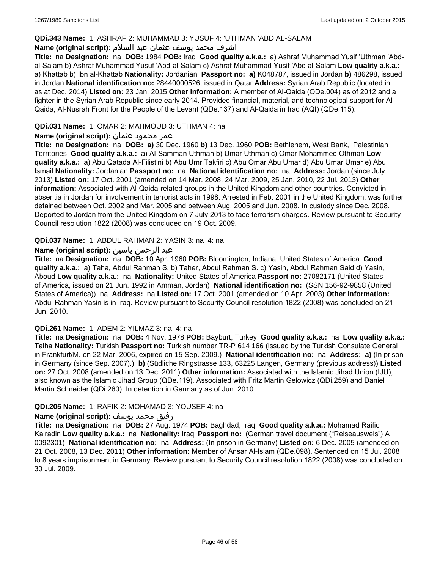### **QDi.343 Name:** 1: ASHRAF 2: MUHAMMAD 3: YUSUF 4: 'UTHMAN 'ABD AL-SALAM

# اشرف محمد يوسف عثمان عبد السلام **:(script original (Name**

**Title:** na **Designation:** na **DOB:** 1984 **POB:** Iraq **Good quality a.k.a.:** a) Ashraf Muhammad Yusif 'Uthman 'Abdal-Salam b) Ashraf Muhammad Yusuf 'Abd-al-Salam c) Ashraf Muhammad Yusif 'Abd al-Salam **Low quality a.k.a.:**  a) Khattab b) Ibn al-Khattab **Nationality:** Jordanian **Passport no: a)** K048787, issued in Jordan **b)** 486298, issued in Jordan **National identification no:** 28440000526, issued in Qatar **Address:** Syrian Arab Republic (located in as at Dec. 2014) **Listed on:** 23 Jan. 2015 **Other information:** A member of Al-Qaida (QDe.004) as of 2012 and a fighter in the Syrian Arab Republic since early 2014. Provided financial, material, and technological support for Al-Qaida, Al-Nusrah Front for the People of the Levant (QDe.137) and Al-Qaida in Iraq (AQI) (QDe.115).

## **QDi.031 Name:** 1: OMAR 2: MAHMOUD 3: UTHMAN 4: na

## عمر محمود عثمان **:(script original (Name**

**Title:** na **Designation:** na **DOB: a)** 30 Dec. 1960 **b)** 13 Dec. 1960 **POB:** Bethlehem, West Bank, Palestinian Territories **Good quality a.k.a.:** a) Al-Samman Uthman b) Umar Uthman c) Omar Mohammed Othman **Low quality a.k.a.:** a) Abu Qatada Al-Filistini b) Abu Umr Takfiri c) Abu Omar Abu Umar d) Abu Umar Umar e) Abu Ismail **Nationality:** Jordanian **Passport no:** na **National identification no:** na **Address:** Jordan (since July 2013) **Listed on:** 17 Oct. 2001 (amended on 14 Mar. 2008, 24 Mar. 2009, 25 Jan. 2010, 22 Jul. 2013) **Other information:** Associated with Al-Qaida-related groups in the United Kingdom and other countries. Convicted in absentia in Jordan for involvement in terrorist acts in 1998. Arrested in Feb. 2001 in the United Kingdom, was further detained between Oct. 2002 and Mar. 2005 and between Aug. 2005 and Jun. 2008. In custody since Dec. 2008. Deported to Jordan from the United Kingdom on 7 July 2013 to face terrorism charges. Review pursuant to Security Council resolution 1822 (2008) was concluded on 19 Oct. 2009.

### **QDi.037 Name:** 1: ABDUL RAHMAN 2: YASIN 3: na 4: na

# عبد الرحمن ياسين **:(script original (Name**

**Title:** na **Designation:** na **DOB:** 10 Apr. 1960 **POB:** Bloomington, Indiana, United States of America **Good quality a.k.a.:** a) Taha, Abdul Rahman S. b) Taher, Abdul Rahman S. c) Yasin, Abdul Rahman Said d) Yasin, Aboud **Low quality a.k.a.:** na **Nationality:** United States of America **Passport no:** 27082171 (United States of America, issued on 21 Jun. 1992 in Amman, Jordan) **National identification no:** (SSN 156-92-9858 (United States of America)) na **Address:** na **Listed on:** 17 Oct. 2001 (amended on 10 Apr. 2003) **Other information:** Abdul Rahman Yasin is in Iraq. Review pursuant to Security Council resolution 1822 (2008) was concluded on 21 Jun. 2010.

#### **QDi.261 Name:** 1: ADEM 2: YILMAZ 3: na 4: na

**Title:** na **Designation:** na **DOB:** 4 Nov. 1978 **POB:** Bayburt, Turkey **Good quality a.k.a.:** na **Low quality a.k.a.:** Talha **Nationality:** Turkish **Passport no:** Turkish number TR-P 614 166 (issued by the Turkish Consulate General in Frankfurt/M. on 22 Mar. 2006, expired on 15 Sep. 2009.) **National identification no:** na **Address: a)** (In prison in Germany (since Sep. 2007).) **b)** (Südliche Ringstrasse 133, 63225 Langen, Germany (previous address)) **Listed on:** 27 Oct. 2008 (amended on 13 Dec. 2011) **Other information:** Associated with the Islamic Jihad Union (IJU), also known as the Islamic Jihad Group (QDe.119). Associated with Fritz Martin Gelowicz (QDi.259) and Daniel Martin Schneider (QDi.260). In detention in Germany as of Jun. 2010.

#### **QDi.205 Name:** 1: RAFIK 2: MOHAMAD 3: YOUSEF 4: na

#### رفيق محمد يوسف **:(script original (Name**

**Title:** na **Designation:** na **DOB:** 27 Aug. 1974 **POB:** Baghdad, Iraq **Good quality a.k.a.:** Mohamad Raific Kairadin **Low quality a.k.a.:** na **Nationality:** Iraqi **Passport no:** (German travel document ("Reiseausweis") A 0092301) **National identification no:** na **Address:** (In prison in Germany) **Listed on:** 6 Dec. 2005 (amended on 21 Oct. 2008, 13 Dec. 2011) **Other information:** Member of Ansar Al-Islam (QDe.098). Sentenced on 15 Jul. 2008 to 8 years imprisonment in Germany. Review pursuant to Security Council resolution 1822 (2008) was concluded on 30 Jul. 2009.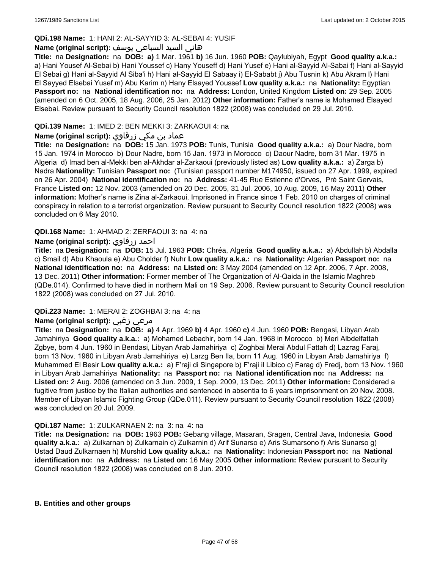## **QDi.198 Name:** 1: HANI 2: AL-SAYYID 3: AL-SEBAI 4: YUSIF

## هاني السيد السباعي يوسف **:(script original (Name**

**Title:** na **Designation:** na **DOB: a)** 1 Mar. 1961 **b)** 16 Jun. 1960 **POB:** Qaylubiyah, Egypt **Good quality a.k.a.:**  a) Hani Yousef Al-Sebai b) Hani Youssef c) Hany Youseff d) Hani Yusef e) Hani al-Sayyid Al-Sabai f) Hani al-Sayyid El Sebai g) Hani al-Sayyid Al Siba'i h) Hani al-Sayyid El Sabaay i) El-Sababt j) Abu Tusnin k) Abu Akram l) Hani El Sayyed Elsebai Yusef m) Abu Karim n) Hany Elsayed Youssef **Low quality a.k.a.:** na **Nationality:** Egyptian **Passport no:** na **National identification no:** na **Address:** London, United Kingdom **Listed on:** 29 Sep. 2005 (amended on 6 Oct. 2005, 18 Aug. 2006, 25 Jan. 2012) **Other information:** Father's name is Mohamed Elsayed Elsebai. Review pursuant to Security Council resolution 1822 (2008) was concluded on 29 Jul. 2010.

# **QDi.139 Name:** 1: IMED 2: BEN MEKKI 3: ZARKAOUI 4: na

# عماد بن مكي زرقاوي **:(script original (Name**

**Title:** na **Designation:** na **DOB:** 15 Jan. 1973 **POB:** Tunis, Tunisia **Good quality a.k.a.:** a) Dour Nadre, born 15 Jan. 1974 in Morocco b) Dour Nadre, born 15 Jan. 1973 in Morocco c) Daour Nadre, born 31 Mar. 1975 in Algeria d) Imad ben al-Mekki ben al-Akhdar al-Zarkaoui (previously listed as) **Low quality a.k.a.:** a) Zarga b) Nadra **Nationality:** Tunisian **Passport no:** (Tunisian passport number M174950, issued on 27 Apr. 1999, expired on 26 Apr. 2004) **National identification no:** na **Address:** 41-45 Rue Estienne d'Orves, Pré Saint Gervais, France **Listed on:** 12 Nov. 2003 (amended on 20 Dec. 2005, 31 Jul. 2006, 10 Aug. 2009, 16 May 2011) **Other information:** Mother's name is Zina al-Zarkaoui. Imprisoned in France since 1 Feb. 2010 on charges of criminal conspiracy in relation to a terrorist organization. Review pursuant to Security Council resolution 1822 (2008) was concluded on 6 May 2010.

### **QDi.168 Name:** 1: AHMAD 2: ZERFAOUI 3: na 4: na

### **Name (original script):** زرفاوي احمد

**Title:** na **Designation:** na **DOB:** 15 Jul. 1963 **POB:** Chréa, Algeria **Good quality a.k.a.:** a) Abdullah b) Abdalla c) Smail d) Abu Khaoula e) Abu Cholder f) Nuhr **Low quality a.k.a.:** na **Nationality:** Algerian **Passport no:** na **National identification no:** na **Address:** na **Listed on:** 3 May 2004 (amended on 12 Apr. 2006, 7 Apr. 2008, 13 Dec. 2011) **Other information:** Former member of The Organization of Al-Qaida in the Islamic Maghreb (QDe.014). Confirmed to have died in northern Mali on 19 Sep. 2006. Review pursuant to Security Council resolution 1822 (2008) was concluded on 27 Jul. 2010.

#### **QDi.223 Name:** 1: MERAI 2: ZOGHBAI 3: na 4: na

# **Name (original script):** زغبي مرعي

**Title:** na **Designation:** na **DOB: a)** 4 Apr. 1969 **b)** 4 Apr. 1960 **c)** 4 Jun. 1960 **POB:** Bengasi, Libyan Arab Jamahiriya **Good quality a.k.a.:** a) Mohamed Lebachir, born 14 Jan. 1968 in Morocco b) Meri Albdelfattah Zgbye, born 4 Jun. 1960 in Bendasi, Libyan Arab Jamahiriya c) Zoghbai Merai Abdul Fattah d) Lazrag Faraj, born 13 Nov. 1960 in Libyan Arab Jamahiriya e) Larzg Ben Ila, born 11 Aug. 1960 in Libyan Arab Jamahiriya f) Muhammed El Besir **Low quality a.k.a.:** a) F'raji di Singapore b) F'raji il Libico c) Farag d) Fredj, born 13 Nov. 1960 in Libyan Arab Jamahiriya **Nationality:** na **Passport no:** na **National identification no:** na **Address:** na **Listed on:** 2 Aug. 2006 (amended on 3 Jun. 2009, 1 Sep. 2009, 13 Dec. 2011) **Other information:** Considered a fugitive from justice by the Italian authorities and sentenced in absentia to 6 years imprisonment on 20 Nov. 2008. Member of Libyan Islamic Fighting Group (QDe.011). Review pursuant to Security Council resolution 1822 (2008) was concluded on 20 Jul. 2009.

#### **QDi.187 Name:** 1: ZULKARNAEN 2: na 3: na 4: na

**Title:** na **Designation:** na **DOB:** 1963 **POB:** Gebang village, Masaran, Sragen, Central Java, Indonesia **Good quality a.k.a.:** a) Zulkarnan b) Zulkarnain c) Zulkarnin d) Arif Sunarso e) Aris Sumarsono f) Aris Sunarso g) Ustad Daud Zulkarnaen h) Murshid **Low quality a.k.a.:** na **Nationality:** Indonesian **Passport no:** na **National identification no:** na **Address:** na **Listed on:** 16 May 2005 **Other information:** Review pursuant to Security Council resolution 1822 (2008) was concluded on 8 Jun. 2010.

#### **B. Entities and other groups**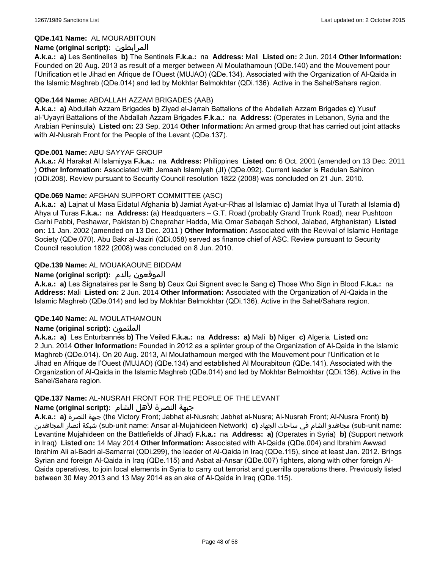## **QDe.141 Name:** AL MOURABITOUN

# **Name (original script):** المرابطون

**A.k.a.: a)** Les Sentinelles **b)** The Sentinels **F.k.a.:** na **Address:** Mali **Listed on:** 2 Jun. 2014 **Other Information:**  Founded on 20 Aug. 2013 as result of a merger between Al Moulathamoun (QDe.140) and the Mouvement pour l'Unification et le Jihad en Afrique de l'Ouest (MUJAO) (QDe.134). Associated with the Organization of Al-Qaida in the Islamic Maghreb (QDe.014) and led by Mokhtar Belmokhtar (QDi.136). Active in the Sahel/Sahara region.

### **QDe.144 Name:** ABDALLAH AZZAM BRIGADES (AAB)

**A.k.a.: a)** Abdullah Azzam Brigades **b)** Ziyad al-Jarrah Battalions of the Abdallah Azzam Brigades **c)** Yusuf al-'Uyayri Battalions of the Abdallah Azzam Brigades **F.k.a.:** na **Address:** (Operates in Lebanon, Syria and the Arabian Peninsula) **Listed on:** 23 Sep. 2014 **Other Information:** An armed group that has carried out joint attacks with Al-Nusrah Front for the People of the Levant (QDe.137).

### **QDe.001 Name:** ABU SAYYAF GROUP

**A.k.a.:** Al Harakat Al Islamiyya **F.k.a.:** na **Address:** Philippines **Listed on:** 6 Oct. 2001 (amended on 13 Dec. 2011 ) **Other Information:** Associated with Jemaah Islamiyah (JI) (QDe.092). Current leader is Radulan Sahiron (QDi.208). Review pursuant to Security Council resolution 1822 (2008) was concluded on 21 Jun. 2010.

### **QDe.069 Name:** AFGHAN SUPPORT COMMITTEE (ASC)

**A.k.a.: a)** Lajnat ul Masa Eidatul Afghania **b)** Jamiat Ayat-ur-Rhas al Islamiac **c)** Jamiat Ihya ul Turath al Islamia **d)** Ahya ul Turas **F.k.a.:** na **Address:** (a) Headquarters – G.T. Road (probably Grand Trunk Road), near Pushtoon Garhi Pabbi, Peshawar, Pakistan b) Cheprahar Hadda, Mia Omar Sabaqah School, Jalabad, Afghanistan) **Listed on:** 11 Jan. 2002 (amended on 13 Dec. 2011 ) **Other Information:** Associated with the Revival of Islamic Heritage Society (QDe.070). Abu Bakr al-Jaziri (QDi.058) served as finance chief of ASC. Review pursuant to Security Council resolution 1822 (2008) was concluded on 8 Jun. 2010.

# **QDe.139 Name:** AL MOUAKAOUNE BIDDAM

### **Name (original script):** بالدم الموقعون

**A.k.a.: a)** Les Signataires par le Sang **b)** Ceux Qui Signent avec le Sang **c)** Those Who Sign in Blood **F.k.a.:** na **Address:** Mali **Listed on:** 2 Jun. 2014 **Other Information:** Associated with the Organization of Al-Qaida in the Islamic Maghreb (QDe.014) and led by Mokhtar Belmokhtar (QDi.136). Active in the Sahel/Sahara region.

#### **QDe.140 Name:** AL MOULATHAMOUN

# **Name (original script):** الملثمون

**A.k.a.: a)** Les Enturbannés **b)** The Veiled **F.k.a.:** na **Address: a)** Mali **b)** Niger **c)** Algeria **Listed on:** 2 Jun. 2014 **Other Information:** Founded in 2012 as a splinter group of the Organization of Al-Qaida in the Islamic Maghreb (QDe.014). On 20 Aug. 2013, Al Moulathamoun merged with the Mouvement pour l'Unification et le Jihad en Afrique de l'Ouest (MUJAO) (QDe.134) and established Al Mourabitoun (QDe.141). Associated with the Organization of Al-Qaida in the Islamic Maghreb (QDe.014) and led by Mokhtar Belmokhtar (QDi.136). Active in the Sahel/Sahara region.

#### **QDe.137 Name:** AL-NUSRAH FRONT FOR THE PEOPLE OF THE LEVANT

#### جبهة النصرة لأهل الشام **:(script original (Name**

**A.k.a.: a)** النصرة جبهة) the Victory Front; Jabhat al-Nusrah; Jabhet al-Nusra; Al-Nusrah Front; Al-Nusra Front) **b)**  المجاهدين أنصار شبكة) sub-unit name: Ansar al-Mujahideen Network) **c)** الجهاد ساحات في الشام مجاهدو) sub-unit name: Levantine Mujahideen on the Battlefields of Jihad) **F.k.a.:** na **Address: a)** (Operates in Syria) **b)** (Support network in Iraq) **Listed on:** 14 May 2014 **Other Information:** Associated with Al-Qaida (QDe.004) and Ibrahim Awwad Ibrahim Ali al-Badri al-Samarrai (QDi.299), the leader of Al-Qaida in Iraq (QDe.115), since at least Jan. 2012. Brings Syrian and foreign Al-Qaida in Iraq (QDe.115) and Asbat al-Ansar (QDe.007) fighters, along with other foreign Al-Qaida operatives, to join local elements in Syria to carry out terrorist and guerrilla operations there. Previously listed between 30 May 2013 and 13 May 2014 as an aka of Al-Qaida in Iraq (QDe.115).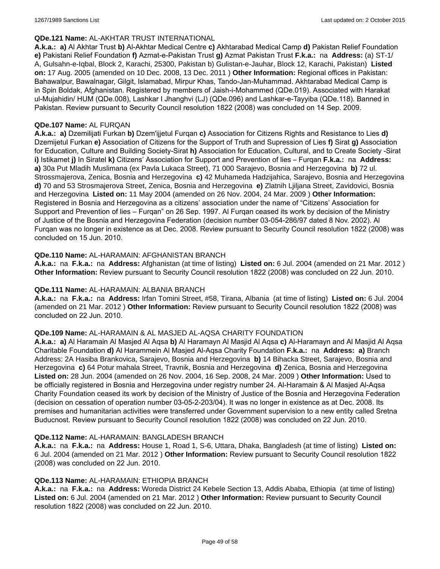### **QDe.121 Name:** AL-AKHTAR TRUST INTERNATIONAL

**A.k.a.: a)** Al Akhtar Trust **b)** Al-Akhtar Medical Centre **c)** Akhtarabad Medical Camp **d)** Pakistan Relief Foundation **e)** Pakistani Relief Foundation **f)** Azmat-e-Pakistan Trust **g)** Azmat Pakistan Trust **F.k.a.:** na **Address:** (a) ST-1/ A, Gulsahn-e-Iqbal, Block 2, Karachi, 25300, Pakistan b) Gulistan-e-Jauhar, Block 12, Karachi, Pakistan) **Listed on:** 17 Aug. 2005 (amended on 10 Dec. 2008, 13 Dec. 2011 ) **Other Information:** Regional offices in Pakistan: Bahawalpur, Bawalnagar, Gilgit, Islamabad, Mirpur Khas, Tando-Jan-Muhammad. Akhtarabad Medical Camp is in Spin Boldak, Afghanistan. Registered by members of Jaish-i-Mohammed (QDe.019). Associated with Harakat ul-Mujahidin/ HUM (QDe.008), Lashkar I Jhanghvi (LJ) (QDe.096) and Lashkar-e-Tayyiba (QDe.118). Banned in Pakistan. Review pursuant to Security Council resolution 1822 (2008) was concluded on 14 Sep. 2009.

### **QDe.107 Name:** AL FURQAN

**A.k.a.: a)** Dzemilijati Furkan **b)** Dzem'ijjetul Furqan **c)** Association for Citizens Rights and Resistance to Lies **d)** Dzemijetul Furkan **e)** Association of Citizens for the Support of Truth and Supression of Lies **f)** Sirat **g)** Association for Education, Culture and Building Society-Sirat **h)** Association for Education, Cultural, and to Create Society -Sirat **i)** Istikamet **j)** In Siratel **k)** Citizens' Association for Support and Prevention of lies – Furqan **F.k.a.:** na **Address: a)** 30a Put Mladih Muslimana (ex Pavla Lukaca Street), 71 000 Sarajevo, Bosnia and Herzegovina **b)** 72 ul. Strossmajerova, Zenica, Bosnia and Herzegovina **c)** 42 Muhameda Hadzijahica, Sarajevo, Bosnia and Herzegovina **d)** 70 and 53 Strosmajerova Street, Zenica, Bosnia and Herzegovina **e)** Zlatnih Ljiljana Street, Zavidovici, Bosnia and Herzegovina **Listed on:** 11 May 2004 (amended on 26 Nov. 2004, 24 Mar. 2009 ) **Other Information:** Registered in Bosnia and Herzegovina as a citizens' association under the name of "Citizens' Association for Support and Prevention of lies – Furqan" on 26 Sep. 1997. Al Furqan ceased its work by decision of the Ministry of Justice of the Bosnia and Herzegovina Federation (decision number 03-054-286/97 dated 8 Nov. 2002). Al Furqan was no longer in existence as at Dec. 2008. Review pursuant to Security Council resolution 1822 (2008) was concluded on 15 Jun. 2010.

### **QDe.110 Name:** AL-HARAMAIN: AFGHANISTAN BRANCH

**A.k.a.:** na **F.k.a.:** na **Address:** Afghanistan (at time of listing) **Listed on:** 6 Jul. 2004 (amended on 21 Mar. 2012 ) **Other Information:** Review pursuant to Security Council resolution 1822 (2008) was concluded on 22 Jun. 2010.

#### **QDe.111 Name:** AL-HARAMAIN: ALBANIA BRANCH

**A.k.a.:** na **F.k.a.:** na **Address:** Irfan Tomini Street, #58, Tirana, Albania (at time of listing) **Listed on:** 6 Jul. 2004 (amended on 21 Mar. 2012 ) **Other Information:** Review pursuant to Security Council resolution 1822 (2008) was concluded on 22 Jun. 2010.

#### **QDe.109 Name:** AL-HARAMAIN & AL MASJED AL-AQSA CHARITY FOUNDATION

**A.k.a.: a)** Al Haramain Al Masjed Al Aqsa **b)** Al Haramayn Al Masjid Al Aqsa **c)** Al-Haramayn and Al Masjid Al Aqsa Charitable Foundation **d)** Al Harammein Al Masjed Al-Aqsa Charity Foundation **F.k.a.:** na **Address: a)** Branch Address: 2A Hasiba Brankovica, Sarajevo, Bosnia and Herzegovina **b)** 14 Bihacka Street, Sarajevo, Bosnia and Herzegovina **c)** 64 Potur mahala Street, Travnik, Bosnia and Herzegovina **d)** Zenica, Bosnia and Herzegovina **Listed on:** 28 Jun. 2004 (amended on 26 Nov. 2004, 16 Sep. 2008, 24 Mar. 2009 ) **Other Information:** Used to be officially registered in Bosnia and Herzegovina under registry number 24. Al-Haramain & Al Masjed Al-Aqsa Charity Foundation ceased its work by decision of the Ministry of Justice of the Bosnia and Herzegovina Federation (decision on cessation of operation number 03-05-2-203/04). It was no longer in existence as at Dec. 2008. Its premises and humanitarian activities were transferred under Government supervision to a new entity called Sretna Buducnost. Review pursuant to Security Council resolution 1822 (2008) was concluded on 22 Jun. 2010.

#### **QDe.112 Name:** AL-HARAMAIN: BANGLADESH BRANCH

**A.k.a.:** na **F.k.a.:** na **Address:** House 1, Road 1, S-6, Uttara, Dhaka, Bangladesh (at time of listing) **Listed on:** 6 Jul. 2004 (amended on 21 Mar. 2012 ) **Other Information:** Review pursuant to Security Council resolution 1822 (2008) was concluded on 22 Jun. 2010.

#### **QDe.113 Name:** AL-HARAMAIN: ETHIOPIA BRANCH

**A.k.a.:** na **F.k.a.:** na **Address:** Woreda District 24 Kebele Section 13, Addis Ababa, Ethiopia (at time of listing) **Listed on:** 6 Jul. 2004 (amended on 21 Mar. 2012 ) **Other Information:** Review pursuant to Security Council resolution 1822 (2008) was concluded on 22 Jun. 2010.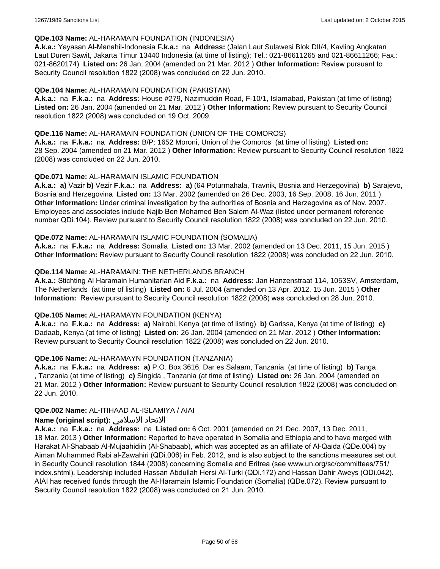### **QDe.103 Name:** AL-HARAMAIN FOUNDATION (INDONESIA)

**A.k.a.:** Yayasan Al-Manahil-Indonesia **F.k.a.:** na **Address:** (Jalan Laut Sulawesi Blok DII/4, Kavling Angkatan Laut Duren Sawit, Jakarta Timur 13440 Indonesia (at time of listing); Tel.: 021-86611265 and 021-86611266; Fax.: 021-8620174) **Listed on:** 26 Jan. 2004 (amended on 21 Mar. 2012 ) **Other Information:** Review pursuant to Security Council resolution 1822 (2008) was concluded on 22 Jun. 2010.

### **QDe.104 Name:** AL-HARAMAIN FOUNDATION (PAKISTAN)

**A.k.a.:** na **F.k.a.:** na **Address:** House #279, Nazimuddin Road, F-10/1, Islamabad, Pakistan (at time of listing) **Listed on:** 26 Jan. 2004 (amended on 21 Mar. 2012 ) **Other Information:** Review pursuant to Security Council resolution 1822 (2008) was concluded on 19 Oct. 2009.

### **QDe.116 Name:** AL-HARAMAIN FOUNDATION (UNION OF THE COMOROS)

**A.k.a.:** na **F.k.a.:** na **Address:** B/P: 1652 Moroni, Union of the Comoros (at time of listing) **Listed on:** 28 Sep. 2004 (amended on 21 Mar. 2012 ) **Other Information:** Review pursuant to Security Council resolution 1822 (2008) was concluded on 22 Jun. 2010.

### **QDe.071 Name:** AL-HARAMAIN ISLAMIC FOUNDATION

**A.k.a.: a)** Vazir **b)** Vezir **F.k.a.:** na **Address: a)** (64 Poturmahala, Travnik, Bosnia and Herzegovina) **b)** Sarajevo, Bosnia and Herzegovina **Listed on:** 13 Mar. 2002 (amended on 26 Dec. 2003, 16 Sep. 2008, 16 Jun. 2011 ) **Other Information:** Under criminal investigation by the authorities of Bosnia and Herzegovina as of Nov. 2007. Employees and associates include Najib Ben Mohamed Ben Salem Al-Waz (listed under permanent reference number QDi.104). Review pursuant to Security Council resolution 1822 (2008) was concluded on 22 Jun. 2010.

### **QDe.072 Name:** AL-HARAMAIN ISLAMIC FOUNDATION (SOMALIA)

**A.k.a.:** na **F.k.a.:** na **Address:** Somalia **Listed on:** 13 Mar. 2002 (amended on 13 Dec. 2011, 15 Jun. 2015 ) **Other Information:** Review pursuant to Security Council resolution 1822 (2008) was concluded on 22 Jun. 2010.

### **QDe.114 Name:** AL-HARAMAIN: THE NETHERLANDS BRANCH

**A.k.a.:** Stichting Al Haramain Humanitarian Aid **F.k.a.:** na **Address:** Jan Hanzenstraat 114, 1053SV, Amsterdam, The Netherlands (at time of listing) **Listed on:** 6 Jul. 2004 (amended on 13 Apr. 2012, 15 Jun. 2015 ) **Other Information:** Review pursuant to Security Council resolution 1822 (2008) was concluded on 28 Jun. 2010.

#### **QDe.105 Name:** AL-HARAMAYN FOUNDATION (KENYA)

**A.k.a.:** na **F.k.a.:** na **Address: a)** Nairobi, Kenya (at time of listing) **b)** Garissa, Kenya (at time of listing) **c)** Dadaab, Kenya (at time of listing) **Listed on:** 26 Jan. 2004 (amended on 21 Mar. 2012 ) **Other Information:** Review pursuant to Security Council resolution 1822 (2008) was concluded on 22 Jun. 2010.

#### **QDe.106 Name:** AL-HARAMAYN FOUNDATION (TANZANIA)

**A.k.a.:** na **F.k.a.:** na **Address: a)** P.O. Box 3616, Dar es Salaam, Tanzania (at time of listing) **b)** Tanga , Tanzania (at time of listing) **c)** Singida , Tanzania (at time of listing) **Listed on:** 26 Jan. 2004 (amended on 21 Mar. 2012 ) **Other Information:** Review pursuant to Security Council resolution 1822 (2008) was concluded on 22 Jun. 2010.

#### **QDe.002 Name:** AL-ITIHAAD AL-ISLAMIYA / AIAI

# **Name (original script):** الاسلامي الاتحاد

**A.k.a.:** na **F.k.a.:** na **Address:** na **Listed on:** 6 Oct. 2001 (amended on 21 Dec. 2007, 13 Dec. 2011, 18 Mar. 2013 ) **Other Information:** Reported to have operated in Somalia and Ethiopia and to have merged with Harakat Al-Shabaab Al-Mujaahidiin (Al-Shabaab), which was accepted as an affiliate of Al-Qaida (QDe.004) by Aiman Muhammed Rabi al-Zawahiri (QDi.006) in Feb. 2012, and is also subject to the sanctions measures set out in Security Council resolution 1844 (2008) concerning Somalia and Eritrea (see www.un.org/sc/committees/751/ index.shtml). Leadership included Hassan Abdullah Hersi Al-Turki (QDi.172) and Hassan Dahir Aweys (QDi.042). AIAI has received funds through the Al-Haramain Islamic Foundation (Somalia) (QDe.072). Review pursuant to Security Council resolution 1822 (2008) was concluded on 21 Jun. 2010.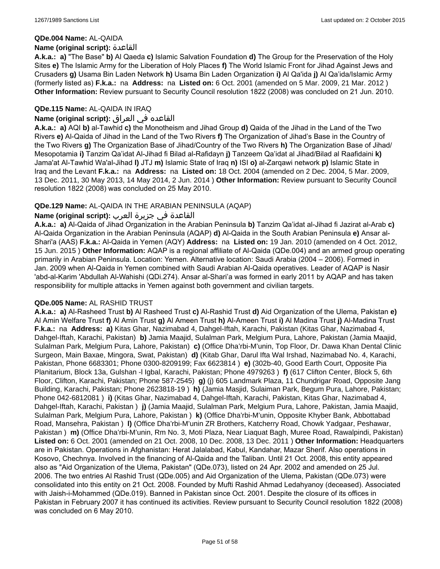#### **QDe.004 Name:** AL-QAIDA

#### **Name (original script):** القاعدة

**A.k.a.: a)** "The Base" **b)** Al Qaeda **c)** Islamic Salvation Foundation **d)** The Group for the Preservation of the Holy Sites **e)** The Islamic Army for the Liberation of Holy Places **f)** The World Islamic Front for Jihad Against Jews and Crusaders **g)** Usama Bin Laden Network **h)** Usama Bin Laden Organization **i)** Al Qa'ida **j)** Al Qa'ida/Islamic Army (formerly listed as) **F.k.a.:** na **Address:** na **Listed on:** 6 Oct. 2001 (amended on 5 Mar. 2009, 21 Mar. 2012 ) **Other Information:** Review pursuant to Security Council resolution 1822 (2008) was concluded on 21 Jun. 2010.

### **QDe.115 Name:** AL-QAIDA IN IRAQ

### القاعده في العراق **:(script original (Name**

**A.k.a.: a)** AQI **b)** al-Tawhid **c)** the Monotheism and Jihad Group **d)** Qaida of the Jihad in the Land of the Two Rivers **e)** Al-Qaida of Jihad in the Land of the Two Rivers **f)** The Organization of Jihad's Base in the Country of the Two Rivers **g)** The Organization Base of Jihad/Country of the Two Rivers **h)** The Organization Base of Jihad/ Mesopotamia **i)** Tanzim Qa'idat Al-Jihad fi Bilad al-Rafidayn **j)** Tanzeem Qa'idat al Jihad/Bilad al Raafidaini **k)** Jama'at Al-Tawhid Wa'al-Jihad **l)** JTJ **m)** Islamic State of Iraq **n)** ISI **o)** al-Zarqawi network **p)** Islamic State in Iraq and the Levant **F.k.a.:** na **Address:** na **Listed on:** 18 Oct. 2004 (amended on 2 Dec. 2004, 5 Mar. 2009, 13 Dec. 2011, 30 May 2013, 14 May 2014, 2 Jun. 2014 ) **Other Information:** Review pursuant to Security Council resolution 1822 (2008) was concluded on 25 May 2010.

### **QDe.129 Name:** AL-QAIDA IN THE ARABIAN PENINSULA (AQAP)

### القاعدة في جزيرة العرب **:(script original (Name**

**A.k.a.: a)** Al-Qaida of Jihad Organization in the Arabian Peninsula **b)** Tanzim Qa'idat al-Jihad fi Jazirat al-Arab **c)** Al-Qaida Organization in the Arabian Peninsula (AQAP) **d)** Al-Qaida in the South Arabian Peninsula **e)** Ansar al-Shari'a (AAS) **F.k.a.:** Al-Qaida in Yemen (AQY) **Address:** na **Listed on:** 19 Jan. 2010 (amended on 4 Oct. 2012, 15 Jun. 2015 ) **Other Information:** AQAP is a regional affiliate of Al-Qaida (QDe.004) and an armed group operating primarily in Arabian Peninsula. Location: Yemen. Alternative location: Saudi Arabia (2004 – 2006). Formed in Jan. 2009 when Al-Qaida in Yemen combined with Saudi Arabian Al-Qaida operatives. Leader of AQAP is Nasir 'abd-al-Karim 'Abdullah Al-Wahishi (QDi.274). Ansar al-Shari'a was formed in early 2011 by AQAP and has taken responsibility for multiple attacks in Yemen against both government and civilian targets.

#### **QDe.005 Name:** AL RASHID TRUST

**A.k.a.: a)** Al-Rasheed Trust **b)** Al Rasheed Trust **c)** Al-Rashid Trust **d)** Aid Organization of the Ulema, Pakistan **e)** Al Amin Welfare Trust **f)** Al Amin Trust **g)** Al Ameen Trust **h)** Al-Ameen Trust **i)** Al Madina Trust **j)** Al-Madina Trust **F.k.a.:** na **Address: a)** Kitas Ghar, Nazimabad 4, Dahgel-Iftah, Karachi, Pakistan (Kitas Ghar, Nazimabad 4, Dahgel-Iftah, Karachi, Pakistan) **b)** Jamia Maajid, Sulalman Park, Melgium Pura, Lahore, Pakistan (Jamia Maajid, Sulalman Park, Melgium Pura, Lahore, Pakistan) **c)** (Office Dha'rbi-M'unin, Top Floor, Dr. Dawa Khan Dental Clinic Surgeon, Main Baxae, Mingora, Swat, Pakistan) **d)** (Kitab Ghar, Darul Ifta Wal Irshad, Nazimabad No. 4, Karachi, Pakistan, Phone 6683301; Phone 0300-8209199; Fax 6623814 ) **e)** (302b-40, Good Earth Court, Opposite Pia Planitarium, Block 13a, Gulshan -l Igbal, Karachi, Pakistan; Phone 4979263 ) **f)** (617 Clifton Center, Block 5, 6th Floor, Clifton, Karachi, Pakistan; Phone 587-2545) **g)** (j) 605 Landmark Plaza, 11 Chundrigar Road, Opposite Jang Building, Karachi, Pakistan; Phone 2623818-19 ) **h)** (Jamia Masjid, Sulaiman Park, Begum Pura, Lahore, Pakistan; Phone 042-6812081 ) **i)** (Kitas Ghar, Nazimabad 4, Dahgel-Iftah, Karachi, Pakistan, Kitas Ghar, Nazimabad 4, Dahgel-Iftah, Karachi, Pakistan ) **j)** (Jamia Maajid, Sulalman Park, Melgium Pura, Lahore, Pakistan, Jamia Maajid, Sulalman Park, Melgium Pura, Lahore, Pakistan ) **k)** (Office Dha'rbi-M'unin, Opposite Khyber Bank, Abbottabad Road, Mansehra, Pakistan ) **l)** (Office Dha'rbi-M'unin ZR Brothers, Katcherry Road, Chowk Yadgaar, Peshawar, Pakistan ) **m)** (Office Dha'rbi-M'unin, Rm No. 3, Moti Plaza, Near Liaquat Bagh, Muree Road, Rawalpindi, Pakistan) **Listed on:** 6 Oct. 2001 (amended on 21 Oct. 2008, 10 Dec. 2008, 13 Dec. 2011 ) **Other Information:** Headquarters are in Pakistan. Operations in Afghanistan: Herat Jalalabad, Kabul, Kandahar, Mazar Sherif. Also operations in Kosovo, Chechnya. Involved in the financing of Al-Qaida and the Taliban. Until 21 Oct. 2008, this entity appeared also as "Aid Organization of the Ulema, Pakistan" (QDe.073), listed on 24 Apr. 2002 and amended on 25 Jul. 2006. The two entries Al Rashid Trust (QDe.005) and Aid Organization of the Ulema, Pakistan (QDe.073) were consolidated into this entity on 21 Oct. 2008. Founded by Mufti Rashid Ahmad Ledahyanoy (deceased). Associated with Jaish-i-Mohammed (QDe.019). Banned in Pakistan since Oct. 2001. Despite the closure of its offices in Pakistan in February 2007 it has continued its activities. Review pursuant to Security Council resolution 1822 (2008) was concluded on 6 May 2010.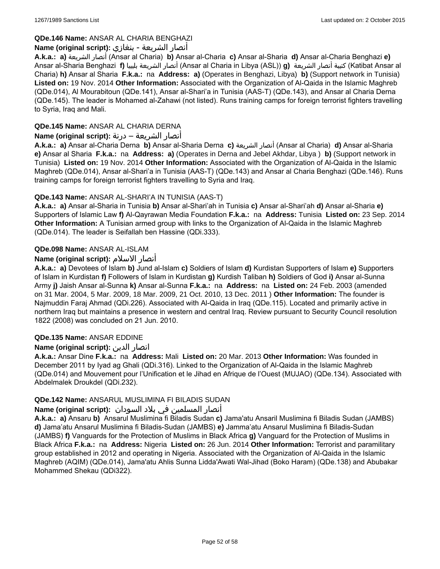# **QDe.146 Name:** ANSAR AL CHARIA BENGHAZI

# أنصار الشريعة - بنغازي **:(script original (Name**

**A.k.a.: a)** الشريعة أنصار) Ansar al Charia) **b)** Ansar al-Charia **c)** Ansar al-Sharia **d)** Ansar al-Charia Benghazi **e)** Ansar al-Sharia Benghazi **f)** بليبيا الشريعة أنصار) Ansar al Charia in Libya (ASL)) **g)** الشريعة أنصار كتيبة) Katibat Ansar al Charia) **h)** Ansar al Sharia **F.k.a.:** na **Address: a)** (Operates in Benghazi, Libya) **b)** (Support network in Tunisia) **Listed on:** 19 Nov. 2014 **Other Information:** Associated with the Organization of Al-Qaida in the Islamic Maghreb (QDe.014), Al Mourabitoun (QDe.141), Ansar al-Shari'a in Tunisia (AAS-T) (QDe.143), and Ansar al Charia Derna (QDe.145). The leader is Mohamed al-Zahawi (not listed). Runs training camps for foreign terrorist fighters travelling to Syria, Iraq and Mali.

# **QDe.145 Name:** ANSAR AL CHARIA DERNA

# أنصار الشريعة – درنة **:(script original (Name**

**A.k.a.: a)** Ansar al-Charia Derna **b)** Ansar al-Sharia Derna **c)** الشريعة أنصار) Ansar al Charia) **d)** Ansar al-Sharia **e)** Ansar al Sharia **F.k.a.:** na **Address: a)** (Operates in Derna and Jebel Akhdar, Libya ) **b)** (Support network in Tunisia) **Listed on:** 19 Nov. 2014 **Other Information:** Associated with the Organization of Al-Qaida in the Islamic Maghreb (QDe.014), Ansar al-Shari'a in Tunisia (AAS-T) (QDe.143) and Ansar al Charia Benghazi (QDe.146). Runs training camps for foreign terrorist fighters travelling to Syria and Iraq.

# **QDe.143 Name:** ANSAR AL-SHARI'A IN TUNISIA (AAS-T)

**A.k.a.: a)** Ansar al-Sharia in Tunisia **b)** Ansar al-Shari'ah in Tunisia **c)** Ansar al-Shari'ah **d)** Ansar al-Sharia **e)** Supporters of Islamic Law **f)** Al-Qayrawan Media Foundation **F.k.a.:** na **Address:** Tunisia **Listed on:** 23 Sep. 2014 **Other Information:** A Tunisian armed group with links to the Organization of Al-Qaida in the Islamic Maghreb (QDe.014). The leader is Seifallah ben Hassine (QDi.333).

# **QDe.098 Name:** ANSAR AL-ISLAM

# **Name (original script):** الاسلام أنصار

**A.k.a.: a)** Devotees of Islam **b)** Jund al-Islam **c)** Soldiers of Islam **d)** Kurdistan Supporters of Islam **e)** Supporters of Islam in Kurdistan **f)** Followers of Islam in Kurdistan **g)** Kurdish Taliban **h)** Soldiers of God **i)** Ansar al-Sunna Army **j)** Jaish Ansar al-Sunna **k)** Ansar al-Sunna **F.k.a.:** na **Address:** na **Listed on:** 24 Feb. 2003 (amended on 31 Mar. 2004, 5 Mar. 2009, 18 Mar. 2009, 21 Oct. 2010, 13 Dec. 2011 ) **Other Information:** The founder is Najmuddin Faraj Ahmad (QDi.226). Associated with Al-Qaida in Iraq (QDe.115). Located and primarily active in northern Iraq but maintains a presence in western and central Iraq. Review pursuant to Security Council resolution 1822 (2008) was concluded on 21 Jun. 2010.

# **QDe.135 Name:** ANSAR EDDINE

# **Name (original script):** الدين انصار

**A.k.a.:** Ansar Dine **F.k.a.:** na **Address:** Mali **Listed on:** 20 Mar. 2013 **Other Information:** Was founded in December 2011 by Iyad ag Ghali (QDi.316). Linked to the Organization of Al-Qaida in the Islamic Maghreb (QDe.014) and Mouvement pour l'Unification et le Jihad en Afrique de l'Ouest (MUJAO) (QDe.134). Associated with Abdelmalek Droukdel (QDi.232).

# **QDe.142 Name:** ANSARUL MUSLIMINA FI BILADIS SUDAN

# أنصار المسلمین في بلاد السودان **:(script original (Name**

**A.k.a.: a)** Ansaru **b)** Ansarul Muslimina fi Biladis Sudan **c)** Jama'atu Ansaril Muslimina fi Biladis Sudan (JAMBS) **d)** Jama'atu Ansarul Muslimina fi Biladis-Sudan (JAMBS) **e)** Jamma'atu Ansarul Muslimina fi Biladis-Sudan (JAMBS) **f)** Vanguards for the Protection of Muslims in Black Africa **g)** Vanguard for the Protection of Muslims in Black Africa **F.k.a.:** na **Address:** Nigeria **Listed on:** 26 Jun. 2014 **Other Information:** Terrorist and paramilitary group established in 2012 and operating in Nigeria. Associated with the Organization of Al-Qaida in the Islamic Maghreb (AQIM) (QDe.014), Jama'atu Ahlis Sunna Lidda'Awati Wal-Jihad (Boko Haram) (QDe.138) and Abubakar Mohammed Shekau (QDi322).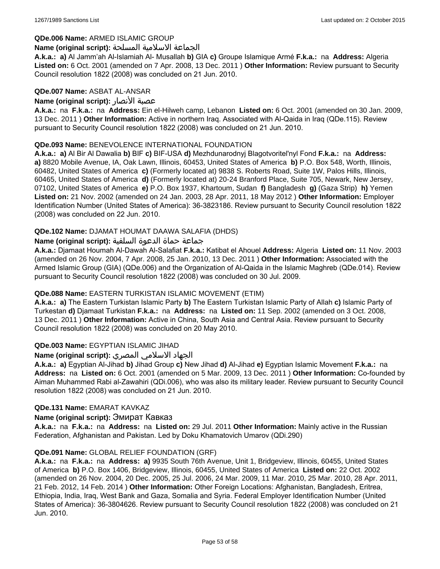### **QDe.006 Name:** ARMED ISLAMIC GROUP

#### الجماعة الاسلامية المسلحة **:(script original (Name**

**A.k.a.: a)** Al Jamm'ah Al-Islamiah Al- Musallah **b)** GIA **c)** Groupe Islamique Armé **F.k.a.:** na **Address:** Algeria **Listed on:** 6 Oct. 2001 (amended on 7 Apr. 2008, 13 Dec. 2011 ) **Other Information:** Review pursuant to Security Council resolution 1822 (2008) was concluded on 21 Jun. 2010.

#### **QDe.007 Name:** ASBAT AL-ANSAR

### **Name (original script):** الأنصار عصبة

**A.k.a.:** na **F.k.a.:** na **Address:** Ein el-Hilweh camp, Lebanon **Listed on:** 6 Oct. 2001 (amended on 30 Jan. 2009, 13 Dec. 2011 ) **Other Information:** Active in northern Iraq. Associated with Al-Qaida in Iraq (QDe.115). Review pursuant to Security Council resolution 1822 (2008) was concluded on 21 Jun. 2010.

### **QDe.093 Name:** BENEVOLENCE INTERNATIONAL FOUNDATION

**A.k.a.: a)** Al Bir Al Dawalia **b)** BIF **c)** BIF-USA **d)** Mezhdunarodnyj Blagotvoritel'nyl Fond **F.k.a.:** na **Address: a)** 8820 Mobile Avenue, IA, Oak Lawn, Illinois, 60453, United States of America **b)** P.O. Box 548, Worth, Illinois, 60482, United States of America **c)** (Formerly located at) 9838 S. Roberts Road, Suite 1W, Palos Hills, Illinois, 60465, United States of America **d)** (Formerly located at) 20-24 Branford Place, Suite 705, Newark, New Jersey, 07102, United States of America **e)** P.O. Box 1937, Khartoum, Sudan **f)** Bangladesh **g)** (Gaza Strip) **h)** Yemen **Listed on:** 21 Nov. 2002 (amended on 24 Jan. 2003, 28 Apr. 2011, 18 May 2012 ) **Other Information:** Employer Identification Number (United States of America): 36-3823186. Review pursuant to Security Council resolution 1822 (2008) was concluded on 22 Jun. 2010.

### **QDe.102 Name:** DJAMAT HOUMAT DAAWA SALAFIA (DHDS)

### جماعة حماة الدعوة السلفية **:(script original (Name**

**A.k.a.:** Djamaat Houmah Al-Dawah Al-Salafiat **F.k.a.:** Katibat el Ahouel **Address:** Algeria **Listed on:** 11 Nov. 2003 (amended on 26 Nov. 2004, 7 Apr. 2008, 25 Jan. 2010, 13 Dec. 2011 ) **Other Information:** Associated with the Armed Islamic Group (GIA) (QDe.006) and the Organization of Al-Qaida in the Islamic Maghreb (QDe.014). Review pursuant to Security Council resolution 1822 (2008) was concluded on 30 Jul. 2009.

# **QDe.088 Name:** EASTERN TURKISTAN ISLAMIC MOVEMENT (ETIM)

**A.k.a.: a)** The Eastern Turkistan Islamic Party **b)** The Eastern Turkistan Islamic Party of Allah **c)** Islamic Party of Turkestan **d)** Djamaat Turkistan **F.k.a.:** na **Address:** na **Listed on:** 11 Sep. 2002 (amended on 3 Oct. 2008, 13 Dec. 2011 ) **Other Information:** Active in China, South Asia and Central Asia. Review pursuant to Security Council resolution 1822 (2008) was concluded on 20 May 2010.

# **QDe.003 Name:** EGYPTIAN ISLAMIC JIHAD

# الجهاد الاسلامي المصري **:(script original (Name**

**A.k.a.: a)** Egyptian Al-Jihad **b)** Jihad Group **c)** New Jihad **d)** Al-Jihad **e)** Egyptian Islamic Movement **F.k.a.:** na **Address:** na **Listed on:** 6 Oct. 2001 (amended on 5 Mar. 2009, 13 Dec. 2011 ) **Other Information:** Co-founded by Aiman Muhammed Rabi al-Zawahiri (QDi.006), who was also its military leader. Review pursuant to Security Council resolution 1822 (2008) was concluded on 21 Jun. 2010.

#### **QDe.131 Name:** EMARAT KAVKAZ

#### **Name (original script):** Эмират Кавказ

**A.k.a.:** na **F.k.a.:** na **Address:** na **Listed on:** 29 Jul. 2011 **Other Information:** Mainly active in the Russian Federation, Afghanistan and Pakistan. Led by Doku Khamatovich Umarov (QDi.290)

#### **QDe.091 Name:** GLOBAL RELIEF FOUNDATION (GRF)

**A.k.a.:** na **F.k.a.:** na **Address: a)** 9935 South 76th Avenue, Unit 1, Bridgeview, Illinois, 60455, United States of America **b)** P.O. Box 1406, Bridgeview, Illinois, 60455, United States of America **Listed on:** 22 Oct. 2002 (amended on 26 Nov. 2004, 20 Dec. 2005, 25 Jul. 2006, 24 Mar. 2009, 11 Mar. 2010, 25 Mar. 2010, 28 Apr. 2011, 21 Feb. 2012, 14 Feb. 2014 ) **Other Information:** Other Foreign Locations: Afghanistan, Bangladesh, Eritrea, Ethiopia, India, Iraq, West Bank and Gaza, Somalia and Syria. Federal Employer Identification Number (United States of America): 36-3804626. Review pursuant to Security Council resolution 1822 (2008) was concluded on 21 Jun. 2010.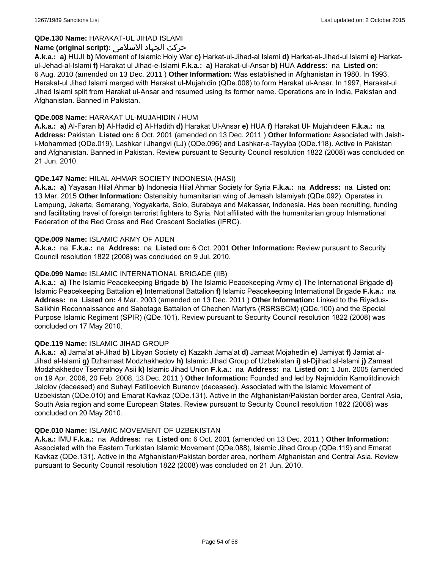## **QDe.130 Name:** HARAKAT-UL JIHAD ISLAMI

## حرکت الجہاد الاسلامی **:(script original (Name**

**A.k.a.: a)** HUJI **b)** Movement of Islamic Holy War **c)** Harkat-ul-Jihad-al Islami **d)** Harkat-al-Jihad-ul Islami **e)** Harkatul-Jehad-al-Islami **f)** Harakat ul Jihad-e-Islami **F.k.a.: a)** Harakat-ul-Ansar **b)** HUA **Address:** na **Listed on:** 6 Aug. 2010 (amended on 13 Dec. 2011 ) **Other Information:** Was established in Afghanistan in 1980. In 1993, Harakat-ul Jihad Islami merged with Harakat ul-Mujahidin (QDe.008) to form Harakat ul-Ansar. In 1997, Harakat-ul Jihad Islami split from Harakat ul-Ansar and resumed using its former name. Operations are in India, Pakistan and Afghanistan. Banned in Pakistan.

### **QDe.008 Name:** HARAKAT UL-MUJAHIDIN / HUM

**A.k.a.: a)** Al-Faran **b)** Al-Hadid **c)** Al-Hadith **d)** Harakat Ul-Ansar **e)** HUA **f)** Harakat Ul- Mujahideen **F.k.a.:** na **Address:** Pakistan **Listed on:** 6 Oct. 2001 (amended on 13 Dec. 2011 ) **Other Information:** Associated with Jaishi-Mohammed (QDe.019), Lashkar i Jhangvi (LJ) (QDe.096) and Lashkar-e-Tayyiba (QDe.118). Active in Pakistan and Afghanistan. Banned in Pakistan. Review pursuant to Security Council resolution 1822 (2008) was concluded on 21 Jun. 2010.

# **QDe.147 Name:** HILAL AHMAR SOCIETY INDONESIA (HASI)

**A.k.a.: a)** Yayasan Hilal Ahmar **b)** Indonesia Hilal Ahmar Society for Syria **F.k.a.:** na **Address:** na **Listed on:** 13 Mar. 2015 **Other Information:** Ostensibly humanitarian wing of Jemaah Islamiyah (QDe.092). Operates in Lampung, Jakarta, Semarang, Yogyakarta, Solo, Surabaya and Makassar, Indonesia. Has been recruiting, funding and facilitating travel of foreign terrorist fighters to Syria. Not affiliated with the humanitarian group International Federation of the Red Cross and Red Crescent Societies (IFRC).

#### **QDe.009 Name:** ISLAMIC ARMY OF ADEN

**A.k.a.:** na **F.k.a.:** na **Address:** na **Listed on:** 6 Oct. 2001 **Other Information:** Review pursuant to Security Council resolution 1822 (2008) was concluded on 9 Jul. 2010.

### **QDe.099 Name:** ISLAMIC INTERNATIONAL BRIGADE (IIB)

**A.k.a.: a)** The Islamic Peacekeeping Brigade **b)** The Islamic Peacekeeping Army **c)** The International Brigade **d)** Islamic Peacekeeping Battalion **e)** International Battalion **f)** Islamic Peacekeeping International Brigade **F.k.a.:** na **Address:** na **Listed on:** 4 Mar. 2003 (amended on 13 Dec. 2011 ) **Other Information:** Linked to the Riyadus-Salikhin Reconnaissance and Sabotage Battalion of Chechen Martyrs (RSRSBCM) (QDe.100) and the Special Purpose Islamic Regiment (SPIR) (QDe.101). Review pursuant to Security Council resolution 1822 (2008) was concluded on 17 May 2010.

#### **QDe.119 Name:** ISLAMIC JIHAD GROUP

**A.k.a.: a)** Jama'at al-Jihad **b)** Libyan Society **c)** Kazakh Jama'at **d)** Jamaat Mojahedin **e)** Jamiyat **f)** Jamiat al-Jihad al-Islami **g)** Dzhamaat Modzhakhedov **h)** Islamic Jihad Group of Uzbekistan **i)** al-Djihad al-Islami **j)** Zamaat Modzhakhedov Tsentralnoy Asii **k)** Islamic Jihad Union **F.k.a.:** na **Address:** na **Listed on:** 1 Jun. 2005 (amended on 19 Apr. 2006, 20 Feb. 2008, 13 Dec. 2011 ) **Other Information:** Founded and led by Najmiddin Kamolitdinovich Jalolov (deceased) and Suhayl Fatilloevich Buranov (deceased). Associated with the Islamic Movement of Uzbekistan (QDe.010) and Emarat Kavkaz (QDe.131). Active in the Afghanistan/Pakistan border area, Central Asia, South Asia region and some European States. Review pursuant to Security Council resolution 1822 (2008) was concluded on 20 May 2010.

#### **QDe.010 Name:** ISLAMIC MOVEMENT OF UZBEKISTAN

**A.k.a.:** IMU **F.k.a.:** na **Address:** na **Listed on:** 6 Oct. 2001 (amended on 13 Dec. 2011 ) **Other Information:** Associated with the Eastern Turkistan Islamic Movement (QDe.088), Islamic Jihad Group (QDe.119) and Emarat Kavkaz (QDe.131). Active in the Afghanistan/Pakistan border area, northern Afghanistan and Central Asia. Review pursuant to Security Council resolution 1822 (2008) was concluded on 21 Jun. 2010.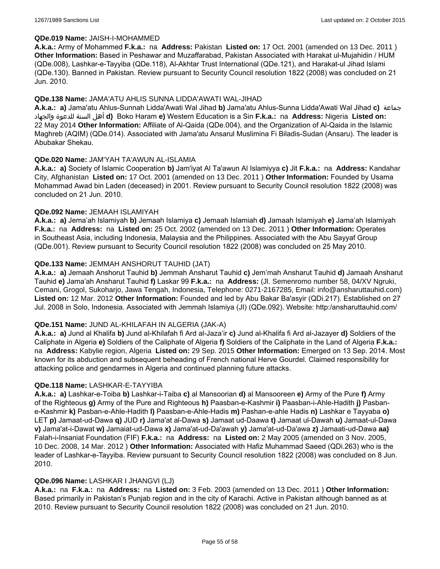### **QDe.019 Name:** JAISH-I-MOHAMMED

**A.k.a.:** Army of Mohammed **F.k.a.:** na **Address:** Pakistan **Listed on:** 17 Oct. 2001 (amended on 13 Dec. 2011 ) **Other Information:** Based in Peshawar and Muzaffarabad, Pakistan Associated with Harakat ul-Mujahidin / HUM (QDe.008), Lashkar-e-Tayyiba (QDe.118), Al-Akhtar Trust International (QDe.121), and Harakat-ul Jihad Islami (QDe.130). Banned in Pakistan. Review pursuant to Security Council resolution 1822 (2008) was concluded on 21 Jun. 2010.

### **QDe.138 Name:** JAMA'ATU AHLIS SUNNA LIDDA'AWATI WAL-JIHAD

**A.k.a.: a)** Jama'atu Ahlus-Sunnah Lidda'Awati Wal Jihad **b)** Jama'atu Ahlus-Sunna Lidda'Awati Wal Jihad **c)** جماعة والجهاد للدعوة السنة أهل **d)** Boko Haram **e)** Western Education is a Sin **F.k.a.:** na **Address:** Nigeria **Listed on:** 22 May 2014 **Other Information:** Affiliate of Al-Qaida (QDe.004), and the Organization of Al-Qaida in the Islamic Maghreb (AQIM) (QDe.014). Associated with Jama'atu Ansarul Muslimina Fi Biladis-Sudan (Ansaru). The leader is Abubakar Shekau.

### **QDe.020 Name:** JAM'YAH TA'AWUN AL-ISLAMIA

**A.k.a.: a)** Society of Islamic Cooperation **b)** Jam'iyat Al Ta'awun Al Islamiyya **c)** Jit **F.k.a.:** na **Address:** Kandahar City, Afghanistan **Listed on:** 17 Oct. 2001 (amended on 13 Dec. 2011 ) **Other Information:** Founded by Usama Mohammad Awad bin Laden (deceased) in 2001. Review pursuant to Security Council resolution 1822 (2008) was concluded on 21 Jun. 2010.

### **QDe.092 Name:** JEMAAH ISLAMIYAH

**A.k.a.: a)** Jema'ah Islamiyah **b)** Jemaah Islamiya **c)** Jemaah Islamiah **d)** Jamaah Islamiyah **e)** Jama'ah Islamiyah **F.k.a.:** na **Address:** na **Listed on:** 25 Oct. 2002 (amended on 13 Dec. 2011 ) **Other Information:** Operates in Southeast Asia, including Indonesia, Malaysia and the Philippines. Associated with the Abu Sayyaf Group (QDe.001). Review pursuant to Security Council resolution 1822 (2008) was concluded on 25 May 2010.

### **QDe.133 Name:** JEMMAH ANSHORUT TAUHID (JAT)

**A.k.a.: a)** Jemaah Anshorut Tauhid **b)** Jemmah Ansharut Tauhid **c)** Jem'mah Ansharut Tauhid **d)** Jamaah Ansharut Tauhid **e)** Jama'ah Ansharut Tauhid **f)** Laskar 99 **F.k.a.:** na **Address:** (Jl. Semenromo number 58, 04/XV Ngruki, Cemani, Grogol, Sukoharjo, Jawa Tengah, Indonesia, Telephone: 0271-2167285, Email: info@ansharuttauhid.com) **Listed on:** 12 Mar. 2012 **Other Information:** Founded and led by Abu Bakar Ba'asyir (QDi.217). Established on 27 Jul. 2008 in Solo, Indonesia. Associated with Jemmah Islamiya (JI) (QDe.092). Website: http:/ansharuttauhid.com/

#### **QDe.151 Name:** JUND AL-KHILAFAH IN ALGERIA (JAK-A)

**A.k.a.: a)** Jund al Khalifa **b)** Jund al-Khilafah fi Ard al-Jaza'ir **c)** Jund al-Khalifa fi Ard al-Jazayer **d)** Soldiers of the Caliphate in Algeria **e)** Soldiers of the Caliphate of Algeria **f)** Soldiers of the Caliphate in the Land of Algeria **F.k.a.:**  na **Address:** Kabylie region, Algeria **Listed on:** 29 Sep. 2015 **Other Information:** Emerged on 13 Sep. 2014. Most known for its abduction and subsequent beheading of French national Herve Gourdel. Claimed responsibility for attacking police and gendarmes in Algeria and continued planning future attacks.

#### **QDe.118 Name:** LASHKAR-E-TAYYIBA

**A.k.a.: a)** Lashkar-e-Toiba **b)** Lashkar-i-Taiba **c)** al Mansoorian **d)** al Mansooreen **e)** Army of the Pure **f)** Army of the Righteous **g)** Army of the Pure and Righteous **h)** Paasban-e-Kashmir **i)** Paasban-i-Ahle-Hadith **j)** Pasbane-Kashmir **k)** Pasban-e-Ahle-Hadith **l)** Paasban-e-Ahle-Hadis **m)** Pashan-e-ahle Hadis **n)** Lashkar e Tayyaba **o)** LET **p)** Jamaat-ud-Dawa **q)** JUD **r)** Jama'at al-Dawa **s)** Jamaat ud-Daawa **t)** Jamaat ul-Dawah **u)** Jamaat-ul-Dawa **v)** Jama'at-i-Dawat **w)** Jamaiat-ud-Dawa **x)** Jama'at-ud-Da'awah **y)** Jama'at-ud-Da'awa **z)** Jamaati-ud-Dawa **aa)** Falah-i-Insaniat Foundation (FIF) **F.k.a.:** na **Address:** na **Listed on:** 2 May 2005 (amended on 3 Nov. 2005, 10 Dec. 2008, 14 Mar. 2012 ) **Other Information:** Associated with Hafiz Muhammad Saeed (QDi.263) who is the leader of Lashkar-e-Tayyiba. Review pursuant to Security Council resolution 1822 (2008) was concluded on 8 Jun. 2010.

#### **QDe.096 Name:** LASHKAR I JHANGVI (LJ)

**A.k.a.:** na **F.k.a.:** na **Address:** na **Listed on:** 3 Feb. 2003 (amended on 13 Dec. 2011 ) **Other Information:** Based primarily in Pakistan's Punjab region and in the city of Karachi. Active in Pakistan although banned as at 2010. Review pursuant to Security Council resolution 1822 (2008) was concluded on 21 Jun. 2010.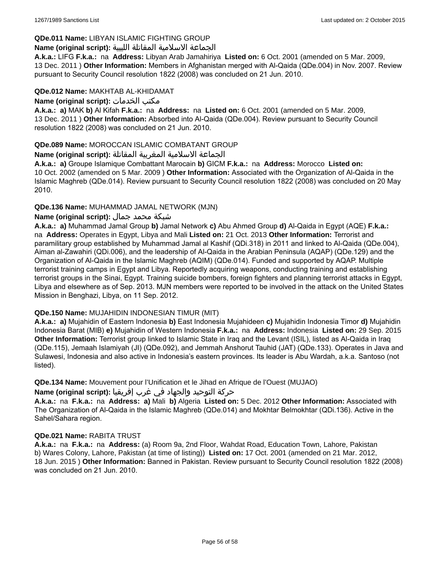# **QDe.011 Name:** LIBYAN ISLAMIC FIGHTING GROUP

# الجماعة الاسلامية المقاتلة الليبية **:(script original (Name**

**A.k.a.:** LIFG **F.k.a.:** na **Address:** Libyan Arab Jamahiriya **Listed on:** 6 Oct. 2001 (amended on 5 Mar. 2009, 13 Dec. 2011 ) **Other Information:** Members in Afghanistan merged with Al-Qaida (QDe.004) in Nov. 2007. Review pursuant to Security Council resolution 1822 (2008) was concluded on 21 Jun. 2010.

## **QDe.012 Name:** MAKHTAB AL-KHIDAMAT

**Name (original script):** الخدمات مكتب

**A.k.a.: a)** MAK **b)** Al Kifah **F.k.a.:** na **Address:** na **Listed on:** 6 Oct. 2001 (amended on 5 Mar. 2009, 13 Dec. 2011 ) **Other Information:** Absorbed into Al-Qaida (QDe.004). Review pursuant to Security Council resolution 1822 (2008) was concluded on 21 Jun. 2010.

# **QDe.089 Name:** MOROCCAN ISLAMIC COMBATANT GROUP

# الجماعة الاسلامية المغربية المقاتلة **:(script original (Name**

**A.k.a.: a)** Groupe Islamique Combattant Marocain **b)** GICM **F.k.a.:** na **Address:** Morocco **Listed on:** 10 Oct. 2002 (amended on 5 Mar. 2009 ) **Other Information:** Associated with the Organization of Al-Qaida in the Islamic Maghreb (QDe.014). Review pursuant to Security Council resolution 1822 (2008) was concluded on 20 May 2010.

# **QDe.136 Name:** MUHAMMAD JAMAL NETWORK (MJN)

# شبكة محمد جمال **:(script original (Name**

**A.k.a.: a)** Muhammad Jamal Group **b)** Jamal Network **c)** Abu Ahmed Group **d)** Al-Qaida in Egypt (AQE) **F.k.a.:**  na **Address:** Operates in Egypt, Libya and Mali **Listed on:** 21 Oct. 2013 **Other Information:** Terrorist and paramilitary group established by Muhammad Jamal al Kashif (QDi.318) in 2011 and linked to Al-Qaida (QDe.004), Aiman al-Zawahiri (QDi.006), and the leadership of Al-Qaida in the Arabian Peninsula (AQAP) (QDe.129) and the Organization of Al-Qaida in the Islamic Maghreb (AQIM) (QDe.014). Funded and supported by AQAP. Multiple terrorist training camps in Egypt and Libya. Reportedly acquiring weapons, conducting training and establishing terrorist groups in the Sinai, Egypt. Training suicide bombers, foreign fighters and planning terrorist attacks in Egypt, Libya and elsewhere as of Sep. 2013. MJN members were reported to be involved in the attack on the United States Mission in Benghazi, Libya, on 11 Sep. 2012.

# **QDe.150 Name:** MUJAHIDIN INDONESIAN TIMUR (MIT)

**A.k.a.: a)** Mujahidin of Eastern Indonesia **b)** East Indonesia Mujahideen **c)** Mujahidin Indonesia Timor **d)** Mujahidin Indonesia Barat (MIB) **e)** Mujahidin of Western Indonesia **F.k.a.:** na **Address:** Indonesia **Listed on:** 29 Sep. 2015 **Other Information:** Terrorist group linked to Islamic State in Iraq and the Levant (ISIL), listed as Al-Qaida in Iraq (QDe.115), Jemaah Islamiyah (JI) (QDe.092), and Jemmah Anshorut Tauhid (JAT) (QDe.133). Operates in Java and Sulawesi, Indonesia and also active in Indonesia's eastern provinces. Its leader is Abu Wardah, a.k.a. Santoso (not listed).

**QDe.134 Name:** Mouvement pour l'Unification et le Jihad en Afrique de l'Ouest (MUJAO)

# حركة التوحيد والجهاد في غرب إفريقيا **:Name (original script)**

**A.k.a.:** na **F.k.a.:** na **Address: a)** Mali **b)** Algeria **Listed on:** 5 Dec. 2012 **Other Information:** Associated with The Organization of Al-Qaida in the Islamic Maghreb (QDe.014) and Mokhtar Belmokhtar (QDi.136). Active in the Sahel/Sahara region.

#### **QDe.021 Name:** RABITA TRUST

**A.k.a.:** na **F.k.a.:** na **Address:** (a) Room 9a, 2nd Floor, Wahdat Road, Education Town, Lahore, Pakistan b) Wares Colony, Lahore, Pakistan (at time of listing)) **Listed on:** 17 Oct. 2001 (amended on 21 Mar. 2012, 18 Jun. 2015 ) **Other Information:** Banned in Pakistan. Review pursuant to Security Council resolution 1822 (2008) was concluded on 21 Jun. 2010.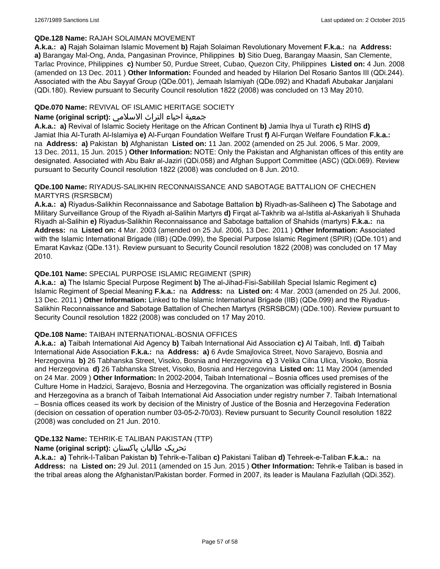## **QDe.128 Name:** RAJAH SOLAIMAN MOVEMENT

**A.k.a.: a)** Rajah Solaiman Islamic Movement **b)** Rajah Solaiman Revolutionary Movement **F.k.a.:** na **Address: a)** Barangay Mal-Ong, Anda, Pangasinan Province, Philippines **b)** Sitio Dueg, Barangay Maasin, San Clemente, Tarlac Province, Philippines **c)** Number 50, Purdue Street, Cubao, Quezon City, Philippines **Listed on:** 4 Jun. 2008 (amended on 13 Dec. 2011 ) **Other Information:** Founded and headed by Hilarion Del Rosario Santos III (QDi.244). Associated with the Abu Sayyaf Group (QDe.001), Jemaah Islamiyah (QDe.092) and Khadafi Abubakar Janjalani (QDi.180). Review pursuant to Security Council resolution 1822 (2008) was concluded on 13 May 2010.

# **QDe.070 Name:** REVIVAL OF ISLAMIC HERITAGE SOCIETY

# جمعية احياء التراث الاسلامي **:(script original (Name**

**A.k.a.: a)** Revival of Islamic Society Heritage on the African Continent **b)** Jamia Ihya ul Turath **c)** RIHS **d)** Jamiat Ihia Al-Turath Al-Islamiya **e)** Al-Furqan Foundation Welfare Trust **f)** Al-Furqan Welfare Foundation **F.k.a.:**  na **Address: a)** Pakistan **b)** Afghanistan **Listed on:** 11 Jan. 2002 (amended on 25 Jul. 2006, 5 Mar. 2009, 13 Dec. 2011, 15 Jun. 2015 ) **Other Information:** NOTE: Only the Pakistan and Afghanistan offices of this entity are designated. Associated with Abu Bakr al-Jaziri (QDi.058) and Afghan Support Committee (ASC) (QDi.069). Review pursuant to Security Council resolution 1822 (2008) was concluded on 8 Jun. 2010.

### **QDe.100 Name:** RIYADUS-SALIKHIN RECONNAISSANCE AND SABOTAGE BATTALION OF CHECHEN MARTYRS (RSRSBCM)

**A.k.a.: a)** Riyadus-Salikhin Reconnaissance and Sabotage Battalion **b)** Riyadh-as-Saliheen **c)** The Sabotage and Military Surveillance Group of the Riyadh al-Salihin Martyrs **d)** Firqat al-Takhrib wa al-Istitla al-Askariyah li Shuhada Riyadh al-Salihin **e)** Riyadus-Salikhin Reconnaissance and Sabotage battalion of Shahids (martyrs) **F.k.a.:** na **Address:** na **Listed on:** 4 Mar. 2003 (amended on 25 Jul. 2006, 13 Dec. 2011 ) **Other Information:** Associated with the Islamic International Brigade (IIB) (QDe.099), the Special Purpose Islamic Regiment (SPIR) (QDe.101) and Emarat Kavkaz (QDe.131). Review pursuant to Security Council resolution 1822 (2008) was concluded on 17 May 2010.

# **QDe.101 Name:** SPECIAL PURPOSE ISLAMIC REGIMENT (SPIR)

**A.k.a.: a)** The Islamic Special Purpose Regiment **b)** The al-Jihad-Fisi-Sabililah Special Islamic Regiment **c)** Islamic Regiment of Special Meaning **F.k.a.:** na **Address:** na **Listed on:** 4 Mar. 2003 (amended on 25 Jul. 2006, 13 Dec. 2011 ) **Other Information:** Linked to the Islamic International Brigade (IIB) (QDe.099) and the Riyadus-Salikhin Reconnaissance and Sabotage Battalion of Chechen Martyrs (RSRSBCM) (QDe.100). Review pursuant to Security Council resolution 1822 (2008) was concluded on 17 May 2010.

# **QDe.108 Name:** TAIBAH INTERNATIONAL-BOSNIA OFFICES

**A.k.a.: a)** Taibah International Aid Agency **b)** Taibah International Aid Association **c)** Al Taibah, Intl. **d)** Taibah International Aide Association **F.k.a.:** na **Address: a)** 6 Avde Smajlovica Street, Novo Sarajevo, Bosnia and Herzegovina **b)** 26 Tabhanska Street, Visoko, Bosnia and Herzegovina **c)** 3 Velika Cilna Ulica, Visoko, Bosnia and Herzegovina **d)** 26 Tabhanska Street, Visoko, Bosnia and Herzegovina **Listed on:** 11 May 2004 (amended on 24 Mar. 2009 ) **Other Information:** In 2002-2004, Taibah International – Bosnia offices used premises of the Culture Home in Hadzici, Sarajevo, Bosnia and Herzegovina. The organization was officially registered in Bosnia and Herzegovina as a branch of Taibah International Aid Association under registry number 7. Taibah International – Bosnia offices ceased its work by decision of the Ministry of Justice of the Bosnia and Herzegovina Federation (decision on cessation of operation number 03-05-2-70/03). Review pursuant to Security Council resolution 1822 (2008) was concluded on 21 Jun. 2010.

# **QDe.132 Name:** TEHRIK-E TALIBAN PAKISTAN (TTP)

# تحریک طالبان پاکستان **:(script original (Name**

**A.k.a.: a)** Tehrik-I-Taliban Pakistan **b)** Tehrik-e-Taliban **c)** Pakistani Taliban **d)** Tehreek-e-Taliban **F.k.a.:** na **Address:** na **Listed on:** 29 Jul. 2011 (amended on 15 Jun. 2015 ) **Other Information:** Tehrik-e Taliban is based in the tribal areas along the Afghanistan/Pakistan border. Formed in 2007, its leader is Maulana Fazlullah (QDi.352).